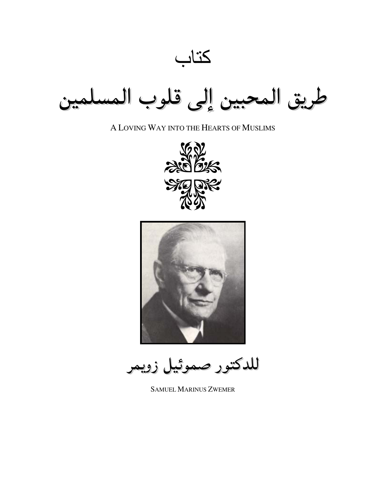كتاب طريق المحبين إلى قلوب المس

A LOVING WAY INTO THE HEARTS OF MUSLIMS





للدكتور صموئيل زويمر

**SAMUEL MARINUS ZWEMER**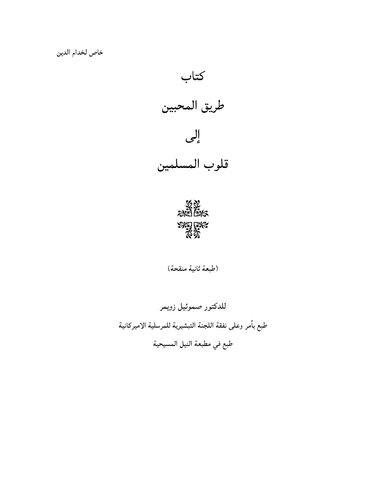



(طبعة ثانية منقحة)

للدكتور صموئيل زويمر طبع بأمر وعلى نفقة اللجنة التبشيرية للمرسلية الاميركانية طبع في مطبعة النيل المسيحية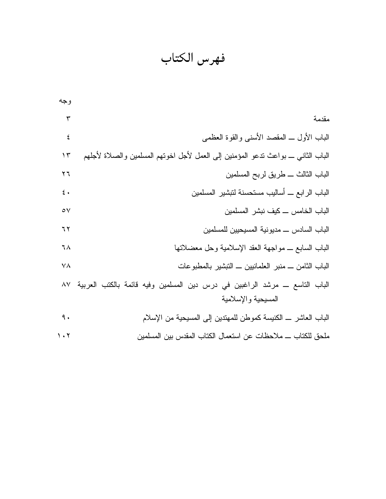فهرس الكتاب

| مقدمة<br>٣<br>الباب الأول ــ المقصد الأسنبي والقوة العظمى<br>٤<br>الباب الثانبي ــ بواعث ندعو المؤمنين إلىي العمل لأجل اخونهم المسلمين والصلاة لأجلهم<br>۱۳<br>الباب الثالث ـــ طريق لربح المسلمين<br>$\mathbf{y}$<br>الباب الرابع ــ أساليب مستحسنة لتبشير المسلمين<br>$\mathfrak{t}$ . |
|------------------------------------------------------------------------------------------------------------------------------------------------------------------------------------------------------------------------------------------------------------------------------------------|
|                                                                                                                                                                                                                                                                                          |
|                                                                                                                                                                                                                                                                                          |
|                                                                                                                                                                                                                                                                                          |
|                                                                                                                                                                                                                                                                                          |
|                                                                                                                                                                                                                                                                                          |
| الباب الخامس _ كيف نبشر المسلمين<br>$\circ \vee$                                                                                                                                                                                                                                         |
| الباب السادس ـــ مديو نية المسيحيين للمسلمين<br>٦٢                                                                                                                                                                                                                                       |
| الباب السابع ـــ مواجهة العقد الإسلامية وحل معضلاتها<br>٦٨                                                                                                                                                                                                                               |
| الباب الثامن ـــ منبر العلمانيين ـــ النبشير بالمطبوعات<br>٧A                                                                                                                                                                                                                            |
| الباب الناسع ــ مرشد الراغبين في درس دين المسلمين وفيه قائمة بالكتب العربية ٨٧                                                                                                                                                                                                           |
| المسيحية والإسلامية                                                                                                                                                                                                                                                                      |
| ٩.<br>الباب العاشر ــ الكنيسة كموطن للمهتدين إلىي المسيحية من الإسلام                                                                                                                                                                                                                    |
| ملحق للكتاب ـــ ملاحظات عن استعمال الكتاب المقدس بين المسلمين<br>$\cdot$ $\cdot$                                                                                                                                                                                                         |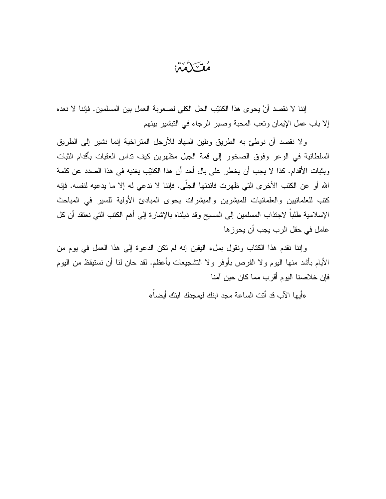مُقْتَلَمَّمْنَ

إننا لا نقصد أنْ يحوى هذا الكتبِّب الحل الكلي لصعوبة العمل بين المسلمين. فإننا لا نعده إلا باب عمل الإيمان ونعب المحبة وصبر الرجاء في التبشير بينهم

و لا نقصد أن نوطئ به الطريق ونلين المهاد للأرجل المنز اخية إنما نشير إلى الطريق السلطانية في الوعر وفوق الصخور إلى قمة الجبل مظهرين كيف نداس العقبات بأقدام الثبات وبِثبات الأقدام. كذا لا يجب أن يخطر على بال أحد أن هذا الكتيّب يغنيه في هذا الصدد عن كلمة الله أو عن الكتب الأخرى التي ظهرت فائدتها الجلَّى. فإننا لا ندعي له إلا ما يدعيه لنفسه. فإنه كتب للعلمانيين والعلمانيات للمبشرين والمبشرات يحوى المبادئ الأولية للسير في المباحث الإسلامية طلباً لاجتذاب المسلمين إلى المسيح وقد ذيلناه بالإشارة إلى أهم الكتب التي نعتقد أن كل عامل في حقل الرب يجب أن يحوز ها

وإننا نقدم هذا الكتاب ونقول بملء اليقين إنه لم نكن الدعوة إلى هذا العمل في يوم من الأيام بأشد منها اليوم ولا الفرص بأوفر ولا التشجيعات بأعظم. لقد حان لنا أن نستيقظ من اليوم فإن خلاصنا اليو م أقر ب مما كان حين آمنا

«أيها الآب قد أنت الساعة مجد ابنك ليمجدك ابنك أيضاً»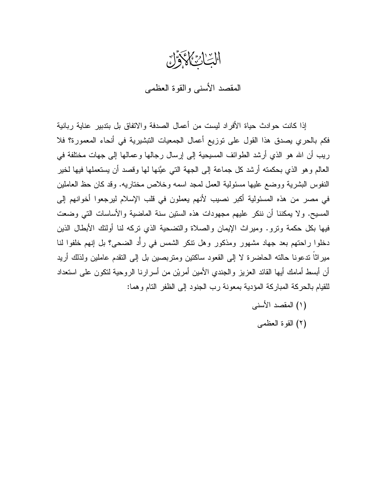السّاسُ الحَرَّونُ

المقصد الأسنى والقوة العظمى

إذا كانت حوادث حياة الأفراد ليست من أعمال الصدفة والاتفاق بل بتدبير عناية ربانية فكم بالحري بصدق هذا القول على توزيع أعمال الجمعيات التبشيرية في أنحاء المعمورة؟ فلا ريب أن الله هو الذي أرشد الطوائف المسيحية إلى إرسال رجالها وعمالها إلى جهات مختلفة في العالم و هو الذي بحكمته أرشد كل جماعة إلى الجهة التي عيَّنها لها وقصد أن يستعملها فيها لخير النفوس البشرية ووضع عليها مسئولية العمل لمجد اسمه وخلاص مختاريه. وقد كان حظ العاملين في مصر من هذه المسئولية أكبر نصيب لأنهم يعملون في قلب الإسلام ليرجعوا أخوانهم إلى المسيح. ولا يمكننا أن ننكر عليهم مجهودات هذه الستين سنة الماضية والأساسات التي وضعت فيها بكل حكمة وترو. وميراث الإيمان والصلاة والتضحية الذي تركه لنا أولئك الأبطال الذين دخلوا راحتهم بعد جهاد مشهور ومذكور وهل نتكر الشمس في رأْد الضحى؟ بل إنهم خلفوا لنا ميراثًا ندعونا حالته الحاضرة لا إلى القعود ساكتين ومتربصين بل إلى التقدم عاملين ولذلك أريد أن أبسط أمامك أيها القائد العزيز والجندي الأمين أمريْن من أسرارنا الروحية لنكون على اسنعداد للقيام بالحركة المباركة المؤدية بمعونة رب الجنود إلى الظفر النام وهما:

- (١) المقصد الأسنى
	- (٢) القوة العظمى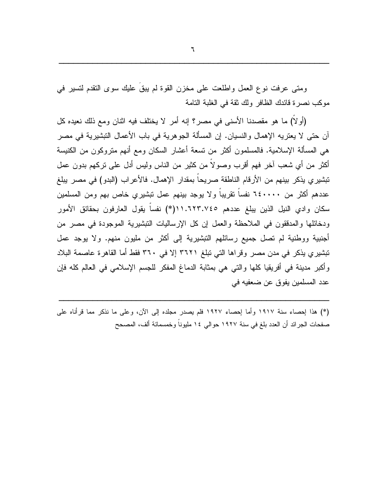ومتى عرفت نوع العمل واطلعت على مخزن القوة لم يبقُ عليك سوى التقدم لتسير في موكب نصرة قائدك الظافر ولك ثقة في الغلبة التامة

(أولا) ما هو مقصدنا الأسنى في مصر؟ إنه أمر لا يختلف فيه اثنان ومع ذلك نعيده كل آن حتى لا يعتريه الإهمال والنسيان. إن المسألة الجوهرية في باب الأعمال التبشيرية في مصر هي المسألة الإسلامية. فالمسلمون أكثر من تسعة أعشار السكان ومع أنهم متروكون من الكنيسة أكثر من أي شعب آخر فهم أقرب وصولاً من كثير من الناس وليس أدل على نركهم بدون عمل تبشير ي يذكر بينهم من الأرقام الناطقة صريحاً بمقدار الإهمال. فالأعراب (البدو) في مصر يبلغ عددهم أكثر من ٦٤٠٠٠٠ نفساً نقريباً ولا يوجد بينهم عمل تبشيري خاص بهم ومن المسلمين سكان وادي النيل الذين يبلغ عددهم ١١.٦٢٣.٧٤٥. (١\*) نفساً يقول العارفون بحقائق الأمور ودخائلها والمدققون في الملاحظة والعمل إن كل الإرساليات التبشيرية الموجودة في مصر من أجنبية ووطنية لم تصل جميع رسائلهم التبشيرية إلى أكثر من مليون منهم. ولا يوجد عمل تبشيري يذكر في مدن مصر وقراها التي تبلغ ٣٦٢١ إلا في ٣٦٠ فقط أما القاهرة عاصمة البلاد وأكبر مدينة في أفريقيا كلها والتي هي بمثابة الدماغ المفكر للجسم الإسلامي في العالم كله فإن عدد المسلمين يفوق عن ضعفيه في

(\*) هذا لِحصاء سنة ١٩١٧ وأما لِحصاء ١٩٢٧ فلم يصدر مجلده إلى الآن، وعلى ما نذكر مما قرأناه على صفحات الجرائد أن العدد بلغ في سنة ١٩٢٧ حوالي ١٤ مليونا وخمسمائة ألف، المصحح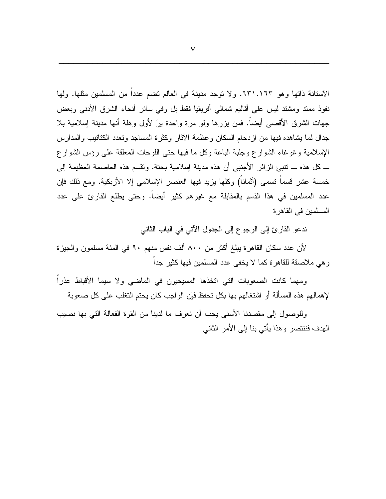الأستانة ذاتها وهو ٦٣١.١٦٣. ولا نوجد مدينة في العالم نضم عددا من المسلمين مثلها. ولها نفوذ ممند ومشتد ليس على أقاليم شمالي أفريقيا فقط بل وفي سائر أنحاء الشرق الأدنبي وبعض جهات الشرق الأقصبي أيضاً. فمن بزرها ولو مرة واحدة برَ لأول وهلة أنها مدينة إسلامية بلا جدال لما يشاهده فيها من از دحام السكان وعظمة الآثار وكثرة المساجد وتعدد الكتاتيب والمدارس الإسلامية وغوغاء الشوارع وجلبة الباعة وكل ما فيها حتى اللوحات المعلقة على رؤس الشوارع ـــ كل هذه ـــ نتبئ الزائر الأجنبي أن هذه مدينة إسلامية بحتة. ونقسم هذه العاصمة العظيمة إلى خمسة عشر قسماً نسمى (أثماناً) وكلها بزيد فيها العنصر الإسلامي إلا الأزبكية. ومع ذلك فإن عدد المسلمين في هذا القسم بالمقابلة مع غيرهم كثير أيضـاً. وحتى يطلع القارئ على عدد المسلمين في القاهر ة

ندعو القارئ إلى الرجوع إلى الجدول الآتي في الباب الثاني

لأن عدد سكان القاهرة يبلغ أكثر من ٨٠٠ ألف نفس منهم ٩٠ في المئة مسلمون والجيزة وهي ملاصقة للقاهرة كما لا يخفى عدد المسلمين فيها كثير جداً

ومهما كانت الصعوبات التي اتخذها المسيحيون في الماضيي ولا سيما الأقباط عذرا لإهمالهم هذه المسألة أو اشتغالهم بها بكل تحفظ فإن الواجب كان يحتم التغلب على كل صعوبة

وللوصول إلى مقصدنا الأسنى يجب أن نعرف ما لدينا من القوة الفعالة التي بها نصيب الهدف فننتصر وهذا يأتى بنا إلى الأمر الثاني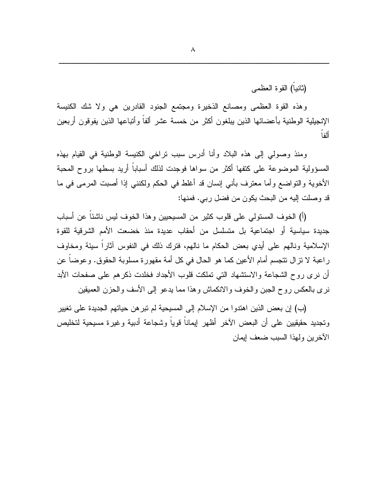(ثانياً) القو ة العظمى

وهذه القوة العظمى ومصانع الذخيرة ومجتمع الجنود القادرين هي ولا شك الكنيسة الإنجيلية الوطنية بأعضائها الذين ببلغون أكثر من خمسة عشر ألفاً وأتباعها الذين بفوقون أربعين أأفا

ومنذ وصولى إلى هذه البلاد وأنا أدرس سبب نراخي الكنيسة الوطنية في القيام بهذه المسؤولية الموضوعة على كتفها أكثر من سواها فوجدت لذلك أسباباً أريد بسطها بروح المحبة الأخوية والنواضع وأما معترف بأني إنسان قد أغلط في الحكم ولكنني إذا أصبت المرمى في ما قد وصلت إليه من البحث يكون من فضل ربي. فمنها:

(أ) الخوف المستولى على قلوب كثير من المسيحيين وهذا الخوف ليس ناشئا عن أسباب جديدة سياسية أو اجتماعية بل متسلسل من أحقاب عديدة منذ خضعت الأمم الشرقية للقوة الإسلامية ونالهم على أيدي بعض الحكام ما نالهم، فترك ذلك في النفوس آثار! سيئة ومخاوف راعبة لا نزال نتجسم أمام الأعين كما هو الحال في كل أمة مقهورة مسلوبة الحقوق. وعوضا عن أن نرى روح الشجاعة والاستشهاد النبي تملكت قلوب الأجداد فخلدت ذكرهم على صفحات الأبد نرى بالعكس روح الجبن والخوف والانكماش وهذا مما يدعو إلىي الأسف والحزن العميقين

(ب) إن بعض الذين اهتدوا من الإسلام إلى المسيحية لم تبر هن حياتهم الجديدة على تغيير وتجديد حقيقيين علىي أن البعض الآخر أظهر ليماناً فوياً وشجاعة أدبية وغيرة مسيحية لتخليص الأخرين ولهذا السبب ضعف إيمان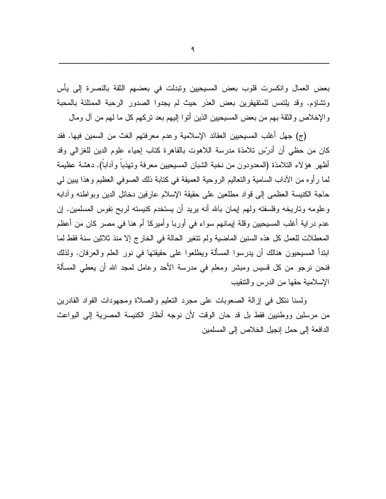بعض العمال وانكسرت قلوب بعض المسيحيين ونبدلت في بعضهم الثقة بالنصرة إلى يأس ونشاؤم. وقد يلتمس للمنقهقرين بعض العذر حيث لم يجدوا الصدور الرحبة الممتلئة بالمحبة والإخلاص والثقة بهم من بعض المسيحيين الذين أتوا إليهم بعد نركهم كل ما لهم من آل ومال

(ج) جهل أغلب المسيحيين العقائد الإسلامية وعدم معرفتهم الغث من السمين فيها. فقد كان من حظى أن أدرّس تلامذة مدرسة اللاهوت بالقاهرة كتاب إحباء علوم الدين للغزالي وقد أظهر هؤلاء النلامذة (المعدودون من نخبة الشبان المسيحيين معرفة ونهذبا وأدابا). دهشة عظيمة لمـا رأو ه من الأداب السامية والنعاليم الروحية العميقة فـي كتابـة ذلك الصوفـي العظيم وهذا يبين لـي حاجة الكنيسة العظمى إلى قواد مطلعين على حقيقة الإسلام عارفين دخائل الدين وبواطنه وأدابه وعلومه وناريخه وفلسفته ولمهم إيمان بالله أنه بريد أن يستخدم كنيسته لربح نفوس المسلمين. إن عدم دراية أغلب المسيحيين وقلة إيمانهم سواء في أوربا وأميركا أم هنا في مصر كان من أعظم المعطلات للعمل كل هذه السنين الماضية ولم نتغير الحالة في الخارج إلا منذ ثلاثين سنة فقط لما ابنداً المسيحيون هنالك أن يدرسوا المسألة ويطلعوا على حقيقتها في نور العلم والعرفان. ولذلك فنحن نرجو من كل قسيس ومبشر ومعلم في مدرسة الأحد وعامل لمجد الله أن يعطي المسألة الإسلامية حقها من الدرس والنتقيب

ولسنا نتكل في إزالة الصعوبات على مجرد التعليم والصلاة ومجهودات القواد القادرين من مرسلين ووطنيين فقط بل قد حان الوقت لأن نوجه أنظار الكنيسة المصرية إلى البواعث الدافعة إلى حمل إنجيل الخلاص إلى المسلمين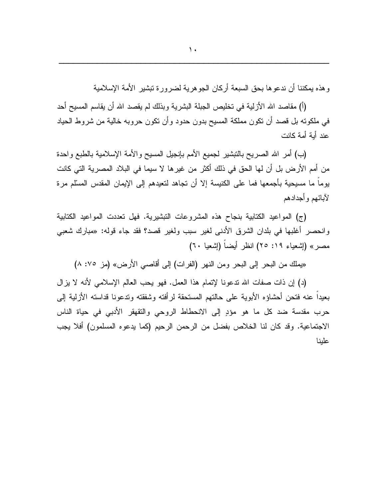و هذه بمكننا أن ندعو ها بحق السبعة أركان الجو هر ية لضر ور ة نبشير الأمة الإسلامية

(أ) مقاصد الله الأزلية في تخليص الجبلة البشرية وبذلك لم يقصد الله أن يقاسم المسيح أحد في ملكونه بل قصد أن نكون مملكة المسيح بدون حدود وأن نكون حروبه خالية من شروط الحياد عند أية أمة كانت

(ب) أمر الله الصريح بالتبشير لجميع الأمم بإنجيل المسيح والأمة الإسلامية بالطبع واحدة من أمم الأرض بل أن لها الحق في ذلك أكثر من غيرها لا سيما في البلاد المصرية التي كانت يوما ما مسيحية بأجمعها فما على الكنيسة إلا أن تجاهد لتعيدهم إلى الإيمان المقدس المسلَّم مرة لأبائهم وأجدادهم

(ج) المواعيد الكتابية بنجاح هذه المشروعات التبشيرية. فهل تعددت المواعيد الكتابية وانحصر أغلبها في بلدان الشرق الأدنى لغير سبب ولغير قصد؟ فقد جاء قوله: «مبارك شعبي مصر» (إشعياء ١٩: ٢٥) انظر أيضاً (إشعيا ٦٠)

«يملك من البحر إلى البحر ومن النهر (الفرات) إلى أقاصي الأرض» (مز ٠٧٥) ٨)

(د) إن ذات صفات الله ندعونا لإتمام هذا العمل. فهو يحب العالم الإسلامي لأنه لا يزال بعيداً عنه فتحن أحشاؤه الأبوية على حالتهم المستحقة لرأفته وشفقته وندعونا قداسته الأزلية إلىي حرب مقدسة ضد كل ما هو مؤدٍ إلى الانحطاط الروحي والنقهقر الأدبي في حياة الناس الاجتماعية. وقد كان لنا الخلاص بفضل من الرحمن الرحيم (كما يدعوه المسلمون) أفلا يجب علينا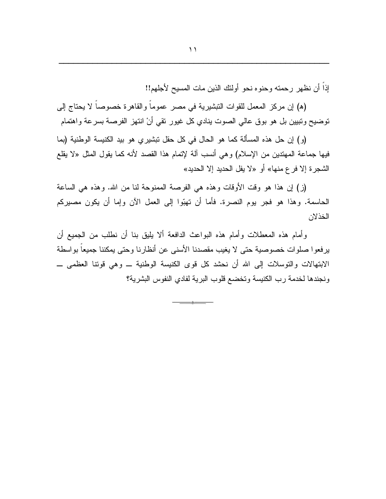إذاً أن نظهر ( حمنه وحنوه نحو أولئك الذين مات المسيح لأجلهم!!

(ﻫ) إن مركز المعمل للقوات النبشيرية في مصر عموماً والقاهرة خصوصاً لا يحتاج إلى توضيح ونبيين بل هو بوق عالى الصوت ينادي كل غيور نقى أنْ انتهز الفرصة بسرعة واهتمام

(و ) إن حل هذه المسألة كما هو الحال في كل حقل نبشير ي هو بيد الكنيسة الوطنية (بما فيها جماعة المهتدين من الإسلام) وهي أنسب آلة لإتمام هذا القصد لأنه كما يقول المثل «لا يقلع الشجرة إلا فرع منها» أو «لا يفل الحديد إلا الحديد»

(ز) إن هذا هو وقت الأوقات وهذه هي الفرصة الممنوحة لنا من الله. وهذه هي الساعة الحاسمة. وهذا هو فجر يوم النصرة. فأما أن تهبُّوا إلى العمل الآن وإما أن يكون مصيركم الخذلان

وأمام هذه المعطلات وأمام هذه البواعث الدافعة ألا يليق بنا أن نطلب من الجميع أن ير فعو ا صلو ات خصوصية حتى لا يغيب مقصدنا الأسنى عن أنظار نا وحتى يمكننا جميعاً بو اسطة الابتهالات والتوسلات إلى الله أن نحشد كل قوى الكنيسة الوطنية \_ وهي قونتا العظمى \_ ونجندها لخدمة رب الكنيسة وتخضع قلوب البرية لفادي النفوس البشرية؟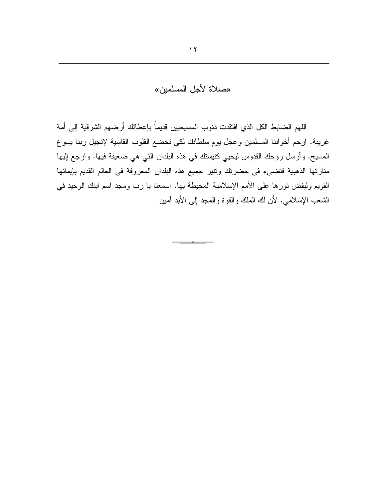## «صلاة لأجل المسلمين»

اللهم الضابط الكل الذي افتقدت ذنوب المسيحيين قديماً بإعطائك أرضهم الشرقية إلى أمة غريبة. ارحم أخواننا المسلمين وعجل يوم سلطانك لكي تخضع القلوب القاسية لإنجيل ربنا يسوع المسيح. وأرسل روحك القدوس ليحيي كنيستك في هذه البلدان التي هي ضعيفة فيها. وارجع إليها منارتها الذهبية فتضىيء في حضرنك ونتير جميع هذه البلدان المعروفة في العالم القديم بإيمانها القويم وليفض نورها على الأمم الإسلامية المحيطة بها. اسمعنا يا رب ومجد اسم ابنك الوحيد في الشعب الإسلامي. لأن لك الملك والقوة والمعجد إلىي الأبد آمين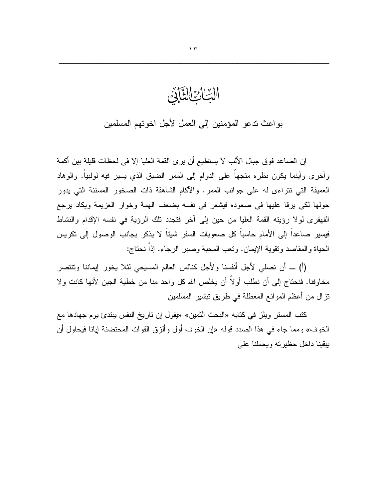الْبُّاْئِ الثَّالِّيْ

بواعث تدعو المؤمنين إلى العمل لأجل اخوتهم المسلمين

إن الصـاعد فوق جبال الألب لا يستطيع أن يرى القمة الـعليا إلا في لـحظات قليلة بين أكمة وأخرى وأينما يكون نظره متجهاً على الدوام إلى الممر الضبق الذي يسير فيه لولبياً. والوهاد العميقة التي نتراءى له على جوانب الممر. والأكام الشاهقة ذات الصخور المسننة التي يدور حولها لكي يرقا عليها في صعوده فيشعر في نفسه بضعف الهمة وخوار العزيمة ويكاد يرجع القهقرى لولا رؤيته القمة العليا من حين إلى أخر فتجدد نلك الرؤية في نفسه الإقدام والنشاط فيسير صاعداً إلى الأمام حاسباً كل صعوبات السفر شيئاً لا يذكر بجانب الوصول إلى نكريس الحياة والمقاصد وتقوية الإيمان. وتعب المحبة وصبر الرجاء. إذاً نحتاج:

(أ) ــ أن نصلَّى لأجل أنفسنا ولأجل كنائس العالم المسبحي لئلا يخور إيماننا ونتنصر مخاوفنا. فنحتاج إلى أن نطلب أولاً أن يخلص الله كل واحد منا من خطية الجبن لأنها كانت ولا نزال من أعظم الموانع المعطلة في طريق نبشير المسلمين

كتب المستر ويلز في كتابه «البحث الثمين» «يقول إن تاريخ النفس يبتدئ يوم جهادها مع الخوف» ومما جاء في هذا الصدد قوله «إن الخوف أول وألزق القوات المحتضنة إيانا فيحاول أن يبقينا داخل حظيرته ويحملنا على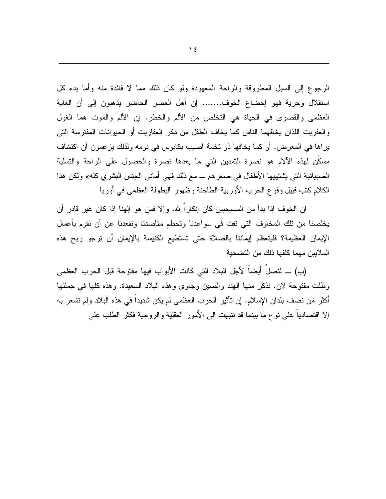الرجوع إلى السبل المطروقة والراحة المعهودة ولو كان ذلك مما لا فائدة منه وأما بدء كل استقلال وحرية فهو إخضاع الخوف....... إن أهل العصر الحاضر يذهبون إلىي أن الغاية العظمى والقصوى في الحياة هي التخلص من الألم والخطر. إن الألم والموت هما الغول و العفر بت اللذان بخافهما الناس كما بخاف الطفل من ذكر العفار بت أو الحبو انات المفتر سة التي براها في المعرض. أو كما يخافها ذو تخمة أصبب بكابوس في نومه ولذلك بزعمون أن اكتشاف مسكن لمهذه الألام هو نصرة التمدين التي ما بعدها نصرة والحصول على الراحة والتسلية الصبيانية التي يشتهيها الأطفال في صغر هم ـــ مع ذلك فهي أماني الجنس البشري كله» ولكن هذا الكلام كتب قبيل وقوع الحرب الأوربية الطاحنة وظهور البطولة العظمى في أوربا

إن الخوف إذا بدأ من المسيحيين كان إنكار اً لله. وإلا فمن هو إلهنا إذا كان غير قادر أن يخلصنا من نلك المخاوف التي نفت في سواعدنا ونحطم مقاصدنا ونقعدنا عن أن نقوم بأعمال الإيمان العظيمة؟ فليتعظم إيماننا بالصلاة حتى تستطيع الكنيسة بالإيمان أن ترجو ربح هذه الملايين مهما كلفها ذلك من التضحية

(ب) ـــ لنصلُ أيضاً لأجل البلاد التي كانت الأبواب فيها مفتوحة قبل الحرب العظمى وظلت مفتوحة لأن. نذكر منها الهند والصبين وجاوى وهذه البلاد السعيدة. وهذه كلها في جملتها أكثر من نصف بلدان الإسلام. إن نأثير الحرب العظمى لم يكن شديدا في هذه البلاد ولم تشعر به إلا اقتصاديا على نوع ما بينما قد نتبهت إلى الأمور العقلية والروحية فكثر الطلب على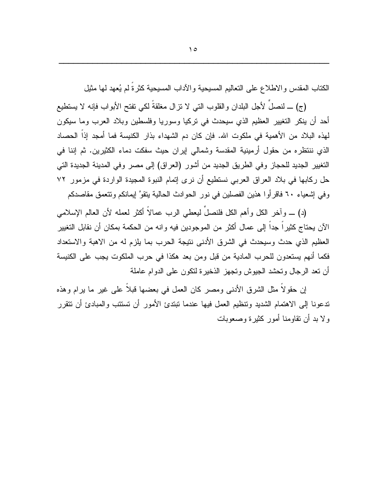الكتاب المقدس والاطلاع على النعاليم المسيحية والأداب المسيحية كثرةً لم يُعهد لمها مثيل

(ج) \_ لنصلَ لأجل البلدان والقلوب التبي لا نزال مغلقةَ لكي نفتح الأبواب فإنه لا يستطيع أحد أن ينكر التغيير العظيم الذي سيحدث في نركيا وسوريا وفلسطين وبلاد العرب وما سيكون لهذه البلاد من الأهمية في ملكوت الله. فإن كان دم الشهداء بذار الكنيسة فما أمجد إذا الحصاد الذي ننتظره من حقول أرمينية المقدسة وشمالي إيران حيث سفكت دماء الكثيرين. ثم إننا في التغيير الجديد للحجاز وفي الطريق الجديد من أشور (العراق) إلى مصر وفي المدينة الجديدة التي حل ركابها في بلاد العراق العربي نستطيع أن نرى إتمام النبوة المجيدة الواردة في مزمور ٧٢ وفي إشعياء ٦٠ فاقرأوا هذين الفصلين في نور الحوادث الحالية يتقوَّ إيمانكم وتتعمق مقاصدكم

(د) \_ و آخر ِ الكلِّ و أهم الكلِّ فلنصلِّ ليعطي الربِّ عمالاً أكثر لعمله لأن العالم الإسلامي الآن يحتاج كثيراً جداً إلى عمال أكثر من الموجودين فيه وانه من الحكمة بمكان أن نقابل التغيير العظيم الذي حدث وسيحدث في الشرق الأدنى نتيجة الحرب بما يلزم له من الاهبة والاستعداد فكما أنهم يستعدون للحرب المادية من قبل ومن بعد هكذا في حرب الملكوت يجب على الكنيسة أن نعد الرجال ونحشد الجيوش ونجهز الذخيرة لنكون على الدوام عاملة

إن حقولا مثل الشرق الأدنبي ومصر كان العمل في بعضها قبلا على غير ما يرام وهذه تدعونا إلى الاهتمام الشديد ونتظيم العمل فيها عندما نبتدئ الأمور أن تستتب والمبادئ أن نتقرر و لا بد أن نقاومنا أمور كثير ة وصعوبات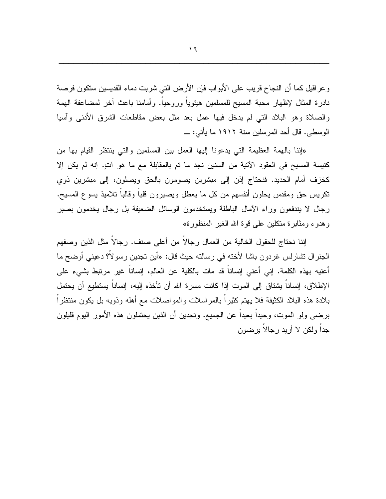و عراقيل كما أن النجاح قريب على الأبواب فإن الأرض التي شربت دماء القديسين ستكون فرصة نادرة المثال لإظهار محبة المسيح للمسلمين هيئوياً وروحياً. وأمامنا باعث آخر لمضاعفة الهمة والصلاة وهو البلاد التبي لم يدخل فيها عمل بعد مثل بعض مقاطعات الشرق الأدنبي وأسيا الوسطى. قال أحد المر سلين سنة ١٩١٢ ما يأتي: ـــ

«إننا بالهمة العظيمة التي يدعونا إليها العمل بين المسلمين والتي ينتظر القيام بها من كنيسة المسيح في العقود الآتية من السنين نجد ما تم بالمقابلة مع ما هو آتٍ. إنه لم يكن إلا كخزف أمام الحديد. فنحتاج إذن إلى مبشرين يصومون بالحق ويصلون، إلى مبشرين ذوي نكريس حق ومقدس يحلون أنفسهم من كل ما يعطل ويصيرون قلبا وقالبا نلاميذ يسوع المسيح. رجال لا يندفعون وراء الأمال الباطلة ويستخدمون الوسائل الضعيفة بل رجال يخدمون بصبر وهدوء ومثابرة متكلين على قوة الله الغير المنظورة»

إننا نحتاج للحقول الخالية من العمال رجالا من أعلى صنف. رجالا مثل الذين وصفهم الجنر ال نشارلس غردون باشا لأخته في رسالته حيث قال: «أين تجدين رسو لا؟ دعيني أوضح ما أعنيه بهذه الكلمة. إني أعني إنساناً قد مات بالكلية عن العالم، إنساناً غير مرتبط بشيء علي الإطلاق، إنساناً يشتاق إلى الموت إذا كانت مسرة الله أن تأخذه إليه، إنساناً يستطيع أن يحتمل بلادة هذه البلاد الكثيفة فلا يهتم كثيرًا بالمراسلات والمواصلات مع أهله وذويه بل يكون منتظرًا برضي ولو الموت، وحيدًا بعيدًا عن الجميع. وتجدين أن الذين يحتملون هذه الأمور اليوم قليلون جدا ولكن لا أريد رجالا برضون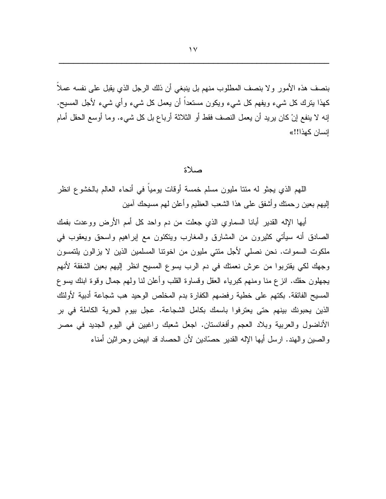بنصف هذه الأمور ولا بنصف المطلوب منهم بل ينبغي أن ذلك الرجل الذي يقبل على نفسه عملاً كمذا بنزك كل شيء ويفهم كل شيء ويكون مستعداً أن يعمل كل شيء وأي شيء لأجل المسيح.

إنه لا ينفع إنْ كان يريد أن يعمل النصف فقط أو الثلاثة أرباع بل كل شيء. وما أوسع الحقل أمام انسان كهذا!!»

## صلاة

اللهم الذي يجثَّو له مئنا مليون مسلَّم خمسة أوقات بومياً في أنحاء العالم بالخشوع انظر إليهم بعين رحمتك وأشفق على هذا الشعب العظيم وأعلن لمهم مسيحك آمين

أيها الإله القدير أبانا السماوي الذي جعلت من دم و احد كل أمم الأرض وو عدت بفمك الصادق أنه سيأتي كثيرون من المشارق والمغارب ويتكئون مع إبراهيم واسحق ويعقوب في ملكوت السموات. نحن نصلي لأجل مئتي مليون من اخونتا المسلمين الذين لا يزالون يلتمسون وجهك لكي يقتربوا من عرش نعمتك في دم الرب يسوع المسيح انظر إليهم بعين الشفقة لأنهم يجهلون حقك. انزع منا ومنهم كبرياء العقل وقساوة القلب وأعلن لنا ولهم جمال وقوة ابنك يسوع المسيح الفائقة. بكتهم على خطية رفضهم الكفارة بدم المخلص الوحيد هب شجاعة أدبية لأولئك الذين يحبونك بينهم حتى يعترفوا باسمك بكامل الشجاعة. عجل بيوم الحرية الكاملة في بر الأناضول والعربية وبلاد العجم وأفغانستان. اجعل شعبك راغبين في اليوم الجديد في مصر و الصين و الهند. ارسل أيها الإله القدير حصَّادين لأن الحصاد قد ابيض وحر اثين أمناء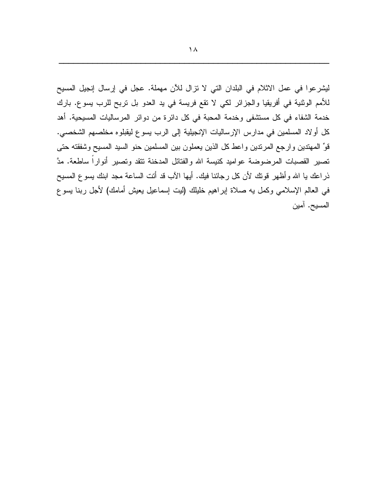ليشر عوا في عمل الاثلام في البلدان التي لا نزال للأن مهملة. عجل في إرسال إنجيل المسيح للأمم الوثنية في أفريقيا والجزائر لكي لا تقع فريسة في يد العدو بل تربح للرب يسوع. بارك خدمة الشفاء في كل مستشفى وخدمة المحبة في كل دائرة من دوائر المرساليات المسيحية. أهد كل أو لاد المسلمين في مدارس الإرساليات الإنجيلية إلى الرب يسوع ليقبلوه مخلصهم الشخصي. قوِّ المهتدين وارجع المرندين واعط كل الذين يعملون بين المسلمين حنو السيد المسيح وشفقته حتى تصبير القصبات المرضوضة عواميد كنيسة الله والفتائل المدخنة نتقد ونصبير أنواراً ساطعة. مدَّ ذراعك يا الله وأظهر قونك لأن كل رجائنا فيك. أيها الآب قد أنت الساعة مجد ابنك يسوع المسيح في العالم الإسلامي وكمل به صلاة إبراهيم خليلك (ليت إسماعيل يعيش أمامك) لأجل ربنا بسوع المسيح. آمين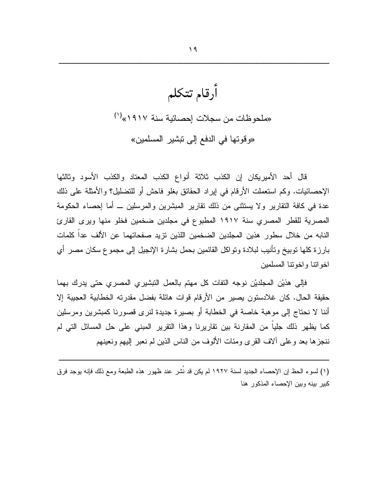أرقام تتكلم «ملحوظات من سجلات إحصائية سنة ١٩١٧» (") «وقوتها في الدفع إلى تبشير المسلمين»

قال أحد الأميريكان إن الكذب ثلاثة أنواع الكذب المعتاد والكذب الأسود وثالثها الإحصائيات. وكم استعملت الأرقام في إيراد الحقائق بغلو فاحش أو للتضليل؟ والأمثلة على ذلك عدة في كافة النقارير ولا يستثنى من ذلك نقارير المبشرين والمرسلين ــ أما إحصاء الحكومة المصرية للقطر المصري سنة ١٩١٧ المطبوع في مجلدين ضخمين فخلو منها ويرى القارئ النابه من خلال سطور هذين المجلدين الضخمين اللذين تزيد صفحاتهما عن الألف عدا كلمات بارزة كلها نوبيخ ونأنيب لبلادة ونواكل القائمين بحمل بشارة الإنجيل إلىي مجموع سكان مصر أي اخوانتا وإخونتا المسلمين

فإلى هذيْن المجلديْن نوجه النفات كل مهتم بالعمل النبشيري المصري حتى يدرك بهما حقيقة الحال. كان غلادستون يصير من الأرقام قوات هائلة بفضل مقدرته الخطابية العجيبة إلا أننا لا نحتاج إلى موهبة خاصة في الخطابة أو بصيرة جديدة لنرى قصورنا كمبشرين ومرسلين كما يظهر ذلك جليا من المقارنة بين تقاريرنا وهذا النقرير المبنى على حل المسائل التي لم ننجزها بعد وعلى ألاف القرى ومئات الألوف من الناس الذين لم نعبر إليهم ونعينهم

(١) لسوء الحظ إن الإحصاء الجديد لسنة ١٩٢٧ لم يكن قد نُشر عند ظهور هذه الطبعة ومع ذلك فإنه يوجد فرق كبير بينه وبين الإحصاء المذكور هنا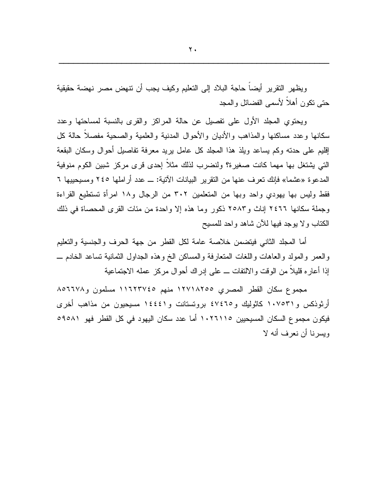$\mathbf{Y}$ 

ويظهر التقرير أيضاً حاجة البلاد إلى التعليم وكيف يجب أن تتهض مصر نهضة حقيقية حتبي نكون أهلأ لأسمى الفضائل والمجد

ويحتوي المجلد الأول علىي تفصيل عن حالة المراكز والقرى بالنسبة لمساحتها وعدد سكانها وعدد مساكنها والمذاهب والأدبان والأحوال المدنية والعلمية والصحية مفصلاً حالة كل إقليم على حدنه وكم بساعد ويلذ هذا المجلد كل عامل بريد معرفة نفاصيل أحوال وسكان البقعة التبي يشتغل بها مهما كانت صغيرة؟ ولنضرب لذلك مثلا إحدى قرى مركز شبين الكوم منوفية المدعوة «عشما» فإنك تعرف عنها من النقرير البيانات الآتية: ـــ عدد أر املها ٢٤٥ ومسيحييها ٦ فقط وليس بها يهودي واحد وبها من المتعلمين ٣٠٢ من الرجال و١٨ امرأة تستطيع القراءة وجملة سكانها ٢٤٦٦ إناث و٢٥٨٣ ذكور وما هذه إلا واحدة من مئات القرى المحصاة في ذلك الكتاب ولا بوجد فيها للأن شاهد واحد للمسيح

أما المجلد الثانبي فيتضمن خلاصة عامة لكل القطر من جهة الحرف والجنسية والتعليم والعمر والمولد والعاهات واللغات المتعارفة والمساكن الخ وهذه الجداول الثمانية نساعد الخادم ـــ إذا أعاره قليلًا من الوقت والالتفات ــ على إدراك أحوال مركز عمله الاجتماعية

مجموع سكان القطر المصرى ١٢٧١٨٢٥٥ منهم ١١٦٢٣٧٤٥ مسلمون و١٥٦٦٧٨ أرثوذكس و١٠٧٥٣١ كاثوليك و٤٧٤٦٥ بروتستانت و١٤٤٤١ مسيحيون من مذاهب أخرى فيكون مجموع السكان المسيحيين ١٠٢٦١١٥ أما عدد سكان اليهود في كل القطر فهو ٥٩٥٨١ ويسرنا أن نعرف أنه لا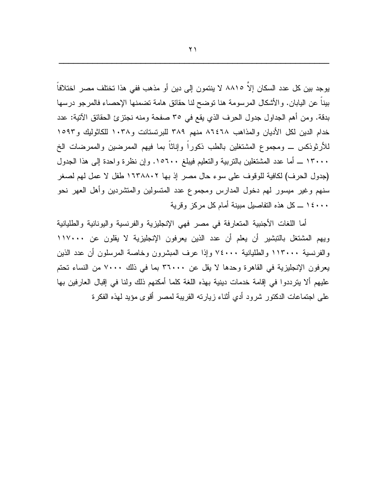يوجد بين كل عدد السكان إلاّ ٨٨١٥ لا ينتمون إلى دين أو مذهب ففي هذا تختلف مصر اختلافاً بيناً عن اليابان. والأشكال المرسومة هنا نوضح لنا حقائق هامة نضمنها الإحصاء فالمرجو درسها بدقة. ومن أهم الجداول جدول الحرف الذي يقع في ٣٥ صفحة ومنه نجتزئ الحقائق الآتية: عدد خدام الدين لكل الأديان والمذاهب ٨٦٤٦٨ منهم ٣٨٩ للبرنستانت و١٠٣٨ للكاثوليك و١٥٩٣ للأرثوذكس ـــ ومجموع المشتغلين بالطب ذكوراً وإناثاً بما فيهم الممرضين والممرضات الخ ١٣٠٠٠ ــ أما عدد المشتغلين بالنربية والتعليم فيبلغ ١٥٦٠٠. وإن نظرة واحدة إلى هذا الجدول (جدول الحرف) لكافية للوقوف على سوء حال مصر إذ بها ١٦٣٨٨٠٢ طفل لا عمل لهم لصغر سنهم وغير ميسور لهم دخول المدارس ومجموع عدد المتسولين والمنشردين وأهل العهر نحو ١٤٠٠٠ ـــ كل هذه التفاصيل مبينة أمام كل مركز وقرية

أما اللغات الأجنبية المتعارفة في مصر فهي الإنجليزية والفرنسية واليونانية والطليانية ويهم المشتغل بالتبشير أن يعلم أن عدد الذين يعرفون الإنجليزية لا يقلون عن ١١٧٠٠٠ والفرنسية ١١٣٠٠٠ والطليانية ٧٤٠٠٠ وإذا عرف المبشرون وخاصة المرسلون أن عدد الذين يعرفون الإنجليزية في القاهرة وحدها لا يقل عن ٣٦٠٠٠ بما في ذلك ٧٠٠٠ من النساء تحتم عليهم ألا يترددوا في إقامة خدمات دينية بهذه اللغة كلما أمكنهم ذلك ولنا في إقبال العارفين بها على اجتماعات الدكتور شرود أدي أنثاء زيارته القريبة لمصر أقوى مؤيد لهذه الفكرة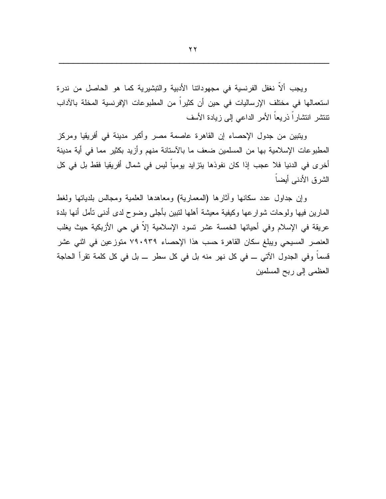ويجب ألاً نغفل الفرنسية في مجهوداتنا الأدبية والتبشيرية كما هو الحاصل من ندرة استعمالها في مختلف الإرساليات في حين أن كثيراً من المطبوعات الإفرنسية المخلة بالآداب تنتشر انتشاراً ذريعاً الأمر الداعي إلى زيادة الأسف

ويتبين من جدول الإحصاء إن القاهرة عاصمة مصر وأكبر مدينة في أفريقيا ومركز المطبوعات الإسلامية بها من المسلمين ضعف ما بالأستانة منهم وأزيد بكثير مما في أية مدينة أخرى في الدنيا فلا عجب إذا كان نفوذها يتزايد يومياً ليس في شمال أفريقيا فقط بل في كل الشرق الأدنبي أيضاً

وإن جداول عدد سكانها وأثارها (المعمارية) ومعاهدها العلمية ومجالس بلديانها ولغط المارين فيها ولوحات شوارعها وكيفية معيشة أهلها لننبين بأجلى وضوح لدى أدنى نأمل أنها بلدة عريقة في الإسلام وفي أحيائها الخمسة عشر تسود الإسلامية إلاّ في حي الأزبكية حيث يغلب العنصر المسيحي ويبلغ سكان القاهرة حسب هذا الإحصاء ٧٩٠٩٣٩ متوزعين في اثني عشر قسما وفي الجدول الآتي ـــ في كل نهر منه بل في كل سطر ـــ بل في كل كلمة تقرأ الحاجة العظمى إلى ربح المسلمين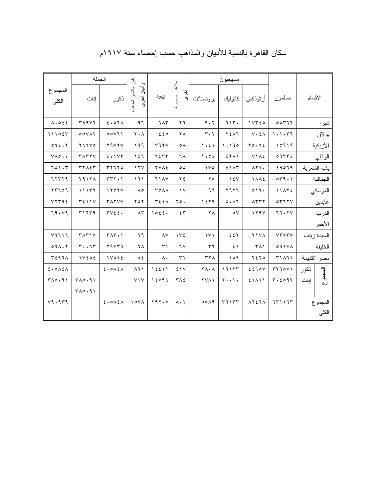|                              | الجملة         |                       | ٠g                          |                   |                                | مسيحيون                          |                         |                         |                                          |                 |
|------------------------------|----------------|-----------------------|-----------------------------|-------------------|--------------------------------|----------------------------------|-------------------------|-------------------------|------------------------------------------|-----------------|
| المجموع<br>الكلي             | إناث           | اذكور                 | وأديان أخر:<br>منتمين لعذهب | يهود              | مذاهب مسيحية<br>أخزى           | بروتستانت                        |                         | أرثوذكس   كاثوليك       | مسلمون                                   | الأقسام         |
| $\Lambda \cdot 055$          | 59957          | 2.07A                 | 97                          | <b>745</b>        | $\mathbf{y}$                   | 9.7                              | 715.                    | 1YT50                   | 00777                                    | شبرا            |
| 111055                       | 00YAY          | 00Y11                 | $Y \cdot A$                 | 220               | ٢٨                             | $\mathbf{r} \cdot \mathbf{r}$    | YEAT                    | $V \cdot \Sigma \wedge$ | 1.1.77                                   | بولاق           |
| 072.7                        | Y11V0          | <b>YAVYV</b>          | 199                         | r97V              | $\circ \wedge$                 | 1.51                             | 1.190                   | 70.72                   | 10919                                    | الأزبكية        |
| $Y \wedge \circ \cdot \cdot$ | TATYY          | 5.157                 | ۱٤٦                         | 7255              | ٦٨                             | 1.02                             | $5 Y \wedge Y$          | <b>VIAE</b>             | 09772                                    | الو ايلي        |
| 701.7                        | TYAET          | rr7770                | 17 <sub>V</sub>             | <b>YVAE</b>       | $\circ$                        | $\sqrt{6}$                       | 51AT                    | $\lambda$ Y).           | 29079                                    | باب الشعرية     |
| 77779                        | <b>Y9174</b>   | $TTY \cdot Y$         | ۱٦۱                         | 71AY              | ع ۲                            | ه ۲                              | $\gamma$ { $\gamma$     | <b>1 A A E</b>          | OT9.1                                    | الجمالية        |
| 57709                        | 11177          | 1101                  | $\Lambda$ 0                 | <b>TOAA</b>       | $\gamma$                       | 99                               | ٢٩٢٦                    | 011.                    | 11472                                    | الموسكي         |
| YYY92                        | $T\S$ ) ) $V$  | <b>TAYYY</b>          | ۲٥۲                         | $T\S$ 1 $\Lambda$ | $\gamma \circ \cdot$           | 1579                             | 0.17                    | $\Lambda$ rry           | $\circ$ $\uparrow$ $\uparrow$ $\uparrow$ | عابدين          |
| 79.19                        | r11r9          | $\forall y \xi \xi$ . | $\wedge\tau$                | 1055.             | 55                             | ٢٨                               | $\circ \vee$            | 119V                    | 77.7V                                    | الدرب           |
|                              |                |                       |                             |                   |                                |                                  |                         |                         |                                          | الأحمر          |
| V1111                        | TATO           | $T\wedge T \cdot Y$   | ٦٩                          | $\lambda V$       | 152                            | $\lambda \vee \lambda$           | EEY                     | <b>Y1VA</b>             | $YY \circ Y \circ$                       | السيدة زينب     |
| 091.7                        | $r \cdot \tau$ | 44474                 | ٦٨                          | ۳١                | ٦٧                             | ٣٦                               | $5 \setminus$           | ۳۸۱                     | 091YA                                    | الخليفة         |
| T297A                        | 1 V E 0 E      | $1 \vee o 1$          | ٨٤                          | $\Lambda$         | $\mathsf{r} \setminus$         | $\tau\tau\wedge$                 | 109                     | ۲٤٢٥                    | <b>٣١٨٦١</b>                             | مصر القديمة     |
| 2.015A                       |                | 2.015A                | $\lambda$ ٦١                | 15511             | EIV                            | $\mathbf{Y} \wedge \cdot \wedge$ | $11117$                 | 2220V                   | 577001                                   | نكور            |
| $T\wedge o.91$               | TAO.91         |                       | YYY                         | 15197             | $\mathbf{r} \wedge \mathbf{r}$ | <b>YVA1</b>                      | $Y \cdot \cdot Y \cdot$ | 5111                    | T.5091                                   | المجموع<br>إناث |
|                              | $T\wedge o.91$ |                       |                             |                   |                                |                                  |                         |                         |                                          |                 |
| V9.979                       |                | 2.015A                | $\lambda$                   | $Y 9 Y \cdot V$   | $\lambda \cdot \lambda$        | 0019                             | 57157                   | ハてをてん                   | $771177$                                 | المجمو ع        |
|                              |                |                       |                             |                   |                                |                                  |                         |                         |                                          | الكلى           |

## سكان القاهرة بالنسبة للأديان والمذاهب حسب إحصاء سنة ١٩١٧م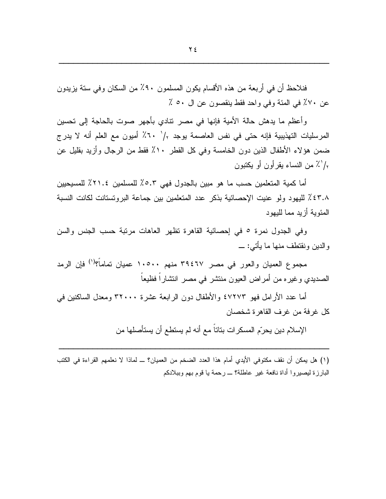فنلاحظ أن في أربعة من هذه الأقسام يكون المسلمون ٩٠٪ من السكان وفي ستة يزيدون عن ٧٠٪ في المئة وفي واحد فقط بنقصون عن ال ٥٠ ٪

وأعظم ما يدهش حالة الأمية فإنها في مصر نتادي بأجهر صوت بالحاجة إلىي تحسين المرسليات التهذيبية فإنه حتى في نفس العاصمة يوجد 1⁄2 × 7٪ أميون مع العلم أنه لا يدرج ضمن هؤلاء الأطفال الذين دون الخامسة وفي كل القطر ١٠٪ فقط من الرجال وأزيد بقليل عن 1⁄2 من النساء يقرأون أو يكتبون

أما كمية المتعلمين حسب ما هو مبين بالجدول فهي ٥.٣٪ للمسلمين ٢١.٤٪ للمسيحيين ٤٣.٨٪ لليهود ولو عنيت الإحصائية بذكر عدد المتعلمين بين جماعة البروتستانت لكانت النسبة المئوبة أزبد مما للبهود

وفي الجدول نمرة ٥ في إحصائية القاهرة نظهر العاهات مرتبة حسب الجنس والسن والدين ونقتطف منها ما يأتي: \_

مجموع العميان والعور في مصر ٣٩٤٦٧ منهم ١٠٥٠٠ عميان تماماً؟<sup>(١)</sup> فإن الرمد الصديدي وغيره من أمراض العيون منتشر في مصر انتشاراً فظيعاً

أما عدد الأرامل فهو ٤٧٢٧٣ والأطفال دون الرابعة عشرة ٣٢٠٠٠ ومعدل الساكنين في كل غرفة من غرف القاهر ة شخصان

الإسلام دين يحرّم المسكرات بناتاً مع أنه لم يستطع أن يستأصلها من

(١) هل يمكن أن نقف مكتوفي الأيدي أمام هذا العدد الضخم من العميان؟ ــ لماذا لا نعلمهم القراءة في الكتب البارزة ليصيروا أداة نافعة غير عاطلة؟ \_ رحمة يا قوم بهم وببلادكم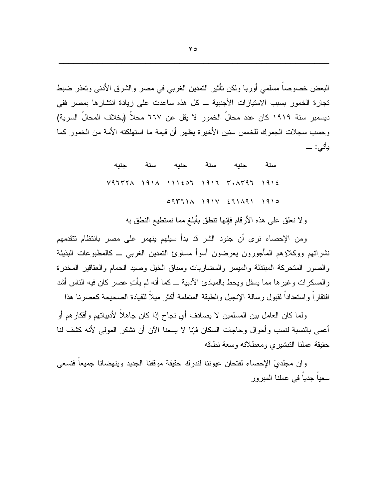البعض خصوصاً مسلمي أوربا ولكن تأثير التمدين الغربي في مصر والشرق الأدنى وتعذر ضبط تجارة الخمور بسبب الامتيازات الأجنبية ـــ كل هذه ساعدت على زيادة انتشارها بمصر ففي ديسمبر ِ سنة ١٩١٩ كان عدد محالَ الخمور لا يقل عن ٦٦٧ محلاً (بخلاف المحالِّ السرية) وحسب سجلات الجمرك للخمس سنين الأخير ة يظهر أن قيمة ما استهلكته الأمة من الخمور كما يأتى: \_

> جنبه سنة جنبه سنة جنبه سنة  $V4777 \wedge 191 \wedge 111207 1917 7. \wedge 7972 1912$  $O(171)$   $A$   $191$   $C$   $211$   $A91$   $191$   $O$

> > ولا نعلق على هذه الأرقام فإنها نتطق بأبلغ مما نستطيع النطق به

ومن الإحصاء نرى أن جنود الشر قد بدأ سيلهم ينهمر على مصر بانتظام تتقدمهم نشراتهم ووكلاؤهم المأجورون يعرضون أسوأ مساوئ النمدين الغرببي ــ كالمطبوعات البذيئة والصور المتحركة المبتذلة والمبسر والمضاربات وسباق الخيل وصبد الحمام والعقاقير المخدرة والمسكرات وغيرها مما يسفل ويحط بالمبادئ الأدبية ـــ كما أنه لم يأتِ عصر كان فيه الناس أشد افتقارا واستعدادا لقبول رسالة الإنجيل والطبقة المتعلمة أكثر ميلا للقيادة الصحيحة كعصرنا هذا

ولما كان العامل بين المسلمين لا يصادف أي نجاح إذا كان جاهلاً لأدبياتهم وأفكارهم أو أعمى بالنسبة لنسب وأحوال وحاجات السكان فإنا لا يسعنا الآن أن نشكر المولى لأنه كشف لنا حقيقة عملنا التبشيري ومعطلاته وسعة نطاقه

و ان مجلديْ الإحصاء لفتحان عيوننا لندرك حقيقة موقفنا الجديد وينهضانا جميعا فنسعى سعياً جدياً في عملنا المبرور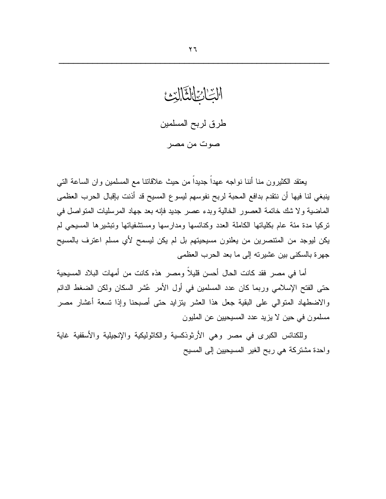الابت ارج القالة طرق لربح المسلمين صوت من مصر

يعتقد الكثيرون منا أننا نواجه عهداً جديداً من حيث علاقاتنا مع المسلمين وان الساعة التبي ينبغي لنا فيها أن نتقدم بدافع المحبة لربح نفوسهم ليسوع المسيح قد أذنت بإقبال الحرب العظمى الماضية ولا شك خاتمة العصور الخالية وبدء عصر جديد فإنه بعد جهاد المرسليات المنواصل في تركيا مدة مئة عام بكلياتها الكاملة العدد وكنائسها ومدارسها ومستثنفياتها وتبشيرها المسيحي لم يكن ليوجد من المنتصرين من يعلنون مسيحيتهم بل لم يكن ليسمح لأي مسلم اعترف بالمسيح جهرة بالسكني بين عشيرته إلى ما بعد الحرب العظمى

أما في مصر فقد كانت الحال أحسن قليلاً ومصر ٍ هذه كانت من أمهات البلاد المسيحية حتى الفتح الإسلامي وربما كان عدد المسلمين في أول الأمر عُشر السكان ولكن الضغط الدائم والاضطهاد المنوالي على البقية جعل هذا العشر بنزايد حتى أصبحنا وإذا نسعة أعشار مصر مسلمون في حين لا يزيد عدد المسيحيين عن المليون

وللكنائس الكبرى في مصر وهي الأرثوذكسية والكاثوليكية والإنجيلية والأسقفية غاية واحدة مشتركة هي ربح الغير المسيحيين إلىي المسيح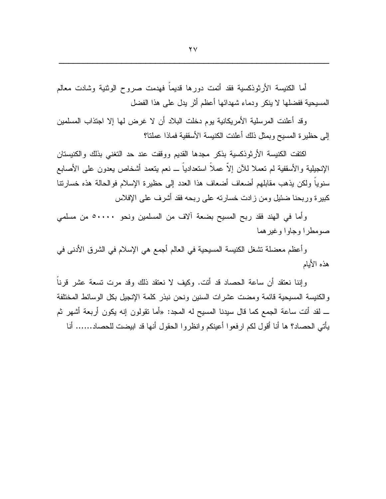أما الكنيسة الأرثوذكسية فقد أتمت دورها قديماً فهدمت صروح الوثنية وشادت معالم المسيحية ففضلها لا ينكر ودماء شهدائها أعظم أثر يدل على هذا الفضل

وقد أعلنت المرسلية الأمريكانية يوم دخلت البلاد أن لا غرض لها إلا اجتذاب المسلمين إلى حظير ة المسيح وبمثل ذلك أعلنت الكنيسة الأسقفية فماذا عملتا؟

اكتفت الكنيسة الأرثوذكسية بذكر مجدها القديم ووقفت عند حد التغني بذلك والكنيستان الإنجيلية والأسقفية لم نعملا للأن إلاَّ عملاً استعدادياً ـــ نعم بينعمد أشخاص بعدون على الأصابع سنوياً ولكن يذهب مقابلهم أضعاف أضعاف هذا العدد إلى حظيرة الإسلام فوالحالة هذه خسارتنا كبيرة وربحنا ضئيل ومن زادت خسارته على ربحه فقد أشرف على الإفلاس

وأما في الهند فقد ربح المسيح بضعة آلاف من المسلمين ونحو ٥٠٠٠٠ من مسلمي صومطرا وجاوا وغيرهما

وأعظم معضلة نشغل الكنيسة المسيحية في العالم أجمع هي الإسلام في الشرق الأدنى في هذه الأيام

وإننا نعتقد أن ساعة الحصاد قد أنت. وكيف لا نعتقد ذلك وقد مرت تسعة عشر قرناً والكنيسة المسيحية قائمة ومضت عشرات السنين ونحن نبذر كلمة الإنجيل بكل الوسائط المختلفة ــ لقد أنت ساعة الجمع كما قال سيدنا المسيح له المجد: «أما نقولون إنه يكون أربعة أشهر ثم يأتي الحصاد؟ ها أنا أقول لكم ارفعوا أعينكم وانظروا الحقول أنها قد ابيضت للحصاد...... أنا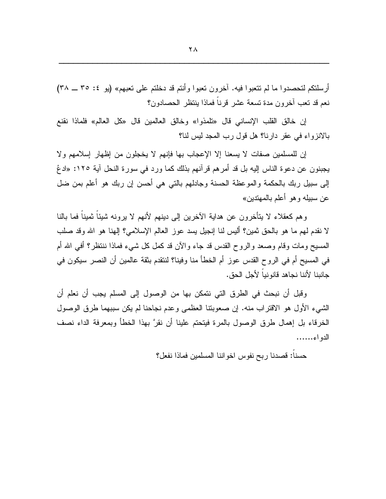أرسلتكم لتحصدوا ما لم تتعبوا فيه. آخرون تعبوا وأنتم قد دخلتم على تعبهم» (بو ٤: ٣٥ ــ ٣٨) نعم قد تعب أخرون مدة تسعة عشر قرناً فماذا ينتظر الحصادون؟

إن خالق القلب الإنساني قال «تلمذوا» وخالق العالمين قال «كل العالم» فلماذا نقنع بالانزواء في عقر دارنا؟ هل قول رب المجد ليس لنا؟

إن للمسلمين صفات لا يسعنا إلا الإعجاب بها فإنهم لا يخجلون من إظهار إسلامهم ولا يجبنون عن دعوة الناس إليه بل قد أمرهم قرآنهم بذلك كما ورد في سورة النحل آية ١٢٥: «ادعُ إلى سبيل ربك بالحكمة والموعظة الحسنة وجادلهم بالتبي هي أحسن إن ربك هو أعلم بمن ضل عن سبيله و هو أعلم بالمهتدين»

و هم كعقلاء لا يتأخرون عن هداية الآخرين إلى دينهم لأنهم لا يرونه شيئاً ثميناً فما بالنا لا نقدم لهم ما هو بالحق ثمين؟ أليس لنا إنجيل يسد عوز العالم الإسلامي؟ إلهنا هو الله وقد صلب المسيح ومات وقام وصعد والروح القدس قد جاء والآن قد كمل كل شبيء فماذا ننتظر؟ أفي الله أم في المسيح أم في الروح القدس عوز أم الخطأ منا وفينا؟ لنتقدم بنقة عالمين أن النصر سيكون في جانبنا لأننا نجاهد قانو نيا لأجل الحق.

وقبل أن نبحث في الطرق التي نتمكن بها من الوصول إلى المسلم يجب أن نعلم أن الشَّبِيءِ الأولِ هو الاقتراب منه. إن صعوبتنا العظمي وعدم نجاحنا لم يكن سببهما طرق الوصول الخرقاء بل إهمال طرق الوصول بالمرة فيتحتم علينا أن نقرَّ بهذا الخطأ وبمعرفة الداء نصف الدو اء......

حسنا: قصدنا ربح نفوس اخواننا المسلمين فماذا نفعل؟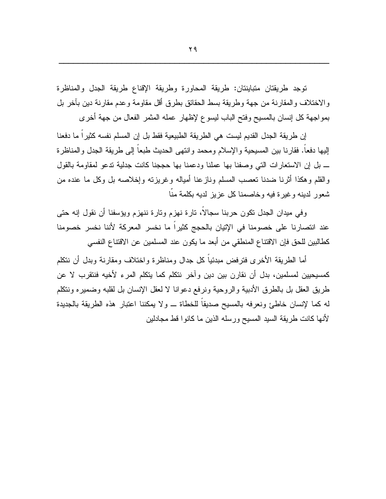توجد طريقتان متباينتان: طريقة المحاورة وطريقة الإقناع طريقة الجدل والمناظرة والاختلاف والمقارنة من جهة وطريقة بسط الحقائق بطرق أقل مقاومة وعدم مقارنة دين بآخر بل بمواجهة كل إنسان بالمسيح وفتح الباب ليسوع لإظهار عمله المثمر الفعال من جهة أخرى

إن طريقة الجدل القديم ليست هي الطريقة الطبيعية فقط بل إن المسلم نفسه كثيراً ما دفعنا إليها دفعاً. فقارنا بين المسيحية والإسلام ومحمد وإنتهى الحديث طبعاً إلى طريقة الجدل والمناظرة ــ بل إن الاستعارات التي وصفنا بها عملنا ودعمنا بها حججنا كانت جدلية تدعو لمقاومة بالقول والقلم وهكذا أثرنا ضدنا تعصب المسلم ونازعنا أمياله وغريزته وإخلاصه بل وكل ما عنده من شعور لدبنه وغبرة فبه وخاصمنا كل عزبز لدبه بكلمة منا

وفي ميدان الجدل نكون حربنا سجالا، نارة نهزم ونارة ننهزم ويؤسفنا أن نقول إنه حتى عند انتصارنا على خصومنا في الإتيان بالحجج كثيراً ما نخسر المعركة لأننا نخسر خصومنا كطالبين للحق فإن الاقتناع المنطقي من أبعد ما يكون عند المسلمين عن الاقتناع النفسي

أما الطريقة الأخرى فترفض مبدئياً كل جدال ومناظرة واختلاف ومقارنة وبدل أن نتكلم كمسيحيين لمسلمين، بدل أن نقارن بين دين وآخر نتكلم كما يتكلم المرء لأخيه فنتقرب لا عن طريق العقل بل بالطرق الأدبية والروحية ونرفع دعوانا لا لعقل الإنسان بل لقلبه وضميره وننكلم له كما لإنسان خاطئ ونعرفه بالمسيح صديقاً للخطاة \_ ولا يمكننا اعتبار هذه الطريقة بالجديدة لأنها كانت طريقة السيد المسيح ورسله الذين ما كانوا قط مجادلين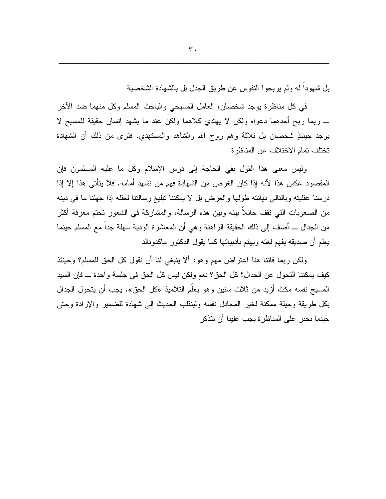بل شهوداً له ولم ير بحو ا النفوس عن طريق الجدل بل بالشهادة الشخصية

في كل مناظرة بوجد شخصان، العامل المسبحي والباحث المسلم وكل منهما ضد الآخر \_ ربما ربح أحدهما دعواه ولكن لا يهتدي كلاهما ولكن عند ما يشهد إنسان حقيقة للمسيح لا بوجد حينئذٍ شخصانٍ بل ثلاثةٍ وهم روحٍ الله والشاهد والمستهدي. فترى من ذلك أن الشهادة تختلف تمام الاختلاف عن المناظرة

وليس معنى هذا القول نفى الحاجة إلى درس الإسلام وكل ما عليه المسلمون فإن المقصود عكس هذا لأنه إذا كان الغرض من الشهادة فهم من نشهد أمامه. فلا يتأتى هذا إلا إذا درسنا عقليته وبالنالي ديانته طولها والعرض بل لا يمكننا تبليغ رسالتنا لعقله إذا جهلنا ما في دينه من الصعوبات التي تقف حائلا ببنه وبين هذه الرسالة، والمشاركة في الشعور تحتم معرفة أكثر من الجدال ـــ أضف إلى ذلك الحقيقة الراهنة و هي أن المعاشرة الودية سهلة جدا مع المسلم حينما يعلم أن صديقه يفهم لغته ويهتم بأدبياتها كما يقول الدكتور ٍ ماكدونالد

ولكن ربما فاتنا هنا اعتراض مهم وهو: ألا ينبغي لنا أن نقول كل الحق للمسلم؟ وحينئذ كيف يمكننا النحول عن الجدال؟ كل الحق؟ نعم ولكن ليس كل الحق في جلسة واحدة ـــ فإن السيد المسيح نفسه مكث أزيد من ثلاث سنين وهو يعلم التلاميذ «كل الحق». يجب أن يتحول الجدال بكل طريقة وحيلة ممكنة لخير المجادل نفسه ولينقلب الحديث إلى شهادة للضمير والإرادة وحتى حينما نجبر على المناظرة يجب علينا أن نتذكر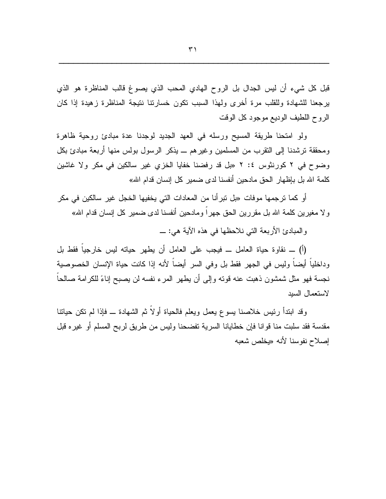قبل كل شيء أن ليس الجدال بل الروح الهادي المحب الذي يصوغ قالب المناظرة هو الذي برجعنا للشهادة وللقلب مرة أخرى ولهذا السبب نكون خسارنتا ننتيجة المناظرة زهيدة إذا كان الروح اللطيف الوديع موجود كل الوقت

ولو امتحنا طريقة المسيح ورسله في العهد الجديد لوجدنا عدة مبادئ روحية ظاهرة ومحققة نرشدنا إلى النقرب من المسلمين وغيرهم ـــ يذكر الرسول بولس منها أربعة مبادئ بكل وضوح في ٢ كورنثوس ٤: ٢ «بل قد رفضنا خفايا الخزي غير سالكين في مكر ولا غاشين كلمة الله بل بإظهار الحق مادحين أنفسنا لدى ضمير كل إنسان قدام الله»

أو كما ترجمها موفات «بل تبرأنا من المعادات التي يخفيها الخجل غير سالكين في مكر ولا مغيرين كلمة الله بل مقررين الحق جهراً ومادحين أنفسنا لدى ضمير كل إنسان قدام الله»

والمبادئ الأربعة التي نلاحظها في هذه الآية هي: \_

(أ) ـــ نقاوة حياة العامل ـــ فيجب على العامل أن يطهر حياته ليس خارجيا فقط بل وداخلياً أيضاً وليس في الجهر فقط بل وفي السر أيضاً لأنه إذا كانت حياة الإنسان الخصوصية نجسة فهو مثل شمشون ذهبت عنه قوته وإلى أن يطهر المرء نفسه لن يصبح إناءً للكرامة صالحاً لاستعمال السيد

وقد ابندأ رئيس خلاصنا بسوع يعمل ويعلم فالحياة أولاً ثم الشهادة ـــ فإذا لم نكن حياننا مقدسة فقد سلبت منا قوانا فإن خطايانا السرية تفضحنا وليس من طريق لربح المسلم أو غيره قبل إصلاح نفوسنا لأنه «يخلص شعبه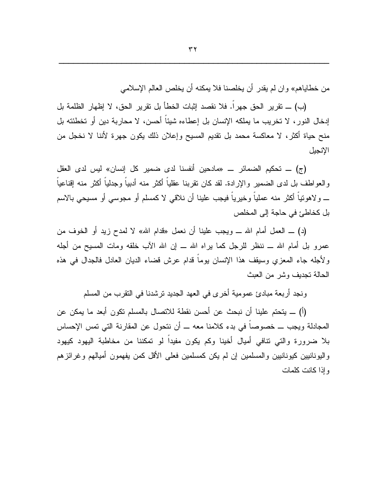من خطاياهم» و ان لم يقدر أن يخلصنا فلا يمكنه أن يخلص العالم الإسلامي

(ب) \_ تقرير الحق جهر اً. فلا نقصد إثبات الخطأ بل تقرير الحق، لا إظهار الظلمة بل إدخال النور ، لا تخريب ما يملكه الإنسان بل إعطاءه شيئا أحسن، لا محاربة دين أو تخطئته بل منح حياة أكثر، لا معاكسة محمد بل نقديم المسيح وإعلان ذلك يكون جهرة لأننا لا نخجل من الإنجبل

(ج) ـــ تحكيم الضمائر ـــ «مادحين أنفسنا لدى ضمير كل إنسان» ليس لدى العقل والعواطف بل لدى الضمير والإرادة. لقد كان نقربنا عقلياً أكثر منه أدبياً وجدلياً أكثر منه إقناعياً \_ ولاهونيا أكثر منه عمليا وخيريا فيجب علينا أن نلاقي لا كمسلم أو مجوسي أو مسيحي بالاسم بل كخاطئ في حاجة إلى المخلص

(د) ــ العمل أمام الله ـــ ويجب علينا أن نعمل «قدام الله» لا لمدح زيد أو الخوف من عمر و بل أمام الله ـــ ننظر للرجل كما بر اه الله ـــ إن الله الآب خلقه ومات المسيح من أجله ولأجله جاء المعزي وسيقف هذا الإنسان بوما قدام عرش قضاء الديان العادل فالجدال في هذه الحالة تجديف وشر من العبث

ونجد أربعة مبادئ عمومية أخرى في العهد الجديد ترشدنا في النقرب من المسلم

(أ) ـــ يتحتم علينا أن نبحث عن أحسن نقطة للاتصال بالمسلم تكون أبعد ما يمكن عن المجادلة ويجب ـــ خصوصا في بدء كلامنا معه ـــ أن نتحول عن المقارنة التي تمس الإحساس بلا ضرورة والتي نتافى أميال أخينا وكم يكون مفيدا لو تمكننا من مخاطبة اليهود كيهود واليونانيين كيونانيين والمسلمين إن لم يكن كمسلمين فعلى الأقل كمن يفهمون أميالهم وغرائزهم و اذا كانت كلمات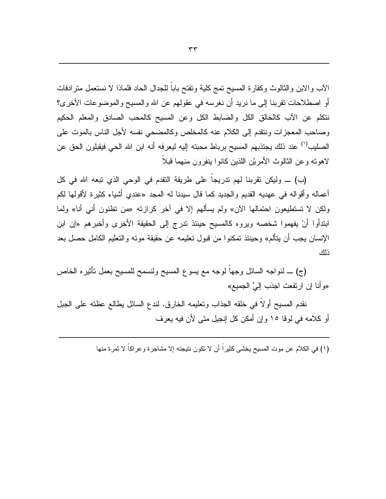الآب والابن والثالوث وكفارة المسيح تمج كلية وتفتح باباً للجدال الحاد فلماذا لا نستعمل مترادفات أو اصطلاحات نقربنا إلى ما نريد أن نغرسه في عقولهم عن الله والمسيح والموضوعات الأخرى؟ نتكلَّم عن الآب كالخالق الكل والضابط الكل وعن المسيح كالمحب الصادق والمعلِّم الحكيم وصباحب المعجز ات ونتقدم إلى الكلام عنه كالمخلص وكالمضبحي نفسه لأجل الناس بالموت على الصليب<sup>(י)</sup> عند ذلك يجتذبهم المسيح برباط محبته إليه ليعرفه أنه ابن الله الحي فيقبلون الحق عن لاهونـه وعن الثالوث الأمريْن اللذين كانوا ينفرون منهما قبلاً

(ب) \_ وليكن تقربنا لهم ندريجا على طريقة النقدم في الوحي الذي نبعه الله في كل أعماله وأقواله في عهديه القديم والجديد كما قال سيدنا له المجد «عندي أشياء كثيرة لأقولها لكم ولكن لا تستطيعون احتمالها الآن» ولم يسألهم إلا في أخر كرازته «من تظنون أنبي أنا» ولما ابندأوا أنْ يفهموا شخصه ويروه كالمسيح حينئذ ندرج إلى الحقيقة الأخرى وأخبرهم «إن ابن الإنسان يجب أن يتألم» وحينئذ تمكنوا من قبول تعليمه عن حقيقة موته والتعليم الكامل حصل بعد ذلك

(ج) ـــ لنواجه السائل وجها لوجه مع يسوع المسيح ولنسمح للمسيح بعمل نأثيره الخاص «و أنا إن ارتفعت اجذب إليَّ الجميع»

نقدم المسيح أولًا في خلقه الجذاب وتعليمه الخارق. لندع السائل بطالع عظته على الجبل أو كلامه في لوفا ١٥ وإن أمكن كل إنجيل متى لأن فيه يعرف

(١) في الكلام عن موت المسيح يخشى كثيراً أن لا تكون نتيجته إلا مشاجرة و عراكاً لا ثمرة منها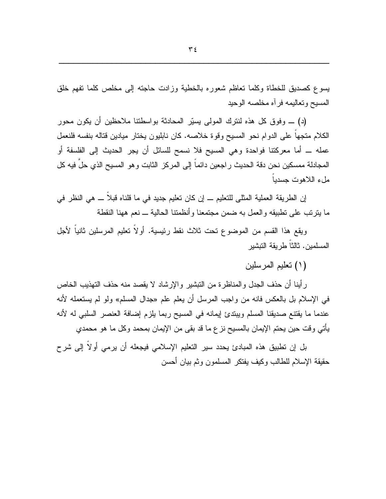يسوع كصديق للخطاة وكلما تعاظم شعوره بالخطبة وزادت حاجته إلى مخلص كلما نفهم خلق المسيح وتعاليمه فرأه مخلصه الوحيد

(د) ـــ وفوق كل هذه لنترك المولىي يسيّر المحادثة بواسطتنا ملاحظين أن يكون محور الكلام متجهاً على الدوام نحو المسيح وفوة خلاصه. كان نابليون يختار ميادين قتاله بنفسه فلنعمل عمله ـــ أما معركنتا فواحدة وهي المسيح فلا نسمح للسائل أن يجر الحديث إلى الفلسفة أو المجادلة ممسكين نحن دقة الحديث راجعين دائما إلى المركز الثابت وهو المسيح الذي حل فيه كل ملء اللاهوت جسديا

إن الطريقة العملية المثلي للتعليم ــ إن كان تعليم جديد في ما قلناه قبلا ـــ هي النظر في ما يترتب على نطبيقه والعمل به ضمن مجتمعنا وأنظمتنا الحالية ــ نعم ههنا النقطة

ويقع هذا القسم من الموضوع تحت ثلاث نقط رئيسية. أولا تعليم المرسلين ثانيا لأجل المسلمبن. ثالثاً طر بقة التبشبر

(١) تعليم المرسلين

رِ أينا أن حذف الجدل و المناظر ة من النبشير ۖ والإرشاد لا يقصد منه حذف النهذيب الخاص في الإسلام بل بالعكس فانه من واجب المرسل أن يعلم علم «جدال المسلم» ولو لم يستعمله لأنه عندما ما يقتنع صديقنا المسلم ويبتدئ إيمانه في المسيح ربما يلزم إضافة العنصر السلبي له لأنه يأتي وقت حين يحتم الإيمان بالمسيح نز ع ما قد بقي من الإيمان بمحمد وكل ما هو محمدي

بل إن نطبيق هذه المبادئ يحدد سير النعليم الإسلامي فيجعله أن يرمى أولاً إلى شرح حقيقة الإسلام للطالب وكيف يفتكر المسلمون وثم بيان أحسن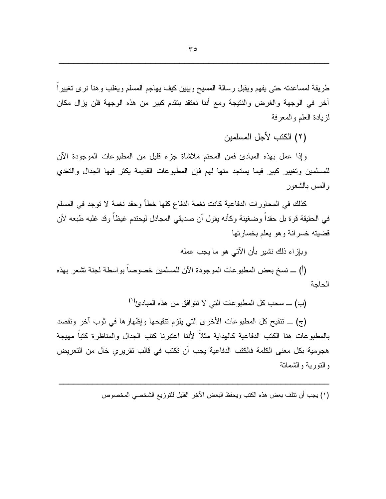طريقة لمساعدته حتى يفهم ويقبل رسالة المسيح ويبين كيف يهاجم المسلم ويغلب وهنا نرى تغييرا أخر في الوجهة والغرض والنتيجة ومع أننا نعتقد بتقدم كبير من هذه الوجهة فلن يزال مكان لزيادة العلم والمعرفة

(٢) الكتب لأجل المسلمين

وإذا عمل بهذه المبادئ فمن المحتم ملاشاة جزء قليل من المطبوعات الموجودة الأن للمسلمين وتغيير كبير فيما يستجد منها لهم فإن المطبوعات القديمة يكثر فيها الجدال والتعدي والمس بالشعور

كذلك في المحاورات الدفاعية كانت نغمة الدفاع كلها خطأ وحقد نغمة لا توجد في المسلم في الحقيقة قوة بل حقداً وضغينة وكأنه يقول أن صديقي المجادل ليحتدم غيظاً وقد غلبه طبعه لأن قضيته خسر انة وهو يعلم بخسار تها

وبإزاء ذلك نشير بأن الآتي هو ما يجب عمله

(أ) \_ نسخ بعض المطبوعات الموجودة الآن للمسلمين خصوصاً بواسطة لجنة نشعر بهذه الحاحة

(ب) \_ سحب كل المطبوعات التي لا نتوافق من هذه المبادئ<sup>(י)</sup>

(ج) \_ نتقيح كل المطبوعات الأخرى التي يلزم نتقيحها وإظهارها في ثوب أخر ونقصد بالمطبوعات هنا الكتب الدفاعية كالهداية مثلاً لأننا اعتبرنا كتب الجدال والمناظرة كتباً مهيجة هجومية بكل معنى الكلمة فالكتب الدفاعية يجب أن تكتب في قالب تقريري خال من التعريض والنوربة والشمانة

(١) يجب أن نتلف بعض هذه الكتب ويحفظ البعض الآخر القليل للتوزيع الشخصبي المخصوص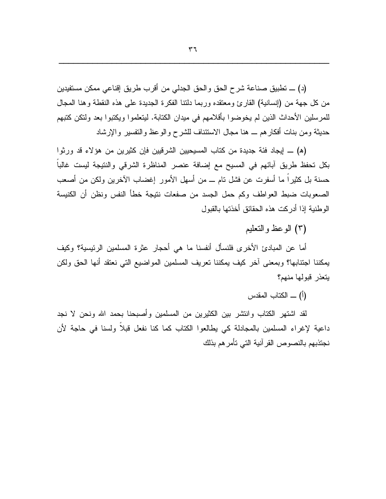(د) \_ تطبيق صناعة شرح الحق والحق الجدلي من أقرب طريق إقناعي ممكن مستفيدين من كل جهة من (إنسانية) القارئ ومعتقده وربما دلتنا الفكرة الجديدة على هذه النقطة وهنا المجال للمرسلين الأحداث الذين لم يخوضوا بأقلامهم في ميدان الكتابة. ليتعلموا ويكتبوا بعد ولتكن كتبهم حديثة ومن بنات أفكارهم ـــ هنا مجال الاستئناف للشرح والوعظ والتفسير والإرشاد

(ه) \_ إيجاد فئة جديدة من كتاب المسيحيين الشرقيين فإن كثيرين من هؤلاء قد ورثوا بكل تحفظ طريق آبائهم في المسيح مع إضافة عنصر المناظرة الشرقي والنتيجة ليست غالباً حسنة بل كثيراً ما أسفرت عن فشل نام ـــ من أسهل الأمور إغضاب الآخرين ولكن من أصعب الصعوبات ضبط العواطف وكم حمل الجسد من صفعات نتيجة خطأ النفس ونظن أن الكنيسة الوطنية إذا أدركت هذه الحقائق أخذتها بالقبول

(٣) الو عظ و التعليم

أما عن المبادئ الأخرى فلنسأل أنفسنا ما هي أحجار عثرة المسلمين الرئيسية؟ وكيف يمكننا اجتنابها؟ وبمعنى آخر كيف يمكننا تعريف المسلمين المواضيع التي نعتقد أنها الحق ولكن بتعذر قبولها منهم؟

(أ) \_ الكتاب المقدس

لقد اشتهر الكتاب وانتشر بين الكثيرين من المسلمين وأصبحنا بحمد الله ونحن لا نجد داعية لإغراء المسلمين بالمجادلة كي يطالعوا الكتاب كما كنا نفعل قبلا ولسنا في حاجة لأن نجتذبهم بالنصوص القر آنية التي تأمر هم بذلك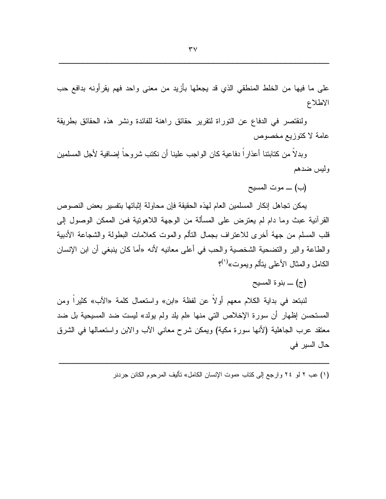على ما فيها من الخلط المنطقى الذي قد يجعلها بأزيد من معنى واحد فهم يقرأونه بدافع حب الاطلاع

ولنقتصر في الدفاع عن التوراة لتقرير حقائق راهنة للفائدة ونشر هذه الحقائق بطريقة عامة لاكتوزيع مخصوص

وبدلاً من كتابتنا أعذار اُ دفاعية كان الواجب علينا أن نكتب شروحاً إضافية لأجل المسلمين وليس ضدهم

(ب) ـــ موت المسيح

يمكن تجاهل إنكار المسلمين العام لهذه الحقيقة فإن محاولة إثباتها بتفسير بعض النصوص القرآنية عبث وما دام لم يعترض على المسألة من الوجهة اللاهونية فمن الممكن الوصول إلى قلب المسلم من جهة أخرى للاعتراف بجمال النألم والموت كعلامات البطولة والشجاعة الأدبية والطاعة والبر والتضحية الشخصية والحب في أعلى معانيه لأنه «أما كان ينبغي أن ابن الإنسان الكامل والمثال الأعلى يتألم ويموت»<sup>(١</sup>)؟

(ج) ـــ بنوة المسيح

لنبتعد في بداية الكلام معهم أولا عن لفظة «ابن» واستعمال كلمة «الأب» كثيرًا ومن المستحسن إظهار أن سورة الإخلاص التبي منها «لم يلد ولم يولد» ليست ضد المسيحية بل ضد معنقد عرب الجاهلية (لأنها سورة مكية) ويمكن شرح معانـي الأب والابن واستعمالـها فـي الشرق حال السير في

(١) عب ٢ لمو ٢٤ وارجع إلى كتاب «موت الإنسان الكامل» تأليف المرحوم الكانن جردنر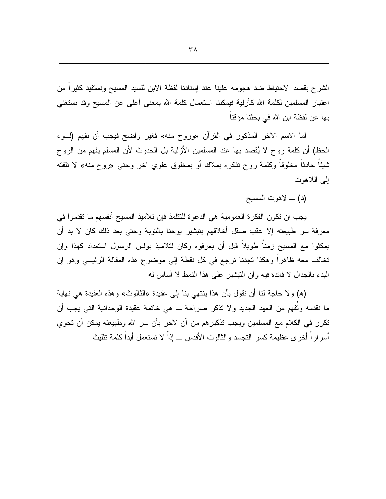الشرح بقصد الاحتياط ضد هجومه علينا عند إسنادنا لفظة الابن للسيد المسيح ونستفيد كثيراً من اعتبار المسلمين لكلمة الله كأزلية فيمكننا استعمال كلمة الله بمعنى أعلى عن المسيح وقد نستغنى بها عن لفظة ابن الله في بحثنا مؤقتا

أما الاسم الآخر المذكور في القرآن «وروح منه» فغير واضح فيجب أن نفهم (لسوء الحظ) أن كلمة روح لا يُقصد بها عند المسلمين الأزلية بل الحدوث لأن المسلم يفهم من الروح شيئًا حادثًا مخلوقًا وكلمة روح نذكره بملاك أو بمخلوق علوي أخر وحتى «روح منه» لا نلفته إلى اللاهوت

(د) \_ لاهوت المسيح

يجب أن تكون الفكرة العمومية هي الدعوة للتتلمذ فإن تلاميذ المسيح أنفسهم ما تقدموا في معرفة سر طبيعته إلا عقب صقل أخلاقهم بتبشير بوحنا بالتوبة وحتى بعد ذلك كان لا بد أن يمكثوا مع المسيح زمناً طويلاً قبل أن يعرفوه وكان لتلاميذ بولس الرسول استعداد كهذا وإن تخالف معه ظاهرًا وهكذا تجدنا نرجع في كل نقطة إلى موضوع هذه المقالة الرئيسي وهو إن البدء بالجدال لا فائدة فيه وأن النبشير على هذا النمط لا أساس له

(ه) ولا حاجة لنا أن نقول بأن هذا ينتهي بنا إلى عقيدة «الثالوث» وهذه العقيدة هي نهاية ما نقدمه ونفهم من العهد الجديد ولا نذكر صراحة ـــ هي خانمة عقيدة الوحدانية النبي يجب أن نكرر في الكلام مع المسلمين ويجب نذكير هم من أن لأخر بأن سر الله وطبيعته يمكن أن نحوي أسراراً أخرى عظيمة كسر التجسد والثالوث الأقدس ـــ إذاً لا نستعمل أبداً كلمة تثليث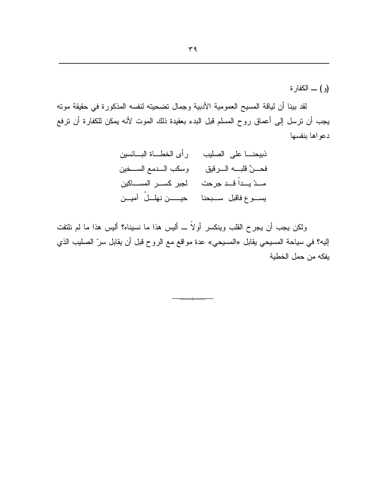$r \eta$ 

(و ) \_ الكفار ة

لقد بينا أن لياقة المسيح العمومية الأدبية وجمال تضحيته لنفسه المذكورة في حقيقة موته يجب أن نرسل إلى أعماق روح المسلم قبل البدء بعقيدة ذلك الموت لأنه يمكن للكفارة أن نرفع دعواها بنفسها

ولكن يجب أن يجرح القلب وينكسر أولاً ـــ أليس هذا ما نسيناه؟ أليس هذا ما لم نلتفت إليه؟ في سياحة المسيحي يقابل «المسيحي» عدة مواقع مع الروح قبل أن يقابل سرّ الصليب الذي يفكه من حمل الخطية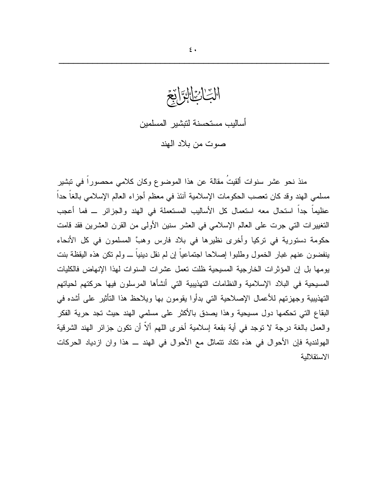التِادِيا أساليب مستحسنة لتبشير المسلمين صوت من بلاد الهند

منذ نحو عشر سنوات ألقيتُ مقالة عن هذا الموضوع وكان كلامي محصوراً في تبشير مسلمي الهند وقد كان نعصب الحكومات الإسلامية آنئذ في معظم أجزاء العالم الإسلامي بالغاً حداً عظيماً جداً استحال معه استعمال كل الأساليب المستعملة في الهند والجزائر ــ فما أعجب التغيير ات التي جرت على العالم الإسلامي في العشر سنين الأولى من القرن العشرين فقد قامت حكومة دستورية في تركيا وأخرى نظيرها في بلاد فارس وهبَّ المسلمون في كل الأنحاء ينفضون عنهم غبار الخمول وطلبوا إصلاحا اجتماعياً إن لم نقل دينياً ـــ ولم نكن هذه اليقظة بنت يومها بل إن المؤثرات الخارجية المسيحية ظلت نعمل عشرات السنوات لهذا الإنهاض فالكليات المسيحية في البلاد الإسلامية والنظامات التهذيبية التي أنشأها المرسلون فيها حركتهم لحياتهم النهذيبية وجهزتهم للأعمال الإصلاحية التبي بدأوا يقومون بها ويلاحظ هذا النأثير على أشده في البقاع التي تحكمها دول مسيحية وهذا يصدق بالأكثر على مسلمي الهند حيث تجد حرية الفكر والعمل بالغة درجة لا نوجد في أية بقعة إسلامية أخرى اللهم ألاً أن نكون جزائر الهند الشرقية الهولندية فإن الأحوال في هذه تكاد نتماثل مع الأحوال في الهند ـــ هذا وان ازدياد الحركات الاستقلالية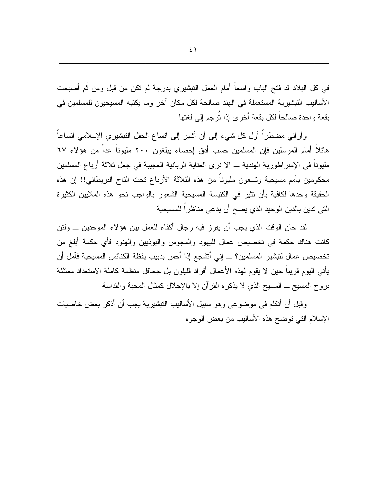في كل البلاد قد فتح الباب واسعاً أمام العمل النبشيري بدرجة لم نكن من قبل ومن ثُم أصبحت الأساليب التبشيرية المستعملة في الهند صالحة لكل مكان آخر وما يكتبه المسيحيون للمسلمين في بقعة واحدة صالحاً لكل بقعة أخرى إذا تُرجم إلى لغتها

وأرانبي مضطراً أول كل شيء إلىي أن أشير إلىي انساع الحقل النبشيري الإسلامي انساعاً هائلاً أمام المرسلين فإن المسلمين حسب أدق إحصاء يبلغون ٢٠٠ مليوناً عداً من هؤلاء ٦٧ مليوناً في الإمبراطورية الهندية ـــ إلا نرى العناية الربانية العجيبة في جعل ثلاثة أرباع المسلمين محكومين بأمم مسيحية وتسعون مليوناً من هذه الثلاثة الأرباع تحت التاج البريطاني!! إن هذه الحقيقة وحدها لكافية بأن نثير في الكنيسة المسيحية الشعور بالواجب نحو هذه الملايين الكثيرة التي تدين بالدين الوحيد الذي يصح أن يدعى مناظراً للمسيحية

لقد حان الوقت الذي يجب أن يفرز فيه رجال أكفاء للعمل بين هؤلاء الموحدين ـــ ولئن كانت هناك حكمة في تخصيص عمال لليهود والمجوس والبوذبين والهنود فأي حكمة أبلغ من تخصيص عمال لتبشير المسلمين؟ ـــ إني أتشجع إذا أحس بدبيب يقظة الكنائس المسيحية فآمل أن يأتي اليوم قريباً حين لا يقوم لهذه الأعمال أفراد قليلون بل جحافل منظمة كاملة الاستعداد ممتلئة بروح المسيح \_ المسيح الذي لا يذكره القرآن إلا بالإجلال كمثال المحبة والقداسة

وفَبِل أن أتكلم في موضوعي وهو سبيل الأساليب التبشيرية يجب أن أذكر بعض خاصيات الإسلام النبي نوضح هذه الأساليب من بعض الوجوه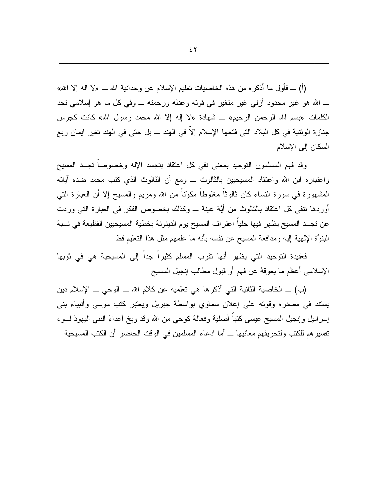(أ) \_ فأول ما أذكره من هذه الخاصيات تعليم الإسلام عن وحدانية الله \_ «لا إله إلا الله» ـــ الله هو غير محدود أزلمي غير متغير في قوته وعدله ورحمته ــــ وفي كل ما هو إسلامي تجد الكلمات «بسم الله الرحمن الرحيم» ـــ شهادة «لا إله إلا الله محمد رسول الله» كانت كجرس جناز ة الوثنية في كل البلاد التي فتحها الإسلام إلاً في الهند ـــ بل حتى في الهند تغير إيمان ربع السكان إلى الإسلام

وقد فهم المسلمون النوحيد بمعنى نفى كل اعتقاد بنجسد الإله وخصوصا نجسد المسيح واعتباره ابن الله واعتقاد المسيحيين بالثالوث ـــ ومع أن الثالوث الذي كتب محمد ضده آباته الْمَشْهُورة في سورة النساء كان ثالوثًا مغلوطاً مكوّناً من الله ومريع والمسيح إلا أن العبارة النبي أوردها نتفي كل اعتقاد بالثالوث من أيَّة عينة \_ وكذلك بخصوص الفكر في العبارة التي وردت عن نجسد المسيح يظهر فيها جليا اعتراف المسيح يوم الدينونة بخطية المسيحيين الفظيعة في نسبة الْبِنوَّة الإلهية إليه ومدافعة المسيح عن نفسه بأنه ما علمهم مثل هذا النعليم قط

فعقيدة التوحيد التي يظهر أنها تقرب المسلم كثيراً جداً إلى المسيحية هي في ثوبها الإسلامي أعظم ما يعوقهُ عن فهم أو قبول مطالب إنجيل المسيح

(ب) \_ الخاصية الثانية التي أذكرها هي تعلميه عن كلام الله \_ الوحي \_ الإسلام دين يستند في مصدره وقوته على إعلان سماوي بواسطة جبريل ويعتبر كتب موسى وأنبياء بنبي إسرائيل وإنجيل المسيح عيسى كتبا أصلية وفعالة كوحي من الله وقد وبخ أعداءَ النبي اليهودَ لسوء تفسير هم للكتب ولتحريفهم معانيها ـــ أما ادعاء المسلمين في الوقت الحاضر أن الكتب المسيحية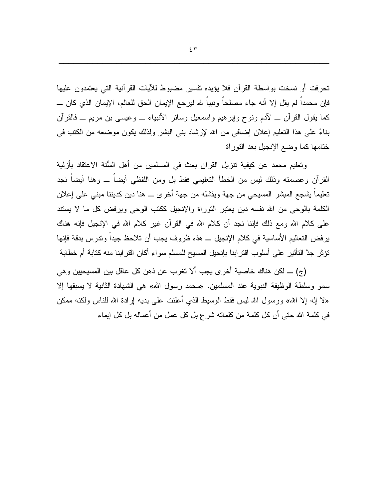تحرفت أو نسخت بواسطة القرآن فلا يؤيده تفسير مضبوط للأيات القرآنية التي يعتمدون عليها فإن محمداً لم يقل إلا أنه جاء مصلحاً ونبياً لله ليرجع الإيمان الحق للعالم، الإيمان الذي كان ــــــــــــــــــ كما يقول القرآن ــ لأدم ونوح وإبرهيم واسمعيل وسائر الأنبياء ــ وعيسى بن مريم ــ فالقرآن بناءً على هذا النعليم إعلان إضافي من الله لإرشاد بنبي البشر ولذلك يكون موضعه من الكتب في ختامها كما وضع الإنجيل بعد النوراة

وتعليم محمد عن كيفية تتزيل القرآن بعث في المسلمين من أهل السُّنة الاعتقاد بأزلية القرآن وعصمته وذلك ليس من الخطأ التعليمي فقط بل ومن اللفظي أيضا ـــ وهنا أيضا نجد تعليما يشجع المبشر المسيحي من جهة ويفشله من جهة أخرى \_ هنا دين كديننا مبنى على إعلان الكلمة بالوحي من الله نفسه دين يعتبر التوراة والإنجيل ككتب الوحي ويرفض كل ما لا يستند على كلام الله ومع ذلك فإننا نجد أن كلام الله في القرآن غير كلام الله في الإنجيل فإنه هناك يرفض التعاليم الأساسية في كلام الإنجيل ـــ هذه ظروف يجب أن تلاحظ جيداً وتدرس بدقة فإنها نؤثر جدَّ النَّأثير على أسلوب اقترابنا بإنجيل المسيح للمسلم سواء أكان اقترابنا منه كتابة أم خطابة

(ج) ـــ لكن هناك خاصية أخرى يجب ألا تغرب عن ذهن كل عاقل بين المسيحيين وهي سمو وسلطة الوظيفة النبوية عند المسلمين. «محمد رسول الله» هي الشهادة الثانية لا يسبقها إلا «لا إله إلا الله» ورسول الله ليس فقط الوسيط الذي أعلنت على يديه إرادة الله للناس ولكنه ممكن في كلمة الله حتى أن كل كلمة من كلماته شرع بل كل عمل من أعماله بل كل ايماء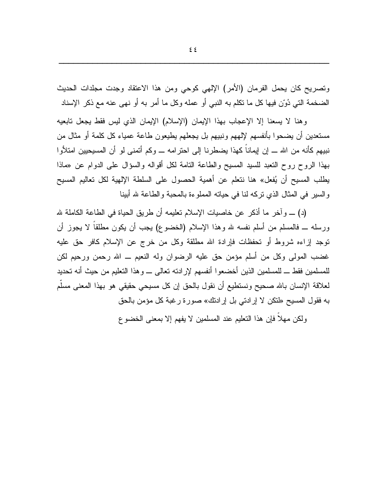ونصريح كان يحمل الفرمان (الأمر) الإلهي كوحي ومن هذا الاعتقاد وجدت مجلدات الحديث الضخمة التي دُوّن فيها كل ما تكلّم به النبي أو عمله وكل ما أمر به أو نهي عنه مع ذكر الإسناد

وهنا لا يسعنا إلا الإعجاب بهذا الإيمان (الإسلام) الإيمان الذي ليس فقط يجعل نابعيه مستعدين أن يضحوا بأنفسهم لإلههم ونبيهم بل يجعلهم يطيعون طاعة عمياء كل كلمة أو مثال من نبيهم كأنه من الله ــــ إن إيماناً كهذا يضطرنا إلى احترامه ـــ وكم أتمنى لو أن المسيحيين امتلأوا بهذا الروح روح التعبد للسبد المسيح والطاعة التامة لكل أقواله والسؤال على الدوام عن «ماذا يطلب المسيح أن يُفعل» هنا نتعلم عن أهمية الحصول على السلطة الإلهية لكل تعاليم المسيح والسبر في المثال الذي نركه لنا في حياته المملوءة بالمحبة والطاعة لله أبينا

(د) \_ وآخر ما أذكر عن خاصيات الإسلام تعليمه أن طريق الحياة في الطاعة الكاملة لله ورسله ـــ فالمسلم من أسلم نفسه لله وهذا الإسلام (الخضوع) يجب أن يكون مطلقاً لا يجوز أن نوجد إزاءه شروط أو نحفظات فإرادة الله مطلقة وكل من خرج عن الإسلام كافر حق عليه غضب المولَّى وكلَّ من أسلَّم مؤمن حقَّ عليه الرضوان وله النعيم ــ الله رحمن ورحيم لكن للمسلمين فقط ـــ للمسلمين الذين أخضعوا أنفسهم لإرادته تعالى ـــ وهذا التعليم من حيث أنه تحديد لعلاقة الإنسان بالله صحيح ونستطيع أن نقول بالحق إن كل مسيحي حقيقي هو بهذا المعنى مسلَّم به فقول المسيح «لنكن لا إرادتي بل إرادنك» صورة رغبة كل مؤمن بالحق

ولكن مهلا فإن هذا النعليم عند المسلمين لا يفهم إلا بمعنى الخضوع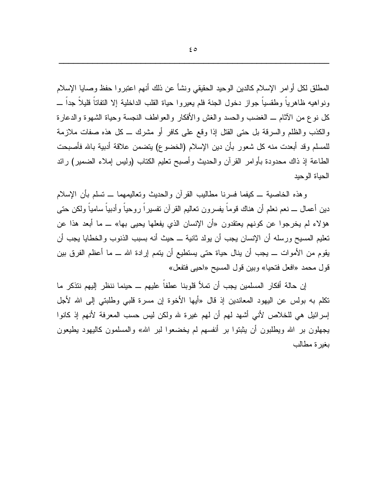المطلق لكل أوامر الإسلام كالدين الوحيد الحقيقي ونشأ عن ذلك أنهم اعتبروا حفظ وصابا الإسلام ونواهيه ظاهرياً وطقسياً جواز دخول الجنة فلم يعيروا حياة القلب الداخلية إلا النفاتاً قليلاً جداً ــــ كل نوع من الآثام ـــ الغضب والحسد والغش والأفكار والعواطف النجسة وحياة الشهوة والدعارة والكذب والظلم والسرقة بل حتى القتل إذا وقع على كافرٍ أو مشرك ـــ كل هذه صفات ملازمة للمسلم وقد أبعدت منه كل شعور بأن دين الإسلام (الخضوع) يتضمن علاقة أدبية بالله فأصبحت الطاعة إذ ذاك محدودة بأوامر القرآن والحديث وأصبح نعليم الكناب (وليس إملاء الضمير) رائد الحياة الوحيد

وهذه الخاصية ـــ كيفما فسرنا مطاليب القرآن والحديث ونعاليمهما ـــ نسلم بأن الإسلام دين أعمال ـــ نعم نعلم أن هناك قوماً بفسرون نعاليم القرآن نفسيراً روحياً وأدبياً سامياً ولكن حتى هؤلاء لم يخرجوا عن كونهم يعتقدون «أن الإنسان الذي يفعلها يحيى بها» ــ ما أبعد هذا عن تعليم المسيح ورسله أن الإنسان يجب أن يولد ثانية ـــ حيث أنه بسبب الذنوب والخطايا يجب أن يقوم من الأموات ـــ يجب أن ينال حياة حتى يستطيع أن يتمم إرادة الله ـــ ما أعظم الفرق بين قول محمد «افعل فتحيا» وبين قول المسيح «احيى فتفعل»

إن حالة أفكار المسلمين يجب أن تملأ قلوبنا عطفاً عليهم ــ حينما ننظر إليهم نتذكر ما نكلم به بولس عن اليهود المعاندين إذ قال «أيها الأخوة إن مسرة قلبي وطلبتي إلى الله لأجل إسرائيل هي للخلاص لأنبي أشهد لهم أن لهم غيرة لله ولكن ليس حسب المعرفة لأنهم إذ كانوا بجهلون بر الله ويطلبون أن يثبتوا بر أنفسهم لم يخضعوا لبر الله» والمسلمون كاليهود يطيعون بغبر ة مطالب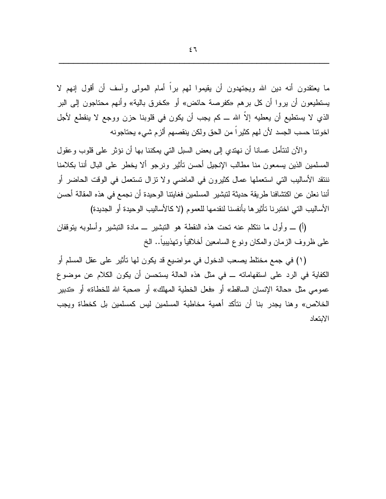ما يعتقدون أنه دين الله ويجتهدون أن يقيموا لمهم براً أمام المولى وآسف أن أقول إنهم لا يستطيعون أن يروا أن كل برهم «كفرصة حائض» أو «كخرق بالية» وأنهم محتاجون إلى البر الذي لا يستطيع أن يعطيه إلاّ الله ـــ كم يجب أن يكون في قلوبنا حزن ووجع لا ينقطع لأجل اخو نتا حسب الجسد لأن لهم كثير اً من الحق ولكن ينقصهم ألز م شيء يحتاجو نه

وِ الآنِ لنتأملِ عسانًا أن نهتدي إلى بعض السبلِ التي يمكننا بها أن نؤثرٍ على قلوبٍ وعقول المسلمين الذين يسمعون منا مطالب الإنجيل أحسن تأثير ونرجو ألا يخطر على البال أننا بكلامنا ننتقد الأساليب التي استعملها عمال كثيرون في الماضـي ولا نزال نستعمل في الوقت الحاضـر أو أننا نعلن عن اكتشافنا طريقة حديثة لتبشير المسلمين فغايتنا الوحيدة أن نجمع في هذه المقالة أحسن الأساليب التي اختبرنا تأثيرها بأنفسنا لنقدمها للعموم (لا كالأساليب الوحيدة أو الجديدة)

(أ) \_ وأول ما نتكلَّم عنه تحت هذه النقطة هو التبشير \_ مادة التبشير وأسلوبه بتوقفان علمي ظروف الزمان والمكان ونوع السامعين أخلاقياً وتهذيبياً.. الخ

(١) في جمع مختلط يصعب الدخول في مواضيع قد يكون لها تأثير على عقل المسلم أو الكفاية في الرد على استفهاماته ـــ في مثل هذه الحالة يستحسن أن يكون الكلام عن موضوع عمومي مثل «حالة الإنسان الساقط» أو «فعل الخطية المهلك» أو «محبة الله للخطاة» أو «تدبير الخلاص» وهنا يجدر بنا أن نتأكد أهمية مخاطبة المسلمين ليس كمسلمين بل كخطاة ويجب الابتعاد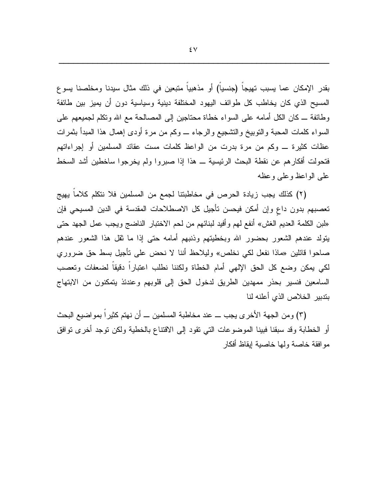بقدر الإمكان عما يسبب تهيجاً (جنسياً) أو مذهبياً متبعين في ذلك مثال سيدنا ومخلصنا يسوع المسيح الذي كان يخاطب كل طوائف اليهود المختلفة دينية وسياسية دون أن يميز بين طائفة وطائفة ـــ كان الكل أمامه على السواء خطاة محتاجين إلى المصالحة مع الله وتكلم لجميعهم على السواء كلمات المحبة والنوبيخ والنشجيع والرجاء \_ وكم من مرة أودى إهمال هذا المبدأ بثمرات عظات كثيرة ـــ وكم من مرة بدرت من الواعظ كلمات مست عقائد المسلمين أو إجراءاتهم فتحولت أفكار هم عن نقطة البحث الرئيسية ـــ هذا إذا صبروا ولم يخرجوا ساخطين أشد السخط علمى الواعظ وعلمى وعظه

(٢) كذلك يجب زيادة الحرص في مخاطبتنا لجمع من المسلمين فلا نتكلم كلاما يهيج تعصبهم بدون داع وإن أمكن فيحسن تأجيل كل الاصطلاحات المقدسة في الدين المسيحي فإن «لبن الكلمة العديم الغش» أنفع لهم وأفيد لبنائهم من لحم الاختبار الناضج ويجب عمل الجهد حتى بِنولد عندهم الشعور بحضور الله وبخطيتهم وذنبهم أمامه حتى إذا ما نقل هذا الشعور عندهم صاحوا قائلين «ماذا نفعل لكي نخلص» وليلاحظ أننا لا نحض على نأجيل بسط حق ضروري لكي يمكن وضع كل الحق الإلهي أمام الخطاة ولكننا نطلب اعتبارا دقيقا لضعفات ونعصب السامعين فنسير بحذر ممهدين الطريق لدخول الحق إلى قلوبهم وعندئذ يتمكنون من الابتهاج بندبير الخلاص الذي أعلنه لنا

(٣) ومن الجهة الأخرى يجب ـــ عند مخاطبة المسلمين ـــ أن نهتم كثيرًا بمواضيع البحث أو الخطابة وقد سبقنا فبينا الموضوعات التبي نقود إلى الاقتناع بالخطية ولكن نوجد أخرى نوافق مو افقة خاصنة ولمها خاصبية إيقاظ أفكار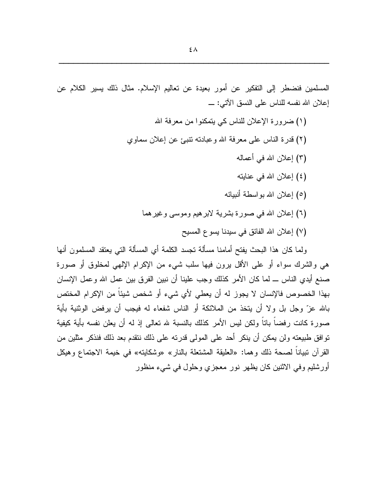المسلمين فنضطر إلى التفكير عن أمور بعيدة عن تعاليم الإسلام. مثال ذلك يسير الكلام عن إعلان الله نفسه للناس على النسق الآتي: \_

> (١) ضرورة الإعلان للناس كي يتمكنوا من معرفة الله (٢) قدر ة الناس على معرفة الله و عبادته نتبئ عن إعلان سماوي (٣) إعلان الله في أعماله (٤) إعلان الله في عنايته (٥) إعلان الله بواسطة أنبيائه (٦) إعلان الله في صورة بشرية لابرهيم وموسى وغيرهما (٧) إعلان الله الفائق في سيدنا يسوع المسيح

ولما كان هذا البحث يفتح أمامنا مسألة تجسد الكلمة أي المسألة التي يعتقد المسلمون أنها هي والشرك سواء أو على الأقل برون فيها سلب شيء من الإكرام الإلهي لمخلوق أو صورة صنع أيدي الناس ـــ لما كان الأمر كذلك وجب علينا أن نبين الفرق بين عمل الله وعمل الإنسان بهذا الخصوص فالإنسان لا يجوز له أن يعطي لأي شيء أو شخص شيئاً من الإكرام المختص بالله عزّ وجل بل ولا أن يتخذ من الملائكة أو الناس شفعاء له فيجب أن يرفض الوثنية بأية صورة كانت رفضاً باناً ولكن ليس الأمر كذلك بالنسبة لله نعالى إذ له أن يعلن نفسه بأية كيفية نوافق طبيعته ولن يمكن أن ينكر أحد على المولى قدرته على ذلك ننقدم بعد ذلك فنذكر مثلين من القرآن نبياناً لصحة ذلك وهما: «العليقة المشتعلة بالنار» «وشكايته» في خيمة الاجتماع وهيكل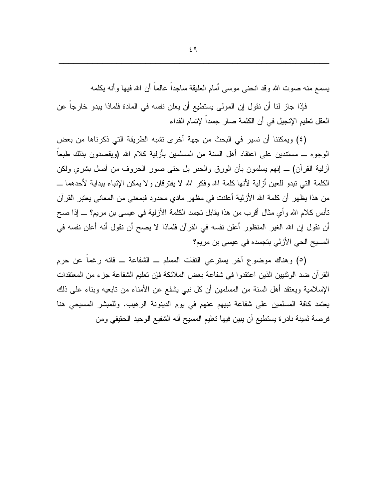يسمع منه صوت الله وقد انحنى موسى أمام العليقة ساجداً عالماً أن الله فيها وأنه يكلمه

فإذا جازٍ لنا أن نقول إن المولى يستطيع أن يعلن نفسه في المادة فلماذا يبدو خارجاً عن العقل تعليم الإنجيل في أن الكلمة صار جسداً لإتمام الفداء

(٤) ويمكننا أن نسير ً في البحث من جهة أخر ي تشبه الطريقة التي ذكر ناها من بعض الوجوه ـــ مستندين على اعتقاد أهل السنة من المسلمين بأزلية كلام الله (ويقصدون بذلك طبعاً أزلية القرآن) ـــ إنهم يسلمون بأن الورق والحبر بل حتى صور الحروف من أصل بشري ولكن الكلمة التي تبدو للعين أزلية لأنها كلمة الله وفكر الله لا يفترقان و لا يمكن الإنباء ببداية لأحدهما ـــ من هذا يظهر أن كلمة الله الأزلية أعلنت في مظهر مادي محدود فبمعنى من المعاني يعتبر القرآن نأنس كلام الله وأي مثال أقرب من هذا يقابل تجسد الكلمة الأزلية في عيسى بن مريم؟ ـــ إذا صح أن نقول إن الله الغير المنظور أعلن نفسه في القرآن فلماذا لا يصح أن نقول أنه أعلن نفسه في المسيح الحي الأزلى بتجسده في عيسى بن مريم؟

(٥) وهناك موضوع أخر يسترعي النفات المسلم \_ الشفاعة \_ فانه رغما عن حرم القرآن ضد الوثنيين الذين اعتقدوا في شفاعة بعض الملائكة فإن تعليم الشفاعة جزء من المعتقدات الإسلامية ويعتقد أهل السنة من المسلمين أن كل نبي يشفع عن الأمناء من نابعيه وبناء على ذلك يعتمد كافة المسلمين على شفاعة نبيهم عنهم في يوم الدينونة الرهيب. وللمبشر المسيحي هنا فرصة ثمينة نادرة يستطيع أن يبين فيها تعليم المسيح أنه الشفيع الوحيد الحقيقي ومن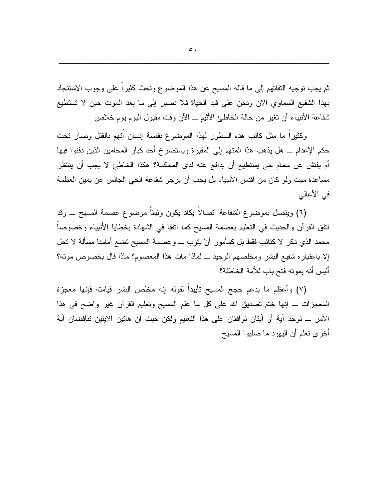ثَم يجب توجيه التفاتهم إلى ما قاله المسيح عن هذا الموضوع ونحث كثيراً على وجوب الاستنجاد بهذا الشفيع السماوي الآن ونحن على قيد الحياة فلا نصبر إلى ما بعد الموت حين لا تستطيع شفاعة الأنبياء أن تغير من حالة الخاطئ الأثيم ـــ الآن وقت مقبول اليوم يوم خلاص

وكثيراً ما مثل كاتب هذه السطور لهذا الموضوع بقصة إنسان اُنهم بالقتل وصار نحت حكم الإعدام ـــ هل يذهب هذا المتهم إلى المقبرة ويستصرخ أحد كبار المحامين الذين دفنوا فيها أم يفتش عن محام حي يستطيع أن يدافع عنه لدى المحكمة؟ هكذا الخاطئ لا يجب أن ينتظر مساعدة ميت ولو كان من أقدس الأنبياء بل يجب أن يرجو شفاعة الحي الجالس عن يمين العظمة في الأعالي

(٦) ويتصل بموضوع الشفاعة اتصالاً يكاد يكون وثيقاً موضوع عصمة المسيح ـــ وقد اتفق القرآن والحديث في النعليم بعصمة المسيح كما انفقا في الشهادة بخطايا الأنبياء وخصوصا محمد الذي ذكر لا كنائب فقط بل كمأمور أنْ يتوب ــــ وعصمة المسيح تضع أمامنا مسألة لا تحل إلا باعتباره شفيع البشر ومخلصهم الوحيد ـ لماذا مات هذا المعصوم؟ ماذا قال بخصوص مونه؟ أليس أنه بمونه فتح باب للأمة الخاطئة؟

(٧) وأعظم ما يدعم حجج المسيح نأييداً لقوله إنه مخلص البشر قيامته فإنها معجزة المعجزات ـــ إنها ختم نصديق الله على كل ما علم المسيح ونعليم القرأن غير واضح في هذا الأمر \_ نوجد أية أو أيتان نوافقان على هذا التعليم ولكن حيث أن هانين الأيتين نتاقضان أية أخرى نعلم أن البهود ما صلبوا المسبح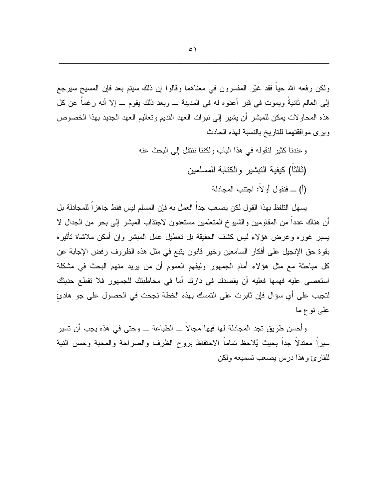ولكن رفعه الله حياً فقد غيّر المفسرون في معناهما وقالوا إن ذلك سيتم بعد فإن المسيح سيرجع إلى العالم ثانيةٌ ويموت في قبرٍ أعدوه له في المدينة \_ وبعد ذلك يقوم \_ إلا أنه رغماً عن كل هذه المحاولات يمكن للمبشر أن يشير إلى نبوات العهد القديم وتعاليم العهد الجديد بهذا الخصوص ويرى مو افقتهما للتاريخ بالنسبة لهذه الحادث

> وعندنا كثير لنقوله في هذا الباب ولكننا ننتقل إلى البحث عنه (ثالثًا) كبفية التشير والكتابة للمسلمين (أ) \_ فنقو ل أو لاً: اجتنب المجادلة

يسهل التلفظ بهذا القول لكن يصعب جداً العمل به فإن المسلم ليس فقط جاهز اً للمجادلة بل أن هناك عددا من المقاومين والشيوخ المتعلمين مستعدون لاجتذاب المبشر إلى بحر من الجدال لا يسبر غوره وغرض هؤلاء ليس كشف الحقيقة بل تعطيل عمل المبشر وإن أمكن ملاشاة تأثيره بقوة حق الإنجيل على أفكار السامعين وخير قانون يتبع في مثل هذه الظروف رفض الإجابة عن كل مباحثة مع مثل هؤلاء أمام الجمهور وليفهم العموم أن من يريد منهم البحث في مشكلة استعصبي عليه فهمها فعليه أن يقصدك في دارك أما في مخاطبتك للجمهور فلا تقطع حديثك لتجيب على أي سؤال فإن ثابرت على التمسك بهذه الخطة نجحت في الحصول على جو هادئ علمی نوع ما

وأحسن طريق نجد المجادلة لها فيها مجالا ـــ الطباعة ــــ وحتى في هذه يجب أن نسير سيراً معتدلاً جداً بحيث يُلاحظ نماماً الاحتفاظ بروح الظرف والصراحة والمحبة وحسن النية للقارئ وهذا درس يصعب تسميعه ولكن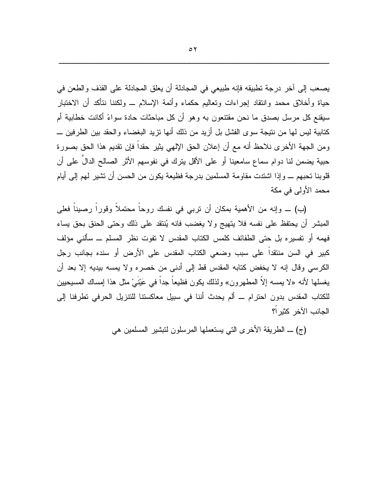يصعب إلى آخر درجة تطبيقه فإنه طبيعي في المجادلة أن يعلق المجادلة على القذف والطعن في حياة وأخلاق محمد وانتقاد إجراءات وتعاليم حكماء وأئمة الإسلام ـــ ولكننا نتأكد أن الاختبار سيقنع كل مرسل بصدق ما نحن مقتنعون به وهو أن كل مباحثات حادة سواءً أكانت خطابية أم كتابية ليس لها من نتيجة سو ي الفشل بل أزيد من ذلك أنها تزيد البغضباء والحقد بين الطر فين \_\_ ومن الجهة الأخرى نلاحظ أنه مع أن إعلان الحق الإلهي يثير حقداً فإن نقديم هذا الحق بصورة حبية يضمن لنا دوام سماع سامعينا أو على الأقل ينرك في نفوسهم الأثر الصالح الدالِّ على أن قلوبنا تحبهم ــــ وإذا اشتدت مقاومة المسلمين بدرجة فظيعة يكون من الحسن أن نشير لهم إلى أيام محمد الأولى في مكة

(ب) \_ وإنه من الأهمية بمكان أن نربي في نفسك روحاً محتملاً وقوراً رصيناً فعلى المبشر أن يحتفظ على نفسه فلا يتهيج ولا يغضب فانه يُنتقد على ذلك وحتى الحنق بحق بساء فهمه أو تفسيره بل حتى الطفائف كلمس الكتاب المقدس لا تفوت نظر المسلم ـــ سألنى مؤلف كبير في السن منتقدا على سبب وضعى الكتاب المقدس على الأرض أو سنده بجانب رجل الكرسي وقال إنه لا يخفض كتابه المقدس قط إلى أدنى من خصره ولا يمسه بيديه إلا بعد أن يغسلها لأنه «لا يمسه إلاَّ المطهرون» ولذلك يكون فظيعاً جداً في عَيْنَيْ مثل هذا إمساك المسيحيين للكتاب المقدس بدون احترام ـــ ألم يحدث أننا في سبيل معاكستنا للتتزيل الحرفي تطرفنا إلى الجانب الآخر كثير ا؟

(ج) ــ الطريقة الأخرى التي يستعملها المرسلون لنبشير المسلمين هي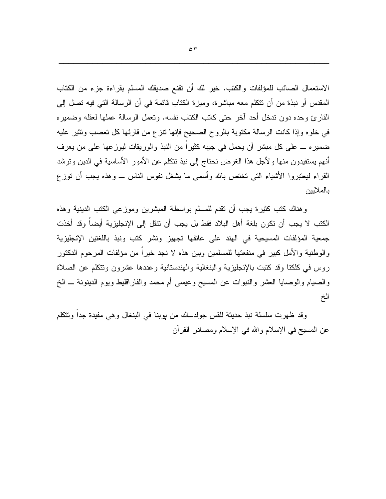الاستعمال الصائب للمؤلفات والكتب. خير لك أن تقنع صديقك المسلم بقراءة جزء من الكتاب المقدس أو نبذة من أن نتكلم معه مباشرة، وميزة الكتاب قائمة في أن الرسالة التي فيه تصل إلى القارئ وحده دون ندخل أحد آخر حتى كانب الكتاب نفسه. ونعمل الرسالة عملها لعقله وضميره في خلو ه و إذا كانت الرسالة مكتوبة بالر و ح الصحيح فإنها نتز ع من قار ئها كل تعصب وتثير عليه ضميره ـــ علمي كل مبشر أن يحمل في جيبه كثيراً من النبذ والوريقات ليوزعها علمي من يعرف أنهم يستفيدون منها ولأجل هذا الغرض نحتاج إلى نبذ نتكلم عن الأمور الأساسية في الدين ونرشد القراء ليعتبروا الأشياء التبي تختص بالله وأسمى ما بشغل نفوس الناس ـــ وهذه يجب أن نوز ع بالملايين

وهناك كتب كثيرة يجب أن نقدم للمسلم بواسطة المبشرين وموزعي الكتب الدينية وهذه الكتب لا يجب أن تكون بلغة أهل البلاد فقط بل يجب أن تتقل إلى الإنجليزية أيضا وقد أخذت جمعية المؤلفات المسيحية في الهند على عانقها تجهيز ونشر كتب ونبذ باللغتين الإنجليزية و الوطنية والأمل كبير ً في منفعتها للمسلمين وبين هذه لا نجد خير ا من مؤلفات المرحوم الدكتور روس في كلكنا وقد كتبت بالإنجليزية والبنغالية والهندستانية وعددها عشرون وتتكلم عن الصلاة والصيام والوصايا العشر والنبوات عن المسيح وعيسى أم محمد والفاراقليط ويوم الدينونة \_ الخ الخ

وقد ظهرت سلسلة نبذ حديثة للقس جولدساك من بوبنا في البنغال وهي مفيدة جدا ونتكلم عن المسيح في الإسلام والله في الإسلام ومصادر القرآن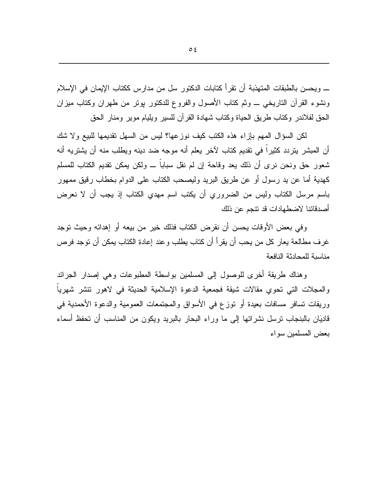\_ ويحسن بالطبقات المتهذبة أن تقرأ كتابات الدكتور سل من مدارس ككتاب الإيمان في الإسلام ونشوء القرآن الناريخي \_ وثم كتاب الأصول والفروع للدكتور بونر من طهران وكتاب مبزان الحق لفلاندر وكتاب طريق الحياة وكتاب شهادة القرآن للسير ويليام موير ومنار الحق

لكن السؤال المهم بإزاء هذه الكتب كيف نوزعها؟ ليس من السهل نقديمها للبيع ولا شك أن المبشر يتردد كثيراً في تقديم كتاب لآخر يعلم أنه موجه ضد دينه ويطلب منه أن يشتريه أنه شعور حق ونحن نرى أن ذلك يعد وقاحة إن لم نقل سباباً ـــ ولكن بمكن نقديم الكتاب للمسلم كهدية أما عن يد رسول أو عن طريق البريد وليصحب الكتاب على الدوام بخطاب رقيق ممهور باسم مرسل الكتاب وليس من الضروري أن يكتب اسم مهدي الكتاب إذ يجب أن لا نعرض أصدقائنا لاضطهادات قد نتجم عن ذلك

وفي بعض الأوقات يحسن أن نقرض الكتاب فذلك خير من بيعه أو إهدائه وحيث نوجد غر ف مطالعة يعار كل من يحب أن يقرأ أن كتاب يطلب وعند إعادةِ الكتاب يمكن أن نوجد فرص مناسبة للمحادثة النافعة

وهناك طريقة أخرى للوصول إلىي المسلمين بواسطة المطبوعات وهي إصدار الجرائد والمجلات التي تحوي مقالات شيقة فجمعية الدعوة الإسلامية الحديثة في لاهور تتشر شهريا وريقات نسافر مسافات بعيدة أو نوزع في الأسواق والمجتمعات العمومية والدعوة الأحمدية في قادِيَان بالبنجاب نرسل نشراتها إلى ما وراء البحار بالبريد ويكون من المناسب أن نحفظ أسماء بعض المسلمين سواء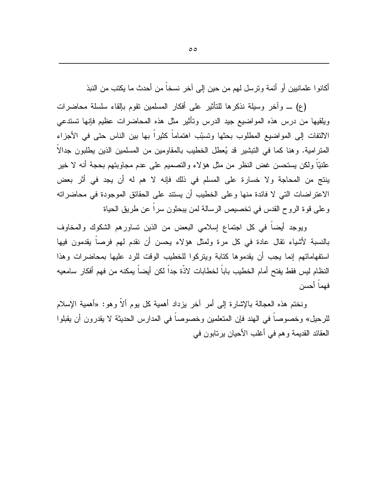أكانوا علمانيين أو أئمة ونرسل لهم من حين إلى آخر نسخاً من أحدث ما يكتب من النبذ

(ع) ـــ وآخر وسيلة نذكرها للنأثير على أفكار المسلمين نقوم بإلقاء سلسلة محاضرات ويلقيها من درس هذه المواضيع جيد الدرس وتأثير مثل هذه المحاضرات عظيم فإنها تستدعى الالتفات إلى المواضيع المطلوب بحثها وتسبّب اهتماماً كثيراً بها بين الناس حتى في الأجزاء المنز امية. وهنا كما في التبشير قد يُعطل الخطيب بالمقاومين من المسلمين الذين يطلبون جدالا علنيًّا ولكن يستحسن غض النظر من مثل هؤلاء والتصميم على عدم مجاوبتهم بحجة أنه لا خير ينتج من المحاجة ولا خسارة على المسلم في ذلك فإنه لا هم له أن يجد في أثر بعض الاعتراضات التي لا فائدة منها وعلى الخطيب أن يستند على الحقائق الموجودة في محاضراته وعلى قوة الروح القدس في تخصيص الرسالة لمن يبحثون سراً عن طريق الحياة

ويوجد أيضا في كل اجتماع إسلامي البعض من الذين تساورهم الشكوك والمخاوف بالنسبة لأشياء نقال عادة في كل مرة ولمثل هؤلاء يحسن أن نقدم لهم فرصا يقدمون فيها استفهاماتهم إنما يجب أن يقدموها كتابة ويتركوا للخطيب الوقت للرد عليها بمحاضرات وهذا النظام ليس فقط يفتح أمام الخطيب باباً لخطابات لاذَة جداً لكن أيضـاً يمكنه من فهم أفكار سامعيه فهماً أحسن

ونختم هذه العجالة بالإشارة إلى أمر أخر بزداد أهمية كل بوم ألاً وهو: «أهمية الإسلام للرحيل» وخصوصا في الهند فإن المتعلمين وخصوصا في المدارس الحديثة لا يقدرون أن يقبلوا العقائد القديمة وهم في أغلب الأحيان برنابون في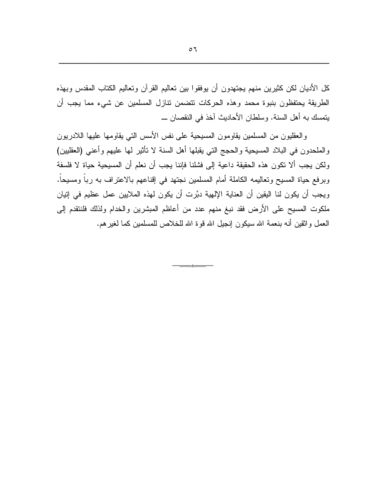كل الأديان لكن كثيرين منهم يجتهدون أن يوفقوا بين تعاليم القرآن وتعاليم الكتاب المقدس وبهذه الطريقة يحتفظون بنبوة محمد وهذه الحركات نتضمن نتازل المسلمين عن شيء مما يجب أن يتمسك به أهل السنة. وسلطان الأحاديث آخذ في النقصان ـــ

والعقليون من المسلمين يقاومون المسيحية على نفس الأسس التي يقاومها عليها اللادريون والملحدون في البلاد المسيحية والحجج التي يقبلها أهل السنة لا تأثير لها عليهم وأعنى (العقلبين) ولكن يجب ألا نكون هذه الحقيقة داعية إلى فشلنا فإننا يجب أن نعلم أن المسيحية حياة لا فلسفة وبرفع حياة المسيح وتعاليمه الكاملة أمام المسلمين نجتهد في إقناعهم بالاعتراف به ربا ومسيحا. ويجب أن يكون لنا اليقين أن العناية الإلهية دبَّرت أن يكون لهذه الملايين عمل عظيم في إنيان ملكوت المسيح على الأرض فقد نبغ منهم عدد من أعاظم المبشرين والخدام ولذلك فلنتقدم إلى العمل واثقين أنه بنعمة الله سيكون إنجيل الله قوة الله للخلاص للمسلمين كما لغيرهم.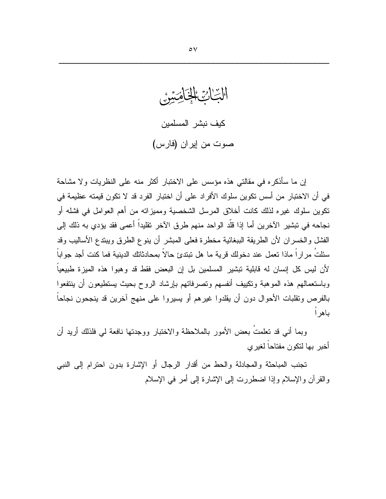الْبِّاْئِ الْمَاخِلُوسِيْنُ كيف نبشر المسلمين صوت من إيران (فارس)

إن ما سأذكره في مقالتي هذه مؤسس على الاختبار أكثر منه على النظريات ولا مشاحة في أن الاختبار من أسس تكوين سلوك الأفراد على أن اختبار الفرد قد لا تكون قيمته عظيمة في نكوين سلوك غير ه لذلك كانت أخلاق المرسل الشخصية ومميزاته من أهم العوامل في فشله أو نجاحه في تبشير ِ الآخرين أما إذا قلَّد الواحد منهم طر ق الآخر ِ تقليداً أعمى فقد يؤدي به ذلك إلى الفشل والخسران لأن الطريقة الببغائية مخطرة فعلى المبشر أن ينوع الطرق ويبتدع الأساليب وقد سئلتُ مر ار اً ماذا تعمل عند دخولك قرية ما هل تبتدئ حالاً بمحادثاتك الدينية فما كنت أجد جو اباً لأن ليس كل إنسان له قابلية نبشير المسلمين بل إن البعض فقط قد وهبوا هذه الميزة طبيعياً وباستعمالهم هذه الموهبة ونكبيف أنفسهم وتصرفاتهم بإرشاد الروح بحبث بستطيعون أن ينتفعوا بالفرص ونقلبات الأحوال دون أن يقلدوا غيرهم أو يسيروا على منهج آخرين قد ينجحون نجاحا باهر ا

وبما أنبي قد تعلمتُ بعض الأمور بالملاحظة والاختبار ووجدتها نافعة لي فلذلك أريد أن أخبر بها لتكون مفتاحاً لغير ي

تجنب المباحثة والمجادلة والحط من أقدار الرجال أو الإشارة بدون احترام إلى النبي والقرآن والإسلام وإذا اضطررت إلى الإشارة إلى أمر في الإسلام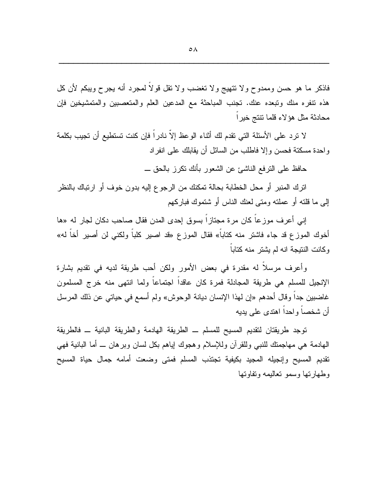فاذكر ما هو حسن وممدوح ولا نتهيج ولا تغضب ولا نقل قولاً لمجرد أنه بجرح ويبكم لأن كل هذه نتفره منك ونبعده عنك. نجنب المباحثة مع المدعين العلم والمتعصبين والمتمشيخين فإن محادثة مثل هؤلاء قلما تتتج خيرا

لا ترد على الأسئلة التي تقدم لك أثناء الوعظ إلاّ نادراً فإن كنت تستطيع أن تجيب بكلمة و احدة مسكنة فحسن وإلا فاطلب من السائل أن يقابلك على انفر اد

حافظ على النرفع الناشئ عن الشعور بأنك نكرز بالحق ـــ

اترك المنبر أو محل الخطابة بحالة تمكنك من الرجوع إليه بدون خوف أو ارتباك بالنظر إلى ما قلته أو عملته ومتى لعنك الناس أو شتموك فباركهم

إني أعرف موزعاً كان مرة مجتازاً بسوق إحدى المدن فقال صاحب دكان لجار له «ها أخوك الموزع قد جاء فاشتر منه كتاباً» فقال الموزع «قد اصبير كلباً ولكنبي لن أصبير أخاً له» وكانت النتيجة انه لم يشتر منه كتابا

وأعرف مرسلاً له مقدرة في بعض الأمور ولكن أحب طريقة لديه في تقديم بشارة الإنجيل للمسلم هي طريقة المجادلة فمرة كان عاقداً اجتماعاً ولما انتهى منه خرج المسلمون غاضبين جدا وقال أحدهم «إن لهذا الإنسان ديانة الوحوش» ولم أسمع في حياتي عن ذلك المرسل أن شخصاً واحداً اهتدى على بديه

توجد طريقتان لنقديم المسيح للمسلم ــ الطريقة الهادمة والطريقة البانية ــ فالطريقة المهادمة هي مهاجمتك للنبي وللقرآن وللإسلام وهجوك إياهم بكل لسان وبرهان ـــ أما البانية فهي نقديم المسيح وإنجيله المجيد بكيفية نجتذب المسلم فمني وضعت أمامه جمال حياة المسيح وطهارتها وسمو تعاليمه وتفاوتها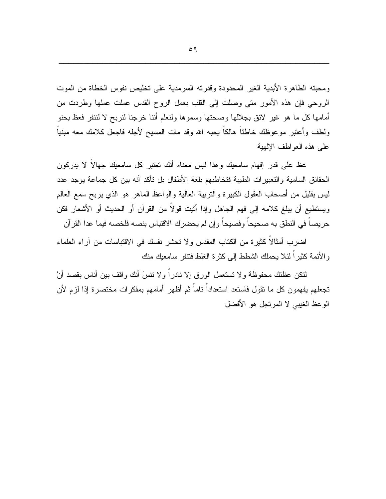ومحبته الطاهرة الأبدية الغير المحدودة وقدرته السرمدية على تخليص نفوس الخطاة من الموت الروحي فإن هذه الأمور متبي وصلت إلى القلب بعمل الروح القدس عملت عملها وطردت من أمامها كل ما هو غير ٍ لائق بجلالها وصحتها وسموها ولنعلم أننا خرجنا لنربح لا لننفر فعظ بحنو ولطف وأعتبر موعوظك خاطئا هالكا بحبه الله وقد مات المسيح لأجله فاجعل كلامك معه مبنياً على هذه العو اطف الإلهية

عظ على قدر إفهام سامعيك وهذا ليس معناه أنك نعتبر كل سامعيك جهالاً لا يدركون الحقائق السامية والتعبيرات الطيبة فتخاطبهم بلغة الأطفال بل تأكد أنه بين كل جماعة يوجد عدد ليس بقليل من أصحاب العقول الكبيرة والنربية العالية والواعظ الماهر هو الذي يربح سمع العالم ويستطيع أن يبلغ كلامه إلى فهم الجاهل وإذا أتيت قولاً من القرآن أو الحديث أو الأشعار فكن حريصا في النطق به صحيحا وفصيحا وإن لم يحضرك الاقتباس بنصه فلخصه فيما عدا القرآن

اضرب أمثالا كثيرة من الكتاب المقدس ولا تحشر نفسك في الاقتباسات من آراء العلماء و الأئمة كثير اً لئلا بحملك الشطط إلى كثر ة الغلط فتنفر سامعيك منك

لنكن عظتك محفوظة ولا تستعمل الورق إلا نادراً ولا نتسَ أنك واقف بين أناس بقصد أنْ تجعلهم يفهمون كل ما نقول فاستعد استعداداً ناماً ثم أظهر أمامهم بمفكرات مختصرة إذا لزم لأن الوعظ الغيبي لا المرتجل هو الأفضل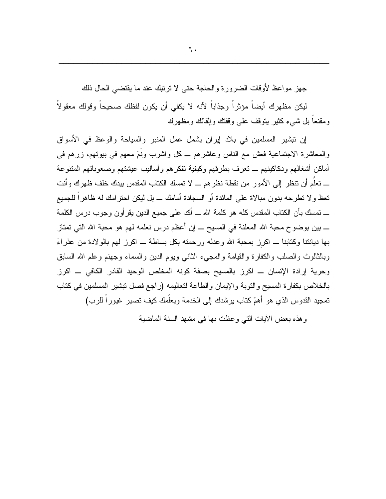جهز مواعظ لأوقات الضرور ة والحاجة حتى لا ترتبك عند ما يقتضبي الحال ذلك

ليكن مظهرك أيضاً مؤثراً وجذاباً لأنه لا يكفى أن يكون لفظك صحيحاً وقولك معقولاً ومقنعاً بل شيء كثير يتوقف على وقفتك وإلقائك ومظهرك

إن نبشير المسلمين في بلاد إيران يشمل عمل المنبر والسياحة والوعظ في الأسواق والمعاشرة الاجتماعية فعش مع الناس وعاشرهم ــ كل واشرب ونُمْ معهم في بيونهم، زرهم في أماكن أشغالهم ودكاكينهم ـــ تعرف بطرقهم وكيفية تفكرهم وأساليب عيشتهم وصعوباتهم المتنوعة ـــ تعلُّم أن تنظر إلى الأمور من نقطة نظر هم ـــ لا تمسك الكتاب المقدس بيدك خلف ظهرك و أنت تعظ و لا تطريحه بدون مبالاة على المائدة أو السجادة أمامك ــ بل ليكن احتر امك له ظاهر اً للجميع ــــ تمسك بأن الكتاب المقدس كله هو كلمة الله ـــ أكد على جميع الدين يقر أو ن وجوب در س الكلمة بها ديانتنا وكتابنا ــ اكرز بمحبة الله وعدله ورحمنه بكل بساطة ــ اكرز لمهم بالولادة من عذراءَ وبالثالوث والصلب والكفارة والقيامة والمجيء الثانبي وبوم الدين والسماء وجهنم وعلم الله السابق وحرية إرادة الإنسان ـــ اكرز بالمسيح بصفة كونه المخلص الوحيد القادر الكافي ـــ اكرز بالخلاص بكفارة المسيح والنوبة والإيمان والطاعة لتعاليمه (راجع فصل نبشير المسلمين في كناب نمجيد القدوس الذي هو أهمّ كتاب يرشدك إلى الخدمة ويعلَّمك كيف نصبير غيوراً للرب)

وهذه بعض الأيات النبي وعظت بها في مشهد السنة الماضية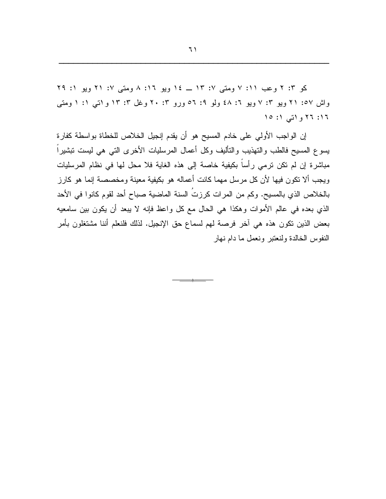کو ۲: ۲ وعب ۱۱: ۷ ومتی ۰۷: ۱۳ ــ ۱۶ ویو ۱۲: ۸ ومتی ۰۷: ۲۱ ویو ۱: ۲۹ واش ٥٧: ٢١ ویو ٣: ٧ ویو ٦: ٤٨ ولو ٩: ٥٦ ورو ٢: ٢٠ وغل ٣: ١٣ و اتبي ١: ١ ومتبي ١٦: ٢٦ و اتبي ١: ١٥

إن الواجب الأولى على خادم المسيح هو أن يقدم إنجيل الخلاص للخطاة بواسطة كفارة يسوع المسيح فالطب والتهذيب والتأليف وكل أعمال المرسليات الأخرى التي هي ليست تبشيراً مباشرة إن لم نكن ترمي رأساً بكيفية خاصة إلى هذه الغاية فلا محل لها في نظام المرسليات ويجب ألا نكون فيها لأن كل مرسل مهما كانت أعماله هو بكيفية معينة ومخصصة إنما هو كارز بالخلاص الذي بالمسيح. وكم من المرات كرزتَ السنة الماضية صباح أحد لقوم كانوا في الأحد الذي بعده في عالم الأموات وهكذا هي الحال مع كل واعظ فإنه لا يبعد أن يكون بين سامعيه بعض الذين نكون هذه هي أخر فرصة لمهم لسماع حق الإنجيل. لذلك فلنعلم أننا مشتغلون بأمر النفوس الخالدة ولنعتبر ونعمل ما دام نهار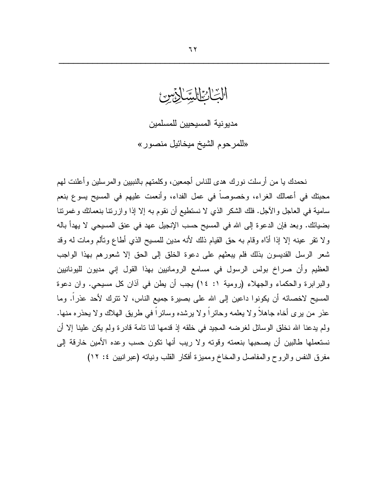الْبِّاكِيْالِيِّيْالِيِّسْي مديو نية المسيحيين للمسلمين «للمرحوم الشيخ ميخائيل منصور»

نحمدك يا من أرسلت نورك هدى للناس أجمعين، وكلمتهم بالنبيين والمرسلين وأعلنت لهم محبتك في أعمالك الغراء، وخصوصاً في عمل الفداء، وأنعمت عليهم في المسيح يسوع بنعم سامية في العاجل والأجل. فلك الشكر الذي لا نستطيع أن نقوم به إلا إذا و از رتنا بنعمائك و غمرتنا بضيائك. وبعد فإن الدعوة إلى الله في المسيح حسب الإنجيل عهد في عنق المسيحي لا يهدأ باله ولا نقر عينه إلا إذا أدَّاه وقام به حقَّ القيام ذلك لأنه مدين للمسيح الذي أطاع وتألم ومات له وقد شعر الرسل القديسون بذلك فلم يبعثهم على دعوة الخلق إلى الحق إلا شعورهم بهذا الواجب العظيم وأن صراخ بولس الرسول في مسامع الرومانيين بهذا القول إني مديون لليونانيين والبرابرة والحكماء والجهلاء (رومية ١: ١٤) يجب أن يطن في أذان كل مسيحي. وان دعوة المسيح لاخصائه أن يكونوا داعين إلى الله على بصيرة جميع الناس، لا نترك لأحد عذرا. وما عذر من برى أخاه جاهلاً ولا يعلمه وحائراً ولا برشده وسائراً في طريق الهلاك ولا يحذره منها. ولم يدعنا الله نخلق الوسائل لغرضه المجيد في خلقه إذ قدمها لنا نامة قادرة ولم يكن علينا إلا أن نستعملها طالبين أن يصحبها بنعمته وقوته ولا ريب أنها نكون حسب وعده الأمين خارقة إلى مفرق النفس والروح والمفاصل والمخاخ ومميزة أفكار القلب ونياته (عبرانيين ٤: ١٢)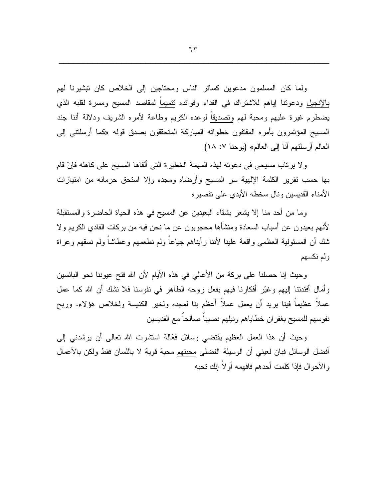ولما كان المسلمون مدعوين كسائر الناس ومحتاجين إلى الخلاص كان نبشيرنا لهم بالإنجيل ودعوننا إياهم للاشتراك في الفداء وفوائده نتميماً لمقاصد المسيح ومسرة لقلبه الذي يضطرم غيرة عليهم ومحبة لهم وتصديقا لوعده الكريم وطاعة لأمره الشريف ودلالة أننا جند المسيح المؤتمرون بأمره المقتفون خطواته المباركة المتحققون بصدق قوله «كما أرسلتتي إلى العالم أرسلتهم أنا إلى العالم» (يوحنا ٧: ١٨)

و لا يرتاب مسيحي في دعوته لهذه المهمة الخطيرة التي ألقاها المسيح على كاهله فإنْ قام بها حسب نقرير الكلمة الإلهية سر المسيح وأرضاه ومجده وإلا استحق حرمانه من امتيازات الأمناء القديسين ونال سخطه الأبدى على تقصيره

وما من أحد منا إلا يشعر بشقاء البعيدين عن المسيح في هذه الحياة الحاضرة والمستقبلة لأنهم بعيدون عن أسباب السعادة ومنشأها محجوبون عن ما نحن فيه من بركات الفادي الكريم ولا شك أن المسئولية العظمى واقعة علينا لأننا رأيناهم جياعاً ولم نطعمهم وعطاشاً ولم نسقهم وعراة ولم نكسهم

وحيث إنا حصلنا على بركة من الأعالى في هذه الأيام لأن الله فتح عيوننا نحو البائسين وأمال أفئدتنا إليهم وغيّر أفكارنا فيهم بفعل روحه الطاهر في نفوسنا فلا نشك أن الله كما عمل عملاً عظيماً فينا بريد أن يعمل عملاً أعظم بنا لمعده ولخير الكنيسة ولخلاص هؤلاء. وربح نفوسهم للمسيح بغفران خطاياهم ونيلهم نصبيا صالحا مع القديسين

وحيث أن هذا العمل العظيم يقتضيي وسائل فعَّالة استشرت الله نعالـي أن يرشدنـي إلـي أفضل الوسائل فبان لعيني أن الوسيلة الفضلي محبتهم محبة قوية لا باللسان فقط ولكن بالأعمال و الأحو ال فإذا كلمت أحدهم فافهمه أو لاَ إنك نحبه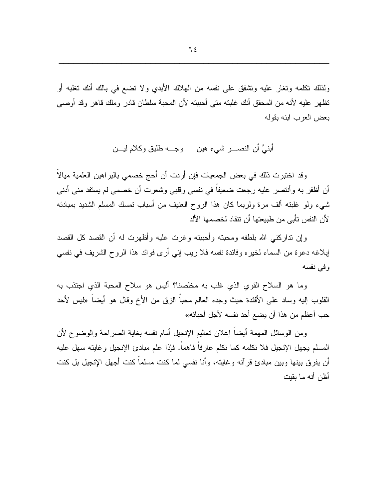ولذلك نكلمه ونغار عليه ونشفق على نفسه من الهلاك الأبدي ولا نضع في بالك أنك نغلبه أو تظهر عليه لأنه من المحقق أنك غلبته متى أحببته لأن المحبة سلطان قادر وملك قاهر وقد أوصبي بعض العرب ابنه بقوله

أبنـيَّ أن النصـــــــر شــيء هين وجـــــه طلبق وكـلام ليـــــن

وقد اختبرت ذلك في بعض الجمعيات فإن أردت أن أحج خصمي بالبراهين العلمية ميالاً أن أظفر به وأنتصر عليه رجعت ضعيفاً في نفسي وقلبي وشعرت أن خصمي لم يستفد مني أدني شبيء ولو غلبته ألف مرة ولربما كان هذا الروح العنيف من أسباب تمسك المسلم الشديد بمبادئه لأن النفس تأبي من طبيعتها أن نتقاد لخصمها الألد

وإن تداركني الله بلطفه ومحبته وأحببته وغرت عليه وأظهرت له أن القصد كل القصد إبلاغه دعوة من السماء لخيره وفائدة نفسه فلا ريب إني أرى فوائد هذا الروح الشريف في نفسي وفي نفسه

وما هو السلاح القوى الذي غلب به مخلصنا؟ ألبس هو سلاح المحبة الذي اجتذب به القلوب إليه وساد على الأفئدة حيث وجده العالم محباً الزق من الأخ وقال هو أيضـاً «ليس لأحد حب أعظم من هذا أن يضع أحد نفسه لأجل أحبائه»

ومن الوسائل المهمة أيضا إعلان تعاليم الإنجيل أمام نفسه بغاية الصراحة والوضوح لأن المسلم يجهل الإنجيل فلا نكلمه كما نكلم عارفاً فاهماً. فإذا علم مبادئ الإنجيل وغايته سهل عليه أن يفرق بينها وبين مبادئ قرآنه وغايته، وأنا نفسى لما كنت مسلماً كنت أجهل الإنجيل بل كنت أظن أنه ما بقيت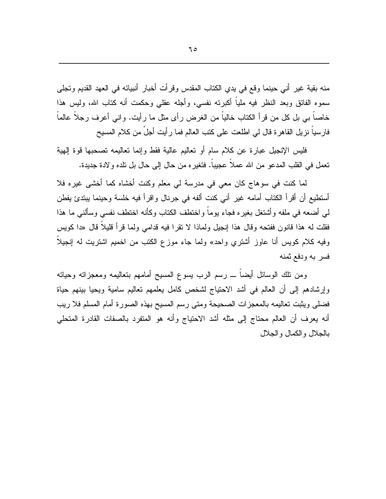منه بقية غير أني حينما وقع في يدي الكتاب المقدس وقرأت أخبار أنبيائه في العهد القديم وتجلي سموه الفائق وبعد النظر فيه ملياً أكبرته نفسي، وأجله عقلي وحكمت أنه كتاب الله، وليس هذا خاصاً ببي بل كل من قرأ الكتاب خالياً من الغرض رأى مثل ما رأيت. وإنبي أعرف رجلاً عالماً فارسياً نزيل القاهرة قال لي اطلعت على كتب العالم فما رأيت أجلَّ من كلام المسيح

فليس الإنجيل عبارة عن كلام سام أو تعاليم عالية فقط وإنما تعاليمه تصحبها قوة إلهية تعمل في القلب المدعو من الله عملاً عجيباً. فتغيره من حال إلى حال بل تلده ولادة جديدة.

لما كنت في سوهاج كان معي في مدرسة لي معلم وكنت أخشاه كما أخشى غيره فلا أستطيع أن أقرأ الكتاب أمامه غير أنبي كنت ألفه في جرنال وإقرأ فيه خلسة وحينما ببتدئ يفطن لمي أضعه في ملفه وأشتغل بغيره فجاء يوماً واختطف الكتاب وكأنه اختطف نفسى وسألنبي ما هذا فقلت له هذا قانون ففتحه وقال هذا إنجيل ولماذا لا نقرًا فيه قدام<sub>ً</sub>ي ولما قرأ قليلاً قال «دا كويس وفيه كلام كويس أنا عاوز أشتري واحد» ولما جاء موزع الكتب من اخميم اشتريت له إنجيلاً فسر به ودفع ثمنه

ومن نلك الوسائل أيضـاً ـــ رسم الرب يسوع المسيح أمامهم بنعاليمه ومعجزاته وحياته وإرشادهم إلىي أن العالم في أشد الاحتياج لشخص كامل يعلمهم تعاليم سامية ويحيا بينهم حياة فضلى ويثبت تعاليمه بالمعجزات الصحيحة ومتى رسم المسيح بهذه الصورة أمام المسلم فلا ريب أنه بعرف أن العالم محتاج إلى مثله أشد الاحتياج وأنه هو المتفرد بالصفات القادرة المتحلي بالجلال والكمال والجلال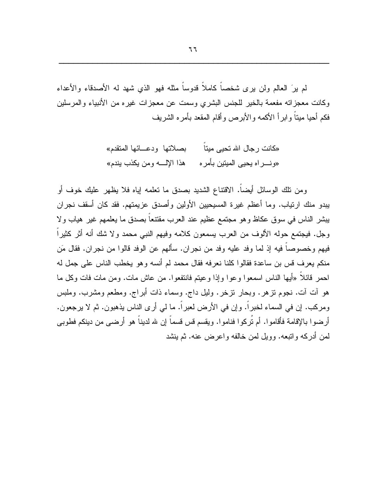لم برِّ العالم ولن برى شخصاً كاملاً قدوساً مثله فهو الذي شهد له الأصدقاء والأعداء وكانت معجزاته مفعمة بالخير للجنس البشرى وسمت عن معجزات غيره من الأنبياء والمرسلين فكم أحيا ميتاً وإبرأ الأكمه والأبرص وأقام المقعد بأمره الشريف

> «کانت ر جال الله تحیی میتا بصلاتها ودعـــائها المنقدم» «ونـــــراه يحيى المبنتين بأمر ه هذا الإلـــــه ومن يكذب يندم»

ومن نلك الوسائل أيضاً. الاقتناع الشديد بصدق ما نعلمه إياه فلا يظهر عليك خوف أو يبدو منك ارتياب. وما أعظم غيرة المسيحيين الأولين وأصدق عزيمتهم. فقد كان أسقف نجران يبشر الناس في سوق عكاظ وهو مجتمع عظيم عند العرب مقتنعاً بصدق ما يعلمهم غير هياب ولا وجل. فيجتمع حوله الألوف من العرب يسمعون كلامه وفيهم النبي محمد ولا شك أنه أثر كثيراً فيهم وخصوصاً فيه إذ لما وفد عليه وفد من نجران. سألهم عن الوفد قالوا من نجران. فقال مَن منكم يعرف قس بن ساعدة فقالوا كلنا نعرفه فقال محمد لم أنسه وهو يخطب الناس على جمل له احمر قائلًا «أيها الناس اسمعوا وعوا وإذا وعيتم فانتفعوا. من عاش مات. ومن مات فات وكل ما هو آت آت. نجوم تز هر . وبحار تزخر . وليل داج. وسماء ذات أبر اج. ومطعم ومشرب. وملبس ومركب. إن في السماء لخبراً. وإن في الأرض لعبراً. ما لمي أرى الناس يذهبون. ثم لا يرجعون. أرضوا بالإقامة فأقاموا. أم تُركوا فناموا. ويقسم قس قسماً إن لله لديناً هو أرضـي من دينكم فطوبـي لمن أدركه والنبعه. وويل لمن خالفه واعرض عنه. ثم بنشد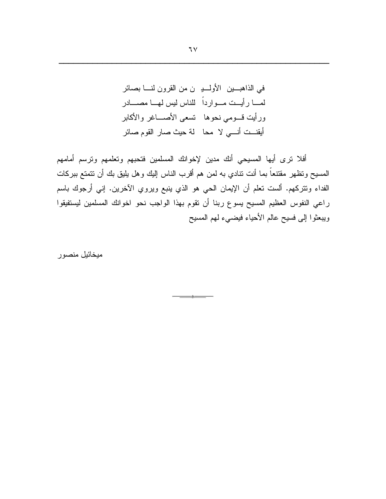أفلا نرى أيها المسيحي أنك مدين لإخوانك المسلمين فتحبهم وتعلمهم ونرسم أمامهم المسيح وتظهر مقتنعاً بما أنت نتادي به لمن هم أقرب الناس إليك وهل يليق بك أن نتمتع ببركات الفداء وتتركهم. ألست تعلَّم أن الإيمان الحي هو الذي ينبع ويروي الأخرين. إني أرجوك باسم راعي النفوس العظيم المسيح يسوع ربنا أن تقوم بهذا الواجب نحو اخوانك المسلمين ليستفيقوا ويبعثوا إلى فسيح عالم الأحياء فيضيء لهم المسيح

ميخائيل منصور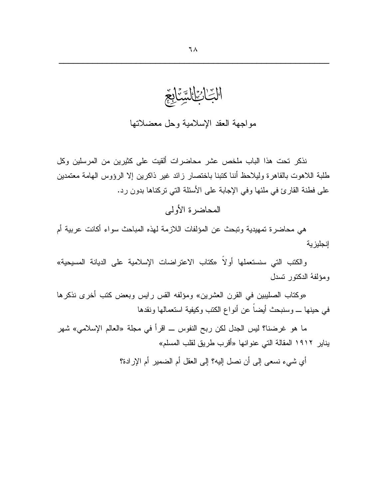التائنان مواجهة العقد الإسلامية وحل معضلاتها

نذكر نحت هذا الباب ملخص عشر محاضرات ألقيت على كثيرين من المرسلين وكل طلبة اللاهوت بالقاهرة وليلاحظ أننا كتبنا باختصار زائد غير ذاكرين إلا الرؤوس الهامة معتمدين على فطنة القارئ في ملئها وفي الإجابة على الأسئلة التي نركناها بدون رد.

المحاضر ۃ الأولى

هي محاضرة تمهيدية وتبحث عن المؤلفات اللازمة لهذه المباحث سواء أكانت عربية أم إنجلبز بة

والكتب التي سنستعملها أولاً «كتاب الاعتراضات الإسلامية على الديانة المسيحية» ومؤلفهُ الدكتور تسدل

«وكتاب الصليبين في القرن العشرين» ومؤلفه القس رايس وبعض كتب أخرى نذكرها في حينها ــــ وسنبحث أيضاً عن أنواع الكتب وكيفية استعمالها ونقدها

ما هو غرضنا؟ ليس الجدل لكن ربح النفوس ـــ اقرأ في مجلة «العالم الإسلامي» شهر يناير ١٩١٢ المقالة التي عنو انها «أقرب طريق لقلب المسلم»

أي شيء نسعي إلى أن نصل إليه؟ إلى العقل أم الضمير أم الإرادة؟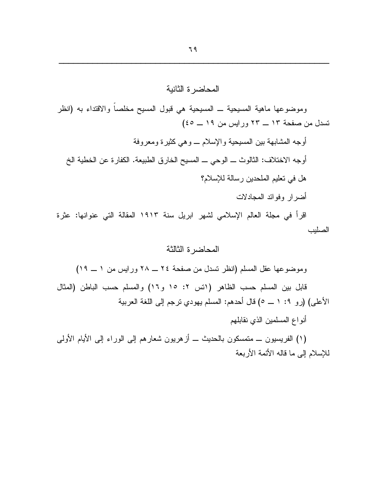# المحاضرة الثانية وموضوعها ماهية المسيحية ــ المسيحية هي قبول المسيح مخلصاً والاقتداء به (انظر نسدل من صفحة ١٣ ــ ٢٣ ورايس من ١٩ ــ ٤٥) أوجه المشابهة بين المسيحية والإسلام ـــ وهي كثير ة ومعروفة أوجه الاختلاف: الثالوث ـــ الوحي ـــ المسيح الخارق الطبيعة. الكفارة عن الخطية الخ هل في نعليم الملحدين رسالة للإسلام؟ أضىرار وفوائد المجادلات

اقرأ في مجلة العالم الإسلامي لشهر ابريل سنة ١٩١٣ المقالة التي عنوانها: عثرة الصليب

## المحاضر ة الثالثة

وموضوعها عقل المسلم (انظر نسدل من صفحة ٢٤ ــ ٢٨ ورايس من ١ ــ ١٩)

قابل بين المسلم حسب الظاهر (انس ٢: ١٥ و١٦) والمسلم حسب الباطن (المثال الأعلى) (رو ٩: ١ ـــ ٥) قال أحدهم: المسلم يهودي نرجم إلى اللغة العربية

أنواع المسلمين الذي نقابلهم

(١) الفريسيون ـــ منمسكون بالحديث ـــ أز هريون شعار هم إلىي الوراء إلىي الأيام الأولىي للإسلام إلى ما قاله الأئمة الأربعة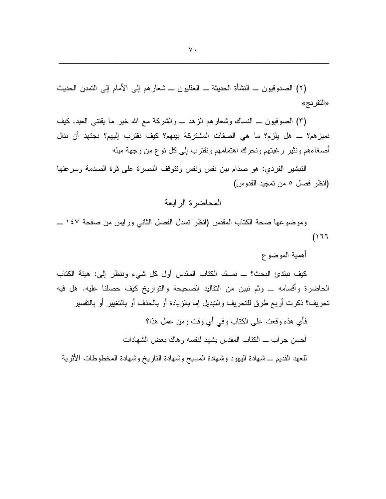(٢) الصدوقيون ـــ النشأة الحديثة ـــ العقليون ـــ شعارهم إلى الأمام إلى النمدن الحديث «التفرنج»

(٣) الصوفيون ـــ النساك وشعارهم الزهد ـــ والشركة مع الله خير ما يقتني العبد. كيف نميز هم؟ ـــ هل يلزم؟ ما هي الصفات المشتركة بينهم؟ كيف نقترب إليهم؟ نجتهد أن ننال أصغاءهم ونثير رغبتهم ونحرك اهتمامهم ونقترب إلىي كل نوع من وجهة ميله

التبشير الفردي: هو صدام بين نفس ونفس ونتوقف النصرة على قوة الصدمة وسرعتها (انظر فصل ٥ من تمجيد القدوس)

### المحاضرة الرابعة

وموضوعها صحة الكتاب المقدس (انظر نسدل الفصل الثاني ورايس من صفحة ١٤٧ ـــ  $(111)$ 

أهمية الموضوع

كيف نبتدئ البحث؟ ـــ نمسك الكتاب المقدس أول كل شيء وننظر إلى: هيئة الكتاب الحاضرة وأقسامه \_ وثم نبين من النقاليد الصحيحة والنواريخ كيف حصلنا عليه. هل فيه تحريف؟ ذكرت أربع طرق للتحريف والتبديل إما بالزيادة أو بالحذف أو بالتغيير أو بالتفسير

فأي هذه وفعت على الكتاب وفي أي وفت ومن عمل هذا؟ أحسن جو اب ــــ الكتاب المقدس يشهد لنفسه و هاك بعض الشهادات للعهد القديم ــ شهادة البهود وشهادة المسيح وشهادة الناريخ وشهادة المخطوطات الأثرية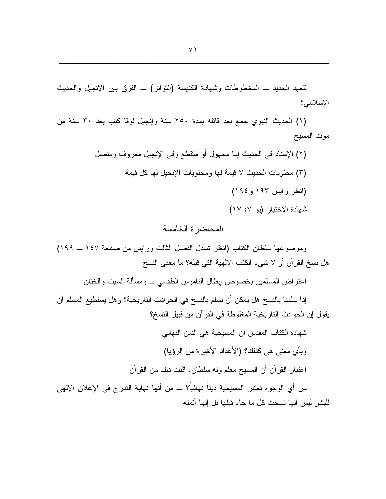للعهد الجديد ــ المخطوطات وشهادة الكنيسة (النواتر) ــ الفرق بين الإنجيل والحديث الإسلامي؟

(١) الحديث النبوي جمع بعد قائله بمدة ٢٥٠ سنة وإنجيل لوقا كتب بعد ٣٠ سنة من موت المسيح

> (٢) الإسناد في الحديث إما مجهول أو متقطع وفي الإنجيل معروف ومنصل (٣) محتويات الحديث لا قيمة لها ومحتويات الإنجيل لها كل قيمة (انظر رايس ١٩٣ و ١٩٤) شهادة الاختبار (يو ١٧: ١٧)

## المحاضر ة الخامسة

وموضوعها سلطان الكتاب (انظر تسدل الفصل الثالث ورايس من صفحة ١٤٧ ــ ١٩٩) هل نسخ القرآن أو لا شيء الكتب الإلهية التي قبله؟ ما معنى النسخ

اعتراض المسلمين بخصوص إبطال الناموس الطقسى ـــ ومسألة السبت والختان

إذا سلمنا بالنسخ هل بمكن أن نسلم بالنسخ في الحوادث الناريخية؟ وهل يستطيع المسلم أن يقول إن الحوادث التاريخية المغلوطة في القرآن من قبيل النسخ؟

> شهادة الكتاب المقدس أن المسيحية هي الدين النهائي وبأي معنى هي كذلك؟ (الأعداد الأخير ة من الرؤيا) اعتبار القرآن أن المسيح معلم وله سلطان. اثبت ذلك من القرآن

من أي الوجوه تعتبر المسيحية ديناً نهائياً؟ ـــ من أنها نهاية الندرج في الإعلان الإلهي للبشر ِ ليس أنها نسخت كل ما جاء قبلها بل إنها أتمته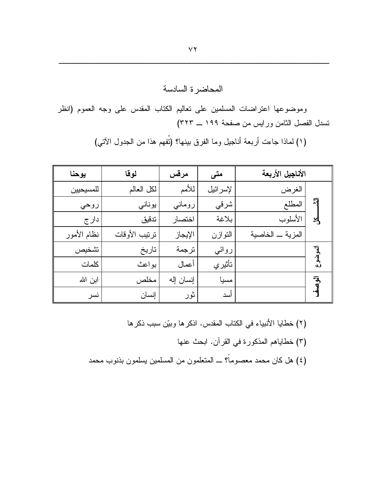# المحاضرة السادسة

وموضوعها اعتراضات المسلمين على تعاليم الكتاب المقدس على وجه العموم (انظر نسدل الفصل الثامن ورايس من صفحة ١٩٩ ـ ٣٢٣)

|         | الأناجيل الأربعة | متى      | مرقس      | لوقا          | يوحنا       |
|---------|------------------|----------|-----------|---------------|-------------|
| 习<br>R  | الغرض            | لإسرائيل | للأمم     | لكل العالم    | للمسيحيين   |
|         | المطلع           | شرقي     | رومانى    | يوناني        | روحي        |
|         | الأسلوب          | بلاغة    | اختصار    | تدقيق         | دار ج       |
|         | المزية _ الخاصية | التوازن  | الإيجاز   | ترتيب الأوقات | نظام الأمور |
| م<br>سا |                  | روائي    | ترجمة     | تاريخ         | تشخيص       |
|         |                  | تأثيري   | أعمال     | بواعث         | كلمات       |
|         |                  | مسيا     | إنسان إله | مخلص          | ابن الله    |
|         |                  | أسد      | ثور       | إنسان         | نسر         |

(١) لماذا جاءت أربعة أناجيل وما الفرق بينها؟ (نُفهم هذا من الجدول الآتي)

- (٢) خطايا الأنبياء في الكتاب المقدس. اذكرها وبيّن سبب ذكرها
	- (٣) خطاياهم المذكورة في القرآن. ابحث عنها
- (٤) هل كان محمد معصوماً؟ ـــ المتعلمون من المسلمين يسلمون بذنوب محمد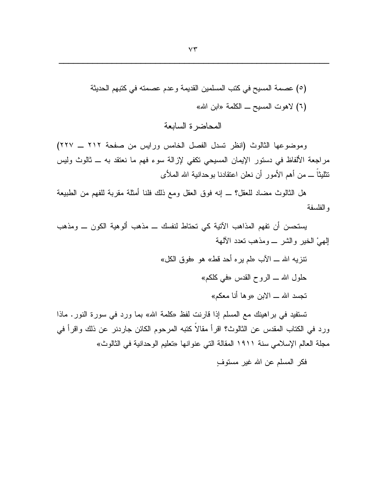المحاضرة السابعة

وموضوعها الثالوث (انظر نسدل الفصل الخامس ورايس من صفحة ٢١٢ ـ ٢٢٧) مراجعة الألفاظ في دستور الإيمان المسيحي نكفي لإزالة سوء فهم ما نعتقد به ـــ ثالوث وليس نتثليثاً ـــ من أهم الأمور أن نعلن اعتقادنا بوحدانية الله الملأى

هل الثالوث مضاد للعقل؟ ـــ إنه فوق العقل ومع ذلك فلنا أمثلة مقربة للفهم من الطبيعة و الفلسفة

يستحسن أن تفهم المذاهب الآتية كي تحتاط لنفسك ـــ مذهب ألوهية الكون ـــ ومذهب الِهِيُّ الْخَيْرِ وَالشَّرْ \_ وَمَذْهَبٍ نَعْدَدَ الْأَلْهَةُ

> نتزيه الله ـــ الآب «لم يره أحد قط» هو «فوق الكل» حلول الله ـــ الروح القدس «في كلكم» تجسد الله ـــ الابن «وها أنا معكم»

تستفيد في براهينك مع المسلم إذا قارنت لفظ «كلمة الله» بما ورد في سورة النور. ماذا ورد في الكتاب المقدس عن الثالوث؟ اقرأ مقالاً كتبه المرحوم الكائن جاردنر عن ذلك واقرأ في مجلَّة العالم الإسلامي سنة ١٩١١ المقالة التي عنوانها «تعليم الوحدانية في الثالوث»

فكر المسلم عن الله غير مستوف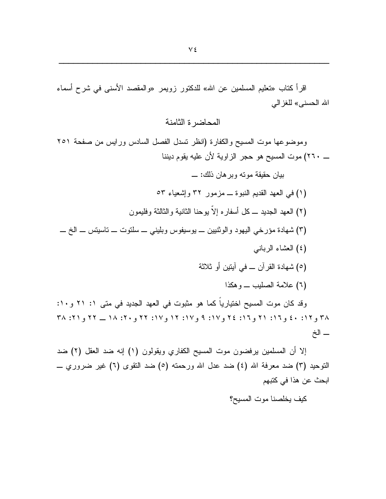اقرأ كتاب «تعليم المسلمين عن الله» للدكتور زويمر «والمقصد الأسنى في شرح أسماء الله الحسني» للغز الي

المحاضر ة الثامنة

وموضوعها موت المسيح والكفارة (انظر نسدل الفصل السادس ورايس من صفحة ٢٥١ \_ ٢٦٠) موت المسيح هو حجر الزاوية لأن عليه يقوم ديننا

بيان حقيقة موته وبر هان ذلك: \_

- (١) في العهد القديم النبوة ـ مزمور ٣٢ وإشعباء ٥٣
- (٢) العهد الجديد ـــ كل أسفار ه الاّ بو حنا الثانية و الثالثة و فليمو ن
- (٣) شهادة مؤرخي اليهود والوثنيين ــ يوسيفوس وبليني ــ سلنوت ــ ناسيتس ــ الخ ـــ
	- (٤) العشاء الرباني
	- (٥) شهادة القرآن ــ في آيتين أو ثلاثة
		- (٦) علامة الصليب ـ و هكذا

وقد كان موت المسيح اختيارياً كما هو مثبوت في العهد الجديد في متى ١: ٢١ و ١٠: ۳۸ و ۱۲: ٤٠ و ١٦: ٢١ و ١٦: ٢٤ و ١٧: ٩ و ١٧: ١٢ و ١٧: ٢٢ و ٢٠: ١٨ \_ ٢٢ و ٢١: ٣٨ ــ الخ

إلا أن المسلمين يرفضون موت المسيح الكفاري ويقولون (١) إنه ضد العقل (٢) ضد التوحيد (٣) ضد معرفة الله (٤) ضد عدل الله ورحمته (٥) ضد النقوى (٦) غير ضروري ـــ ابحث عن هذا في كتبهم

كيف يخلصنا موت المسيح؟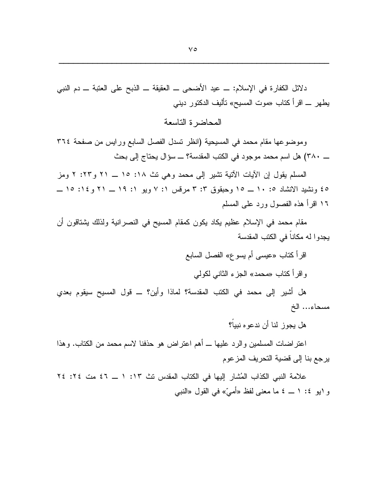دلائل الكفارة في الإسلام: \_ عيد الأضحى \_ العقيقة \_ الذبح على العتبة \_ دم النبي يطهر ـــ اقرأ كتاب «موت المسيح» نأليف الدكتور ديني

المحاضرة التاسعة

وموضوعها مقام محمد في المسيحية (انظر نسدل الفصل السابع ورايس من صفحة ٣٦٤ \_ ٣٨٠) هل اسم محمد موجود في الكتب المقدسة؟ \_ سؤال يحتاج إلى بحث

المسلم يقول إن الآيات الآتية تشير إلى محمد وهي نث ١٨: ١٥ ــ ٢١ و٢٢: ٢ ومز ٤٥ ونشيد الانشاد ١٠ : ١٠ ــ ١٥ وحبقوق ٣: ٣ مرقس ١: ٧ ويو ١: ١٩ ــ ٢١ و١٤: ١٥ ــ ١٦ اقرأ هذه الفصول ورد على المسلم

مقام محمد في الإسلام عظيم يكاد يكون كمقام المسيح في النصرانية ولذلك يشتاقون أن يجدو ا له مكاناً في الكتب المقدسة

> اقرأ كتاب «عيسى أم يسوع» الفصل السابع و اقر أكتاب «محمد» الجزء الثاني لكولي

هل أشير إلى محمد في الكتب المقدسة؟ لماذا وأين؟ ــ قول المسيح سيقوم بعدي مسحاء... الخ

هل بجوز لنا أن ندعو ه نبياً؟

اعتراضات المسلمين والرد عليها ـــ أهم اعتراض هو حذفنا لاسم محمد من الكتاب. وهذا يرجع بنا إلى قضية التحريف المزعوم

علامة النبي الكذاب المُشار إليها في الكتاب المقدس نث ١٣: ١ ــ ٤٦ مت ٢٤: ٢٤ و ابو ٤: ١ ــ ٤ ما معنى لفظ «أميّ» في القول «النبي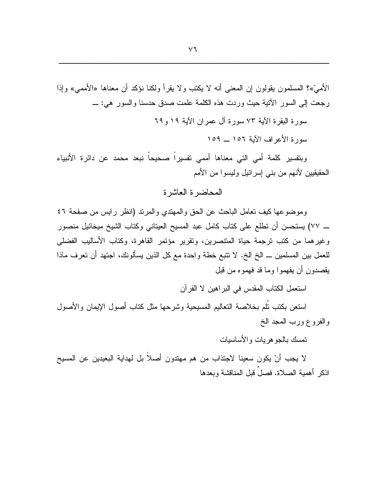الأميّ»؟ المسلمون بقولون إن المعنى أنه لا يكتب ولا يقرأ ولكنا نؤكد أن معناها «الأممي» وإذا رجعت إلى السور الآتية حيث وردت هذه الكلمة علمت صدق حدسنا والسور هي: ــــ

سورة البقرة الآبة ٧٣ سورة آل عمر ان الآبة ١٩ و ٦٩

سورة الأعراف الآية ١٥٦ \_ ١٥٩

وبتفسير كلمة أمى التى معناها أممى تفسيراً صحيحاً نبعد محمد عن دائرة الأنبياء الحقيقيين لأنهم من بنبي إسرائيل وليسوا من الأمم

## المحاضر ة العاشر ة

وموضوعها كيف تعامل الباحث عن الحق والمهتدى والمرتد (انظر رايس من صفحة ٤٦ ــــ ٧٧) يستحسن أن نظلع على كتاب كامل عبد المسيح العيتاني وكتاب الشيخ ميخائيل منصور وغيرهما من كتب ترجمة حياة المتنصرين، وتقرير مؤتمر القاهرة، وكتاب الأساليب الفضلي للعمل بين المسلمين ـــ الخ الخ. لا نتبع خطة واحدة مع كل الذين يسألونك، اجتهد أن تعرف ماذا يقصدون أن يفهموا وما قد فهمو ه من قبل

استعمل الكتاب المقدس في البر اهين لا القرآن

استعن بكتب نُلم بخلاصة النعاليم المسيحية وشرحها مثل كتاب أصول الإيمان والأصول والفروع ورب المعد الخ

تمسك بالجو هر بات و الأساسبات

لا يجب أنْ يكون سعينا لاجتذاب من هم مهتدون أصلاً بل لهداية البعيدين عن المسيح اذكر أهمية الصلاة. فصلَّ قبل المناقشة وبعدها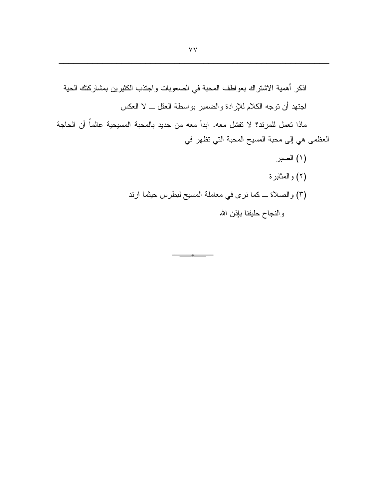ماذا تعمل للمرند؟ لا تفشَّل معه. ابدأ معه من جديد بالمحبة المسيحية عالماً أن الحاجة العظمى هي إلى محبة المسيح المحبة التي تظهر في

 $\frac{1}{2}$ 

(۱) الصبر (٢) والمثابرة (٣) والصلاة ــ كما نرى في معاملة المسيح لبطرس حيثما ارند والنجاح حليفنا بإذن الله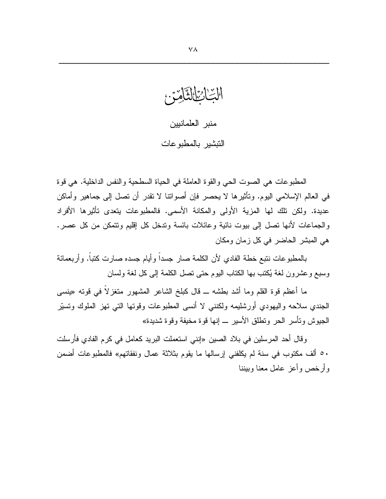الْتِ اْمِرَاْ لَتَّآْمِيَنَّ

منبر العلمانيين التبشير بالمطبو عات

المطبوعات هي الصوت الحي والقوة العاملة في الحياة السطحية والنفس الداخلية. هي قوة في العالم الإسلامي اليوم. وتأثيرها لا يحصر فإن أصواتنا لا تقدر أن تصل إلى جماهير وأماكن عديدة. ولكن تلك لها المزية الأولى والمكانة الأسمى. فالمطبوعات يتعدى تأثيرها الأفراد والجماعات لأنها نصل إلى ببوت نائية وعائلات بائسة وندخل كل إقليم ونتمكن من كل عصر. هي المبشر الحاضر في كل زمان ومكان

بالمطبوعات ننتبع خطة الفادى لأن الكلمة صار جسداً وأيام جسده صارت كتباً. وأربعمائة وسبع وعشرون لغة يُكتب بها الكتاب اليوم حتى نصل الكلمة إلى كل لغة ولسان

ما أعظم فوة القلم وما أشد بطشه ــ قال كبلخ الشاعر المشهور متغزلاً في فوته «ينسي الْجَنْدِي سلاحه واليهودي أورشليمه ولكننبي لا أنسى المطبوعات وقوتها التي تهز الملوك ونسبّر الـجيوش ونـأسر الـحر ونطلق الأسير ـــ إنـها قوة مـخيفة وقوة شديدة»

وقال أحد المرسلين في بلاد الصين «إنني استعملت البريد كعامل في كرم الفادي فأرسلت ٥٠ ألف مكتوب في سنة لم يكلفني إرسالها ما يقوم بثلاثة عمال ونفقاتهم» فالمطبوعات أضمن وأرخص وأعز عامل معنا وببننا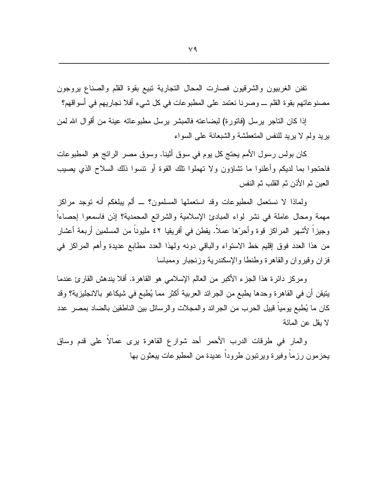نفنن الغربيون والشرقيون فصارت المحال التجارية نبيع بقوة القلم والصناع يروجون مصنوعاتهم بقوة القلم ــــ وصرنا نعتمد على المطبوعات في كل شيء أفلا نجاريهم في أسواقهم؟

إذا كان التاجر برسل (فاتورة) لبضاعته فالمبشر برسل مطبوعاته عينة من أقوال الله لمن بريد ولم لا بريد للنفس المتعطشة والشبعانة على السواء

كان بولس رسول الأمم يحتج كل يوم في سوق أثينا. وسوق مصر الرائج هو المطبوعات فاحتجوا بما لديكم وأعلنوا ما نشاؤون ولا نهملوا نلك القوة أو نتسوا ذلك السلاح الذي يصيب العين ثم الأذن ثم القلب ثم النفس

ولماذا لا نستعمل المطبوعات وقد استعملها المسلمون؟ ــ ألم يبلغكم أنه نوجد مراكز مهمة ومحال عاملة في نشر لواء المبادئ الإسلامية والشرائع المحمدية؟ إذن فاسمعوا إحصاءاً وجبزاً لأشهر المراكز قوة وأحرَّها عملاً. يقطن في أفريقيا ٤٢ مليوناً من المسلمين أربعة أعشار من هذا العدد فوق إقليم خط الاستواء والباقي دونه ولهذا العدد مطابع عديدة وأهم المراكز في فزان وقيروان والقاهرة وطنطا والإسكندرية وزنجبار وممباسا

ومركز دائرة هذا الجزء الأكبر من العالم الإسلامي هو القاهرة. أفلا يندهش القارئ عندما يتيقن أن في القاهرة وحدها يطبع من الجرائد العربية أكثر مما يُطبع في شيكاغو بالانجليزية؟ وقد كان ما يُطبع بوميا قبيل الحرب من الجرائد والمجلات والرسائل بين الناطقين بالضاد بمصر عدد لا يقل عن المائة

والمار في طرقات الدرب الأحمر أحد شوارع القاهرة برى عمالاً على قدم وساق يحزمون رزماً وفيرة ويرتبون طروداً عديدة من المطبوعات يبعثون بها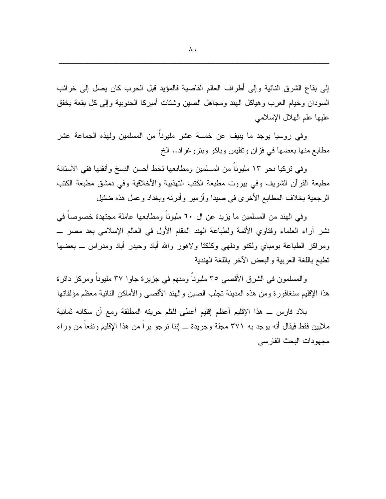إلى بقاع الشرق النائية وإلى أطراف العالم القاصية فالمؤيد قبل الحرب كان يصل إلى خرائب السودان وخيام العرب وهياكل الهند ومجاهل الصين وشتات أميركا الجنوبية وإلىي كل بقعة يخفق عليها علم الهلال الإسلامي

وفي روسيا يوجد ما بنيف عن خمسة عشر مليوناً من المسلمين ولهذه الجماعة عشر مطابع منها بعضها في فزان ونفليس وباكو وبنروغراد.. الخ

وفي نركيا نحو ١٣ مليوناً من المسلمين ومطابعها نخط أحسن النسخ وأتقنها ففي الأستانة مطبعة القرآن الشريف وفي بيروت مطبعة الكتب التهذبية والأخلاقية وفي دمشق مطبعة الكتب الرجعية بخلاف المطابع الأخرى في صبدا وأزمير وأدرنه وبغداد وعمل هذه ضئيل

وفي الهند من المسلمين ما يزيد عن ال ٦٠ مليوناً ومطابعها عاملة مجتهدة خصوصاً في نشر أراء العلماء وفتاوي الأئمة ولطباعة الهند المقام الأول في العالم الإسلامي بعد مصر \_ ومراكز الطباعة بومباي ولكنو ودلهي وكلكتا ولاهور والله أباد وحيدر أباد ومدراس ـــ بعضها نطبع باللغة العربية والبعض الأخر باللغة الهندية

والمسلمون في الشرق الأقصبي ٣٥ مليونا ومنهم في جزيرة جاوا ٣٧ مليونا ومركز دائرة هذا الإقليم سنغافورة ومن هذه المدينة نجلب الصين والهند الأقصىي والأماكن النائية معظم مؤلفاتها

بلاد فارس ـــ هذا الإقليم أعظم إقليم أعطي للقلم حريته المطلقة ومع أن سكانه ثمانية ملايين فقط فيقال أنه بوجد به ٣٧١ مجلة وجريدة ـــ إننا نرجو برا من هذا الإقليم ونفعا من وراء مجهودات البحث الفارسي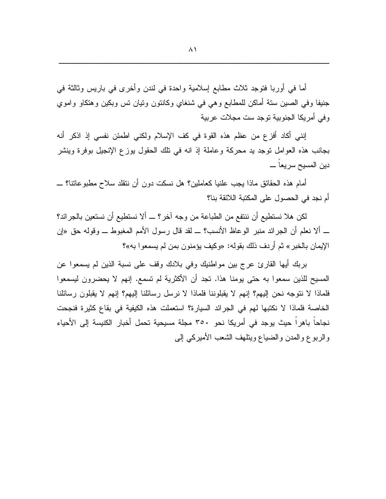أما في أوربا فتوجد ثلاث مطابع إسلامية واحدة في لندن وأخرى في باريس وثالثة في جنيفا وفي الصين سنة أماكن للمطابع وهي في شنغاي وكانتون ونيان نس وبكين وهنكاو واموي وفي أمريكا الجنوبية توجد ست مجلات عربية

إنني أكاد أفزع من عظم هذه القوة في كف الإسلام ولكني اطمئن نفسي إذ اذكر أنه بجانب هذه العوامل نوجد يد محركة وعاملة إذ انه في نلك الحقول بوزع الإنجيل بوفرة وينشر دين المسيح سريعا \_

أمام هذه الـحقائق مـاذا يـجب علنيا كـعاملين؟ هل نسكت دون أن ننقلد سلاح مطبو عاتنا؟ ـــــــــــــــــــــــــــ أم نجد في الحصول على المكتبة اللائقة بنا؟

لكن هلا نستطيع أن ننتفع من الطباعة من وجه آخر؟ ـــ ألا نستطيع أن نستعين بالجرائد؟ ـــ ألا نعلم أن الجرائد منبر الوعاظ الأنسب؟ ـــ لقد قال رسول الأمم المغبوط ــــ وقوله حق «إن الإيمان بالخبر » ثم أر دف ذلك بقوله: «وكيف يؤمنون بمن لم يسمعو ا به»؟

بربك أيها القارئ عرج بين مواطنيك وفي بلادك وقف على نسبة الذين لم يسمعوا عن المسيح للذين سمعوا به حتى يومنا هذا. تجد أن الأكثرية لم تسمع. إنهم لا يحضرون ليسمعوا فلماذا لا نتوجه نحن إليهم؟ إنهم لا يقبلوننا فلماذا لا نرسل رسائلنا إليهم؟ إنهم لا يقبلون رسائلنا الخاصة فلماذا لا نكتبها لهم في الجرائد السيارة؟ استعملت هذه الكيفية في بقاع كثيرة فنجحت نجاحا باهرا حيث يوجد في أمريكا نحو ٣٥٠ مجلة مسيحية تحمل أخبار الكنيسة إلى الأحياء والربوع والمدن والضباع ويتلهف الشعب الأميركي إلىي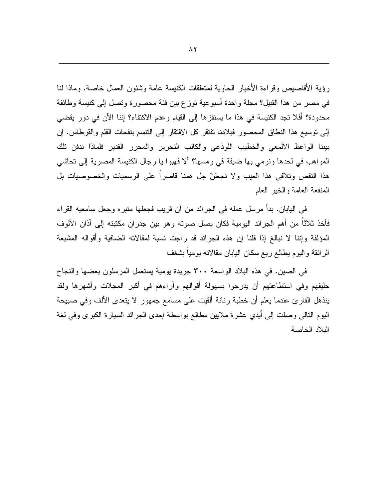رِؤِيةِ الأقاصيصِ وقرَّاءة الأخبار الحاوية لمتعلقات الكنيسة عامة وشئون العمال خاصة. وماذا لنا في مصر من هذا القبيل؟ مجلَّة واحدة أسبوعية توزع بين فئة محصورة وتصل إلى كنيسة وطائفة محدودة؟ أفلا نجد الكنيسة في هذا ما يستفزها إلى القيام وعدم الاكتفاء؟ إننا الآن في دور يقضيي إلى توسيع هذا النطاق المحصور فبلادنا تفتقر كل الافتقار إلى النتسم بنفحات القلم والقرطاس. إن بيننا الواعظ الألمعي والخطيب اللوذعي والكاتب النحرير والمحرر القدير فلماذا ندفن نلك المواهب في لحدها ونرمي بها ضبقة في رمسها؟ ألا فهبوا يا رجال الكنيسة المصرية إلى تحاشي هذا النقص وتلافي هذا العيب ولا نجعلنّ جل همنا قاصرا على الرسميات والخصوصيات بل المنفعة العامة والخير العام

في اليابان. بدأ مرسل عمله في الجرائد من آن قريب فجعلها منبره وجعل سامعيه القراء فأخذ ثلاثًا من أهم الجرائد اليومية فكان يصل صوته وهو بين جدران مكتبته إلى آذان الألوف المؤلفة وإننا لا نبالغ إذا قلنا إن هذه الجرائد قد راجت نسبة لمقالاته الضافية وأقواله المشبعة الرائقة واليوم يطالع ربع سكان اليابان مقالاته بوميا بشغف

في الصين. في هذه البلاد الواسعة ٣٠٠ جريدة يومية يستعمل المرسلون بعضها والنجاح حليفهم وفي استطاعتهم أن يدرجوا بسهولة أقوالهم وآراءهم في أكبر المجلات وأشهرها ولقد بنذهل القارئ عندما يعلم أن خطبة رنانة ألقيت على مسامع جمهور لا يتعدى الألف وفي صبيحة اليوم النالبي وصلت إلىي أيدي عشرة ملايين مطالع بواسطة إحدى الجرائد السيارة الكبرى وفي لغة البلاد الخاصة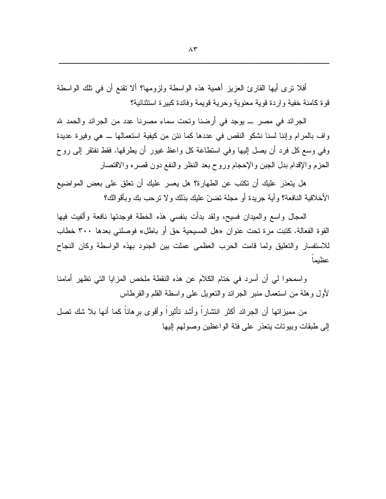أفلا نزى أبها القارئ العزيز أهمية هذه الواسطة ولزومها؟ ألا نقنع أن في نلك الواسطة قو ة كامنة خفية و ار دة قوية معنوية و حرية قويمة وفائدة كبير ة استثنائية؟

الجرائد في مصر \_ يوجد في أرضنا وتحت سماء مصرنا عدد من الجرائد والحمد لله واف بالمرام وإننا لسنا نشكو النقص في عددها كما نئن من كيفية استعمالها ـــ هي وفيرة عديدة وفي وسع كل فرد أن يصل إليها وفي استطاعة كل واعظ غيور أن يطرقها. فقط نفتقر إلى روح الحزم والإقدام بدل الجبن والإحجام وروح بعد النظر والنفع دون قصره والاقتصار

هل يتعذر عليك أن تكتب عن الطهارة؟ هل يعسر عليك أن تعلق على بعض المواضيع الأخلاقية النافعة؟ وأية جريدة أو مجلة نضنّ عليك بذلك ولا نرحب بك وبأقوالك؟

المحال واسع والمبدان فسيح، ولقد بدأت بنفسى هذه الخطة فوجدتها نافعة وألفيت فيها القوة الفعالة. كتبت مرة تحت عنوان «هل المسيحية حق أو باطل» فوصلنبي بعدها ٣٠٠ خطاب للاستفسار والتعليق ولما قامت الحرب العظمى عملت بين الجنود بهذه الواسطة وكان النجاح عظىما

واسمحوا لمي أن أسرد في ختام الكلام عن هذه النقطة ملخص المزايا التبي تظهر أمامنا لأول وهلة من استعمال منبر الجرائد والنعويل على واسطة القلم والقرطاس

من مميز اتها أن الجر ائد أكثر انتشار اً و أشد تأثير اً و أقو ي بر هاناً كما أنها بلا شك تصل إلى طبقات وببونات بنعذر على فئة الواعظين وصولهم إليها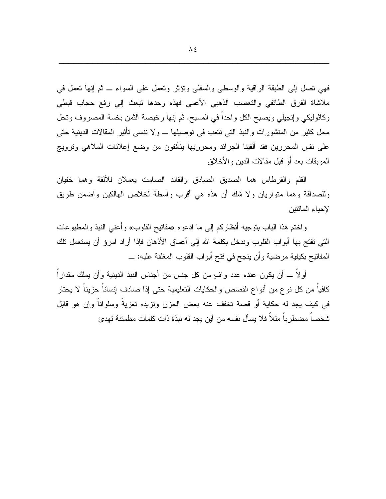فهي نصل إلى الطبقة الراقية والوسطى والسفلى ونؤثر ونعمل على السواء \_ ثم إنها نعمل في ملاشاة الفرق الطائفي والنعصب الذهبي الأعمى فهذه وحدها نبعث إلىي رفع حجاب قبطي وكاثوليكي وإنجيلي ويصبح الكل واحدا في المسيح. ثم إنها رخيصة الثمن بخسة المصروف وتحل محل كثير من المنشورات والنبذ التي نتعب في توصيلها \_ ولا ننسى تأثير المقالات الدينية حتى على نفس المحررين فقد ألفينا الجرائد ومحرريها يتأففون من وضع إعلانات الملاهي ونرويج الموبقات بعد أو قبل مقالات الدبن و الأخلاق

القلم والقرطاس هما الصديق الصادق والقائد الصامت يعملان للألفة وهما خفيان وللصداقة وهما منواريان ولا شك أن هذه هي أقرب واسطة لخلاص الهالكين واضمن طريق لإحباء المائتبن

واختم هذا الباب بنوجيه أنظاركم إلى ما ادعوه «مفاتيح القلوب» وأعنى النبذ والمطبوعات النَّبِي نفتح بـها أبواب القلوب وندخل بكلمة الله إلى أعماق الأذهان فإذا أراد امرؤ أن يستعمل نلك المفاتيح بكيفية مرضية وأن ينجح في فتح أبواب القلوب المغلقة عليه: \_

أولًا ـــ أن يكون عنده عدد وافٍ من كل جنس من أجناس النبذ الدينية وأن يملك مقدارا كافيا من كل نوع من أنواع القصص والحكايات النعليمية حتى إذا صادف إنسانا حزينا لا يحتار في كيف يجد له حكاية أو قصة تخفف عنه بعض الحزن ونزيده تعزيةً وسلواناً وإن هو قابل شخصاً مضطر باً مثلاً فلا يسأل نفسه من أين يجد له نبذة ذات كلمات مطمئنة تهدئ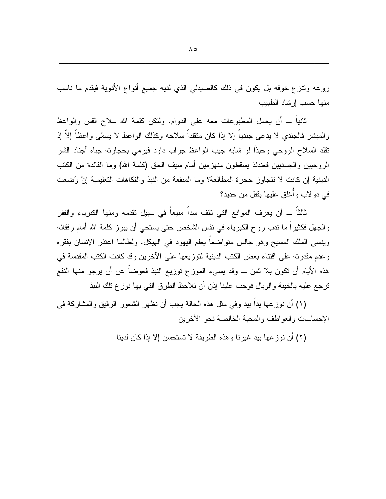روعه ونتزع خوفه بل يكون في ذلك كالصيدلي الذي لديه جميع أنواع الأدوية فيقدم ما ناسب منها حسب إرشاد الطبيب

ثانيا ــــ أن يحمل المطبوعات معه على الدوام. ولنكن كلمة الله سلاح القس والواعظ و المبشِّر فالجندي لا يدعى جندياً إلا إذا كان متقلَّداً سلاحه وكذلك الواعظ لا يسمَّى واعظاً إلاَّ إذ نقلد السلاح الروحي وحبذا لو شابه جيب الواعظ جراب داود فيرمى بحجارته جباه أجناد الشر الروحبين والجسديين فعندئذ يسقطون منهزمين أمام سيف الحق (كلمة الله) وما الفائدة من الكتب الدينية إن كانت لا نتجاوز حجرة المطالعة؟ وما المنفعة من النبذ والفكاهات التعليمية إنْ وُضعت في دو لاب وأُغلق عليها بقفل من حديد؟

ثالثاً ـــ أن يعرف الموانع التي نقف سداً منيعاً في سبيل نقدمه ومنها الكبرياء والفقر والجهل فكثيرًا ما نندب روح الكبرياء في نفس الشخص حتى يستحي أن يبرز كلمة الله أمام رفقائه وينسى الملك المسيح وهو جالس منواضعا يعلم اليهود في الهيكل. ولطالما اعتذر الإنسان بفقره وعدم مقدرته على اقتناء بعض الكتب الدينية لتوزيعها على الأخرين وقد كادت الكتب المقدسة في هذه الأيام أن نكون بلا ثمن ـــ وقد يسيء الموزع نوزيع النبذ فعوضاً عن أن يرجو منها النفع نرجع عليه بالخيبة والوبال فوجب علينا إذن أن نلاحظ الطرق التي بها نوزع تلك النبذ

(١) أن نوز عها بدا بيد وفي مثل هذه الحالة يجب أن نظهر الشعور الرقيق والمشاركة في الإحساسات والعواطف والمحبة الخالصة نحو الأخرين

(٢) أن نوز عها بيد غيرنا وهذه الطريقة لا تستحسن إلا إذا كان لدينا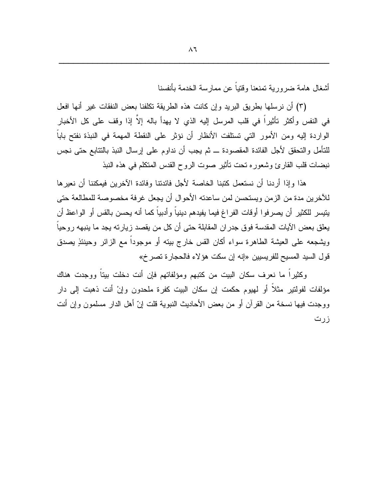أشغال هامة ضروربة تمنعنا وقتباً عن ممارسة الخدمة بأنفسنا

(٣) أن نرسلها بطريق البريد وإن كانت هذه الطريقة نكلفنا بعض النفقات غير أنها افعل في النفس وأكثر تأثيراً في قلب المرسل إليه الذي لا يهدأ باله إلاّ إذا وقف على كل الأخبار الواردة إليه ومن الأمور التي تستلفت الأنظار أن نؤثر على النقطة المهمة في النبذة نفتح باباً للتأمل والتحقق لأجل الفائدة المقصودة ـــ ثم يجب أن نداوم على إرسال النبذ بالتتابع حتى نجس نبضات قلب القارئ وشعوره نحت نأنثير صوت الروح القدس المتكلم في هذه النبذ

هذا وإذا أردنا أن نستعمل كتبنا الخاصة لأجل فائدتنا وفائدة الآخرين فبمكننا أن نعبر ها للآخرين مدة من الزمن ويستحسن لمن ساعدته الأحوال أن يجعل غرفة مخصوصة للمطالعة حتى يتيسر للكثير أن يصرفوا أوقات الفراغ فيما يفيدهم دينياً وأدبياً كما أنه يحسن بالقس أو الواعظ أن يعلق بعض الآيات المقدسة فوق جدران المقابلة حتى أن كل من يقصد زيارته يجد ما ينبهه روحياً ويشجعه على العيشة الطاهرة سواء أكان القس خارج بيته أو موجوداً مع الزائر وحينئذٍ يصدق قول السيد المسيح للفريسيين «إنه إن سكت هؤلاء فالحجارة تصرخ»

وكثيراً ما نعرف سكان البيت من كتبهم ومؤلفاتهم فإن أنت دخلت بيتاً ووجدت هناك مؤلفات لفولتير مثلاً أو لمهيوم حكمت إن سكان البيت كفرة ملحدون وإنْ أنت ذهبت إلى دار ووجدت فيها نسخة من القرآن أو من بعض الأحاديث النبوية قلت إنّ أهل الدار مسلمون وإن أنت زرت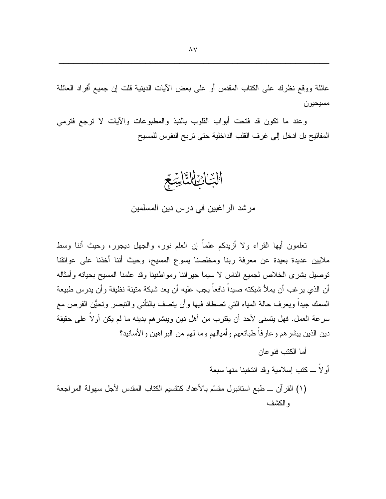عائلة ووقع نظرك على الكتاب المقدس أو على بعض الآيات الدينية قلت إن جميع أفراد العائلة مسيحيون

وعند ما نكون قد فتحت أبواب القلوب بالنبذ والمطبوعات والأيات لا نرجع فترمى المفاتيح بل ادخل إلى غرف القلب الداخلية حتى تربح النفوس للمسيح



تعلَّمون أيها القراء ولا أزيدكم علماً إن العلم نورٍ ، والجهل ديجورٍ ، وحيث أننا وسط ملايين عديدة بعيدة عن معرفة ربنا ومخلصنا يسوع المسيح، وحيث أننا أخذنا على عوانقنا توصيل بشرى الخلاص لجميع الناس لا سيما جيراننا ومواطنينا وقد علمنا المسيح بحياته وأمثاله أن الذي ير غب أن يملأ شبكته صيداً نافعاً يجب عليه أن يعد شبكة متينة نظيفة وأن يدرس طبيعة السمك جيداً ويعرف حالة المياه التي نصطاد فيها وأن يتصف بالنأنبي والنبصر ونحيُّن الفرص مع سرعة العمل. فهل يتسنى لأحد أن يقترب من أهل دين ويبشر هم بدينه ما لم يكن أو لاً على حقيقة دين الذين ببشر هم و عارفاً طبائعهم و أميالهم و ما لهم من البر اهين و الأسانيد؟

أما الكتب فنو عان

أو لاً ـــ كنب اسلامية وقد انتخبنا منها سبعة

(١) القرآن ـــ طبع استانبول مقسَّم بالأعداد كنقسيم الكتاب المقدس لأجل سهولة المراجعة و الكشف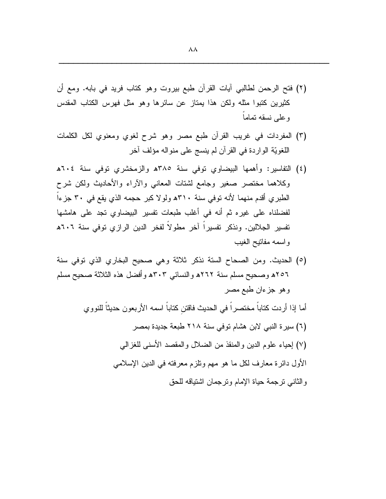- (٢) فتح الرحمن لطالبي آيات القرآن طبع بيروت وهو كتاب فريد في بابه. ومع أن كثيرين كتبوا مثله ولكن هذا بمتاز عن سائرها وهو مثل فهرس الكتاب المقدس وعلى نسقه تماما
- (٣) المفردات في غريب القرآن طبع مصر وهو شرح لغوى ومعنوى لكل الكلمات اللغويّة الواردة في القرآن لم ينسج على منواله مؤلف آخر
- (٤) التفاسير: وأهمها البيضاوي نوفي سنة ٣٨٥ﻫ والزمخشري نوفي سنة ٢٠٤ه وكلاهما مختصر صغير وجامع لشتات المعانبي والأراء والأحاديث ولكن شرح الطبري أقدم منهما لأنه نوفي سنة ٣١٠ه ولولا كبر حجمه الذي يقع في ٣٠ جزءاً لفضلناه على غيره ثم أنه في أغلب طبعات تفسير البيضاوي تجد على هامشها تفسير الجلالين. ونذكر تفسيراً آخر مطولاً لفخر الدين الرازي توفي سنة ٦٠٦هـ وإسمه مفانيح الغيب
- (٥) الحديث. ومن الصحاح السنة نذكر ثلاثة وهي صحيح البخاري الذي توفي سنة ٢٥٦ﻫ وصحيح مسلم سنة ٢٦٢ﻫ والنسائبي ٣٠٣ﻫ وأفضل هذه الثلاثة صحيح مسلم وهو جزءان طبع مصر

أما إذا أردت كتاباً مختصراً في الحديث فاقتن كتاباً اسمه الأربعون حديثاً للنووي

(٦) سيرة النبي لابن هشام توفي سنة ٢١٨ طبعة جديدة بمصر (٧) إحياء علوم الدين والمنقذ من الضلال والمقصد الأسنى للغزالـي الأول دائرة معارف لكل ما هو مهم ونلزم معرفته في الدين الإسلامي و الثاني تر جمة حياة الإمام و تر جمان اشتياقه للحق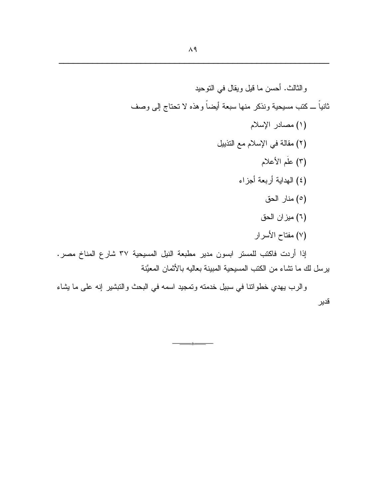لرع المناخ مصر. يرسل لك ما تشاء من الكتب المسيحية المبينة بعاليه بالأثمان المعيَّنة

والرب بهدي خطواتنا في سبيل خدمته وتمجيد اسمه في البحث والنبشير إنه على ما يشاء قدير

 $-4$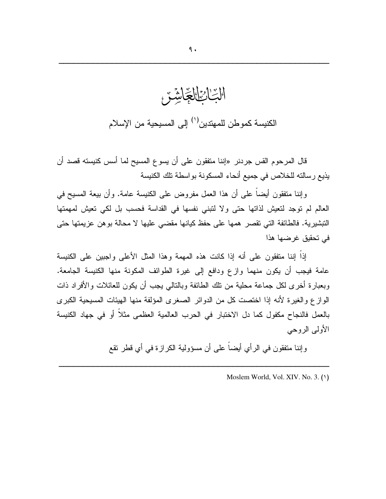

قال المرحوم القس جردنر «إننا متفقون على أن يسوع المسيح لما أسس كنيسته قصد أن يذيع رسالته للخلاص في جميع أنحاء المسكونة بواسطة تلك الكنيسة

وإننا منفقون أيضـاً علـى أن هذا الـعمل مفروض علـى الكنيسة عامـة. وأن بيعة المسيح فـي العالم لم توجد لتعيش لذاتها حتى ولا لنبني نفسها في القداسة فحسب بل لكي تعيش لمهمتها التبشيرية. فالطائفة التي تقصر همها على حفظ كيانها مقضى عليها لا محالة بوهن عزيمتها حتى في تحقيق غرضها هذا

إذاً إننا منفقون على أنه إذا كانت هذه المهمة وهذا المثل الأعلى واجبين على الكنيسة عامة فيجب أن يكون منهما ولزع ودافع إلى غيرة الطوائف المكونة منها الكنيسة الجامعة. وبعبارة أخرى لكل جماعة محلية من نلك الطائفة وبالنالبي يجب أن يكون للعائلات والأفراد ذات الوازع والغيرة لأنه إذا اختصت كل من الدوائر الصغرى المؤلفة منها الهيئات المسيحية الكبرى بالعمل فالنجاح مكفول كما دل الاختبار في الحرب العالمية العظمى مثلاً أو في جهاد الكنيسة الأولىي الروحي

وإننا منفقون في الرأي أيضاً على أن مسؤولية الكرازة في أي قطر نقع

Moslem World, Vol. XIV. No. 3. (1)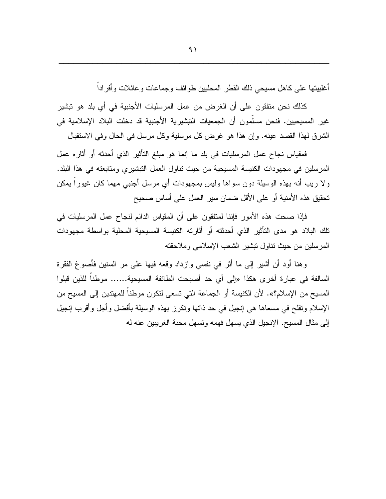أغلبيتها على كاهل مسيحي ذلك القطر المحليين طوائف وجماعات و عائلات و أفر اداً

كذلك نحن متفقون على أن الغر ض من عمل المر سليات الأجنبية في أي بلد هو تبشير غير المسيحيين. فنحن مسلَّمون أن الجمعيات النبشيرية الأجنبية قد دخلت البلاد الإسلامية في الشرق لهذا القصد عينه. وإن هذا هو غرض كل مرسلية وكل مرسل في الحال وفي الاستقبال

فمقياس نجاح عمل المرسليات في بلد ما إنما هو مبلغ التأثير الذي أحدثه أو أثاره عمل المرسلين في مجهودات الكنيسة المسيحية من حيث نتاول العمل النبشيري ومتابعته في هذا البلد. ولا ريب أنه بهذه الوسيلة دون سواها وليس بمجهودات أي مرسل أجنبي مهما كان غيوراً يمكن تحقيق هذه الأمنية أو على الأقل ضمان سير العمل على أساس صحيح

فإذا صحت هذه الأمور فإننا لمنفقون على أن المقياس الدائم لنجاح عمل المرسليات في نلك البلاد هو مدى النأثير الذي أحدثته أو أثارته الكنيسة المسيحية المحلية بواسطة مجهودات المرسلين من حيث نتاول نبشير الشعب الإسلامي وملاحقته

وهنا أود أن أشير إلى ما أثر في نفسي وازداد وقعه فيها على مر السنين فأصوغ الفقرة السالفة في عبارة أخرى هكذا «إلى أي حد أصبحت الطائفة المسيحية...... موطناً للذين قبلوا المسيح من الإسلام؟». لأن الكنيسة أو الجماعة التي نسعى لتكون موطناً للمهتدين إلى المسيح من الإسلام ونفلح في مسعاها هي إنجيل في حد ذاتها وتكرز بهذه الوسيلة بأفضل وأجل وأقرب إنجيل إلى مثال المسيح. الإنجيل الذي يسهل فهمه ونسهل محبة الغريبين عنه له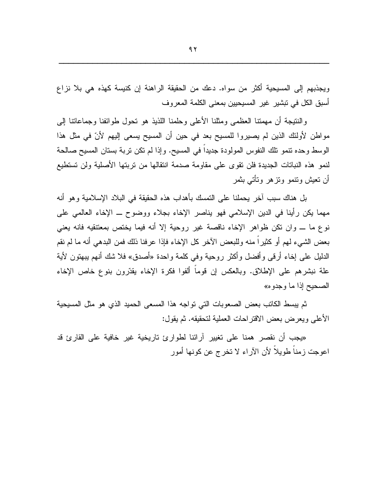ويجذبهم إلى المسيحية أكثر من سواه. دعك من الحقيقة الراهنة إن كنيسة كهذه هي بلا نزاع أسبق الكل في نبشير غير المسيحيين بمعنى الكلمة المعروف

والنتيجة أن مهمتنا العظمى ومثلنا الأعلى وحلمنا اللذيذ هو نحول طوائفنا وجماعاتنا إلىي مواطن لأولئك الذين لم يصيروا للمسيح بعد في حين أن المسيح يسعى إليهم لأنّ في مثل هذا الوسط وحده نتمو نلك النفوس المولودة جديداً في المسيح. وإذا لم نكن نربة بستان المسيح صالحة لنمو هذه النباتات الجديدة فلن نقوى على مقاومة صدمة انتقالها من نربتها الأصلية ولن تستطيع أن تعيش ونتمو ونزهر ونأتى بثمر

بل هناك سبب آخر يحملنا على التمسك بأهداب هذه الحقيقة في البلاد الإسلامية وهو أنه مهما يكن رأينا في الدين الإسلامي فهو يناصر الإخاء بجلاء ووضوح ــ الإخاء العالمي على نوع ما ـــ وان نكن ظواهر الإخاء ناقصة غير روحية إلا أنه فيما يختص بمعتنقيه فانه يعني بعض الشيء لمهم أو كثيراً منه وللبعض الأخر كل الإخاء فإذا عرفنا ذلك فمن البدهي أنه ما لم نقم الدليل على إخاء أرقى وأفضل وأكثر روحية وفي كلمة واحدة «أصدق» فلا شك أنهم ببهتون لأية علة نبشرهم على الإطلاق. وبالعكس إن قوما ألفوا فكرة الإخاء يقدَّرون بنوع خاص الإخاء الصحيح إذا ما وجدوه»

ثم يبسط الكاتب بعض الصعوبات التي تواجه هذا المسعى الحميد الذي هو مثل المسيحية الأعلى ويعرض بعض الاقتراحات العملية لتحقيقه. ثم يقول:

«يجب أن نقصر همنا على تغيير آرائنا لطوارئ تاريخية غير خافية على القارئ قد اعوجت ز مناً طويلاً لأن الآر اء لا نخر ج عن كونها أمور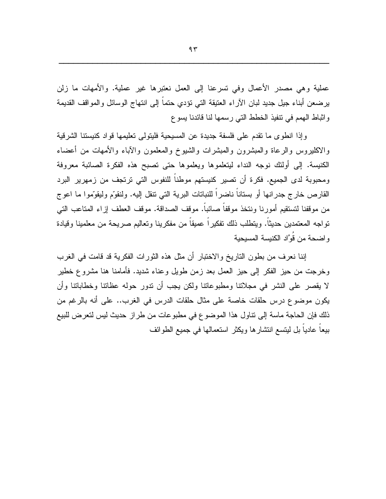عملية وهي مصدر الأعمال وفي تسرعنا إلى العمل نعتبرها غير عملية. والأمهات ما زلن يرضعن أبناء جيل جديد لبان الآراء العتيقة التي نؤدي حتماً إلى انتهاج الوسائل والمواقف القديمة واثباط الهمم في نتفيذ الخطط التي رسمها لذا فائدنا يسوع

وإذا انطوى ما نقدم على فلسفة جديدة عن المسيحية فليتولى تعليمها قواد كنيستنا الشرقية والاكليروس والرعاة والمبشرون والمبشرات والشبوخ والمعلمون والأباء والأمهات من أعضاء الكنيسة. إلى أولئك نوجه النداء ليتعلموها ويعلموها حتى نصبح هذه الفكرة الصائبة معروفة ومحبوبة لدى الجميع. فكرة أن تصير كنيستهم موطنا للنفوس التي ترتجف من زمهرير البرد القارص خارج جدرانها أو بستاناً ناضراً للنباتات البرية التي نتقل إليه. ولنقوَّم وليقوَّموا ما اعوج من موقفنا لتستقيم أمورنا ونتخذ موقفاً صائباً. موقف الصداقة. موقف العطف إزاء المتاعب التي نواجه المعتمدين حديثًا. وينطلب ذلك نفكيراً عميقاً من مفكرينا ونعاليم صريحة من معلمينا وقيادة و اضحة من قُوَّاد الكنيسة المسيحية

إننا نعرف من بطون التاريخ والاختبار أن مثل هذه الثورات الفكرية قد قامت في الغرب وخرجت من حيز الفكر إلى حيز العمل بعد زمن طويل وعناء شديد. فأمامنا هنا مشروع خطير لا يقصر على النشر في مجلاننا ومطبوعاننا ولكن يجب أن ندور حوله عظاننا وخطاباننا وأن يكون موضوع درس حلقات خاصة على مثال حلقات الدرس في الغرب.. على أنه بالرغم من ذلك فإن الحاجة ماسة إلى نتاول هذا الموضوع في مطبوعات من طراز حديث ليس لتعرض للبيع بيعا عاديا بل ليتسع انتشارها ويكثر استعمالها في جميع الطوائف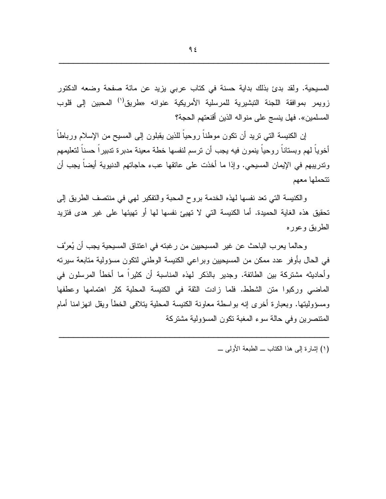المسيحية. ولقد بدئ بذلك بداية حسنة في كتاب عربي يزيد عن مائة صفحة وضعه الدكتور زويمر بموافقة اللجنة التبشيرية للمرسلية الأمريكية عنوانه «طريق<sup>(י)</sup> المحبين إلى قلوب المسلمين». فهل ينسج على منواله الذين أقنعتهم الحجة؟

إن الكنيسة التي نريد أن نكون موطناً روحياً للذين يقبلون إلى المسيح من الإسلام ورباطاً أخوياً لمهم وبستاناً روحياً ينمون فيه يجب أن نرسم لنفسها خطة معينة مدبرة ندبيراً حسناً لتعليمهم وندريبهم في الإيمان المسيحي. وإذا ما أخذت على عاتقها عبء حاجاتهم الدنيوية أيضاً يجب أن تتحملها معهم

والكنيسة التي تعد نفسها لهذه الخدمة بروح المحبة والتفكير لمهي في منتصف الطريق إلى تحقيق هذه الغاية الحميدة. أما الكنيسة التي لا تهيئ نفسها لها أو تهيئها على غير هدى فتزيد الطريق وعوره

وحالما يعرب الباحث عن غير المسيحيين من رغبته في اعتناق المسيحية يجب أن يُعرَّف في الحال بأوفر عدد ممكن من المسيحيين وبراعي الكنيسة الوطني لنكون مسؤولية منابعة سيرته وأحاديثه مشتركة بين الطائفة. وجدير بالذكر لهذه المناسبة أن كثيرا ما أخطأ المرسلون في الماضي وركبوا منن الشطط. فلما زادت الثقة في الكنيسة المحلية كثر اهتمامها وعطفها ومسؤوليتها. وبعبارة أخرى إنه بواسطة معاونة الكنيسة المحلية يتلافى الخطأ ويقل انهزامنا أمام المنتصرين وفي حالة سوء المغبة نكون المسؤولية مشتركة

(١) إشارة إلى هذا الكتاب ـــ الطبعة الأولىي ـــ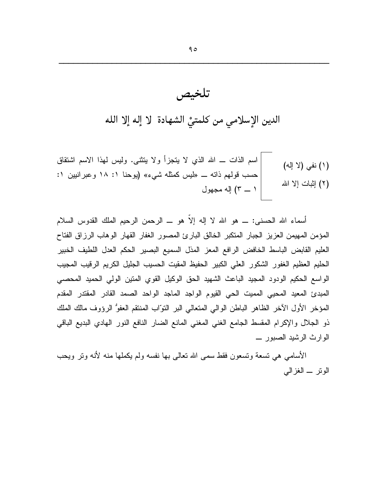تلخيص

الدين الإسلامي من كلمتيّْ الشهادة ۖ لا إله إلا الله

أسماء الله الحسني: ــــ هو الله لا إله إلاَّ هو ــــ الرحمن الرحيم الملك القدوس السلام المؤمن المهيمن العزيز الجبار المتكبر الخالق البارئ المصور الغفار القهار الوهاب الرزاق الفتاح العليم القابض الباسط الخافض الرافع المعز المذل السميع البصير الحكم العدل اللطيف الخبير الحليم العظيم الغفور الشكور العلى الكبير الحفيظ المقيت الحسيب الجليل الكريم الرقيب المجيب الواسع الحكيم الودود المجيد الباعث الشهيد الحق الوكيل القوي المنين الولي الحميد المحصبي المبدئ المعيد المحيي المميت الحي القيوم الواجد الماجد الواحد الصمد القادر المقتدر المقدم المؤخر الأول الآخر الظاهر الباطن الوالي المتعالى البر النوّاب المنتقم العفوُّ الرؤوف مالك الملك ذو الجلال والإكرام المقسط الجامع الغنبي المغنى المانع الضار النافع النور الهادي البديع الباقي الوارث الرشيد الصبور \_

الأسامي هي نسعة ونسعون فقط سمي الله نعالى بها نفسه ولم يكملها منه لأنه ونر ويحب الوتر \_ الغزالمي

 $90$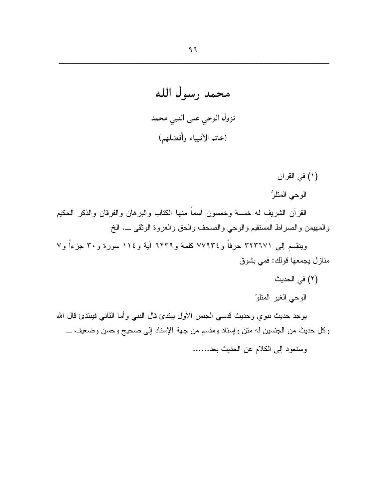محمد رسول الله نزول الوحي على النبي محمد (خاتم الأنبياء وأفضلهم)

(١) في القرآن الوحي المتلوُّ

القرآن الشريف له خمسة وخمسون اسماً منها الكتاب والبرهان والفرقان والذكر الحكيم والمهيمن والصراط المستقيم والوحي والصحف والحق والعروة الوثقى \_. الخ

ويِنقسم إلى ٣٢٣٦٧١ حرفاً و٧٧٩٣٤ كلمة و٦٢٣٩ آية و١١٤ سورة و٣٠ جزءاً و٧ منازل يجمعها قولك: فمي بشوق

- (٢) في الحديث
- الوحي الغير المنلو

يوجد حديث نبوي وحديث قدسي الجنس الأول يبتدئ قال النبي وأما الثاني فيبتدئ قال الله وكل حديث من الجنسين له منن وإسناد ومقسم من جهة الإسناد إلى صحيح وحسن وضعيف ـــ

وسنعود إلى الكلام عن الحديث بعد......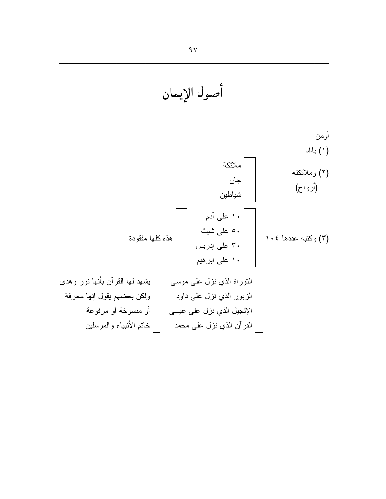أومن (١) بالله ملائكة (٢) وملائكته جان (أرواح) شياطين ۱۰ علمی آدم ٥٠ علىي شيث هذه كلها مفقودة (٣) وكتبه عددها ١٠٤ ۳۰ علی إدريس ۱۰ علمی ابر هیم |بشهد لمها القرآن بأنها نور وهدى النوراة الذي نزل علىي موسى |ولكن بعضهم يقول إنها محرفة الزبور الذي نزل على داود | أو منسوخة أو مرفوعة الإنجيل الذي نزل على عيسى | خاتم الأنبياء والمرسلين القرآن الذي نزل على محمد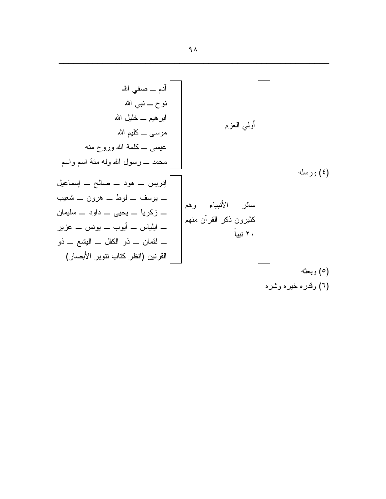| \n $i_{\alpha} = 0$<br>\n $\alpha$ $i_{\alpha} = 0$<br>\n $\beta$ $\beta$ $\beta$ $\beta$ $\beta$ $\beta$ $\beta$ $\beta$ $\beta$ $\beta$ $\beta$ $\beta$ $\beta$ $\beta$ $\beta$ $\beta$ $\beta$ $\beta$ $\beta$ $\beta$ $\beta$ $\beta$ $\beta$ $\beta$ $\beta$ $\beta$ $\beta$ $\beta$ $\beta$ $\beta$ $\beta$ $\beta$ $\beta$ $\beta$ $\beta$ $\beta$ $\beta$ $\beta$ $\beta$ $\beta$ $\beta$ $\beta$ $\beta$ $\beta$ $\beta$ $\beta$ $\beta$ $\beta$ $\beta$ $\beta$ $\beta$ $\beta$ $\beta$ $\beta$ $\beta$ $\beta$ $\beta$ $\beta$ $\beta$ $\beta$ $\beta$ $\beta$ $\beta$ $\beta$ $\beta$ $\beta$ $\beta$ $\beta$ $\beta$ $\beta$ $\beta$ $\beta$ $\beta$ $\beta$ $\beta$ $\beta$ $\beta$ $\beta$ $\beta$ $\beta$ $\beta$ $\beta$ $\beta$ $\beta$ $\beta$ $\beta$ $\beta$ $\beta$ $\beta$ $\beta$ $\beta$ $\beta$ $\beta$ $\beta$ $\beta$ $\beta$ $\beta$ $\beta$ $\beta$ $\beta$ $\beta$ $\beta$ |
|-----------------------------------------------------------------------------------------------------------------------------------------------------------------------------------------------------------------------------------------------------------------------------------------------------------------------------------------------------------------------------------------------------------------------------------------------------------------------------------------------------------------------------------------------------------------------------------------------------------------------------------------------------------------------------------------------------------------------------------------------------------------------------------------------------------------------------------------------------------------------------------------------------------|
|-----------------------------------------------------------------------------------------------------------------------------------------------------------------------------------------------------------------------------------------------------------------------------------------------------------------------------------------------------------------------------------------------------------------------------------------------------------------------------------------------------------------------------------------------------------------------------------------------------------------------------------------------------------------------------------------------------------------------------------------------------------------------------------------------------------------------------------------------------------------------------------------------------------|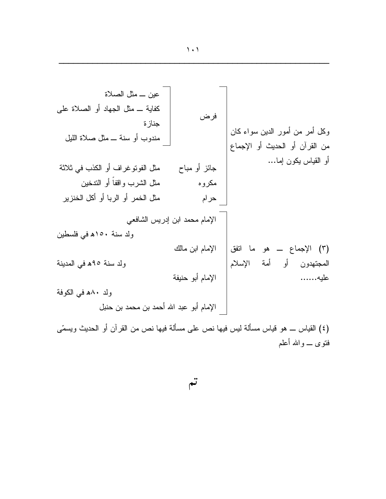عين \_ مثل الصلاة كفاية \_ مثل الجهاد أو الصلاة على فرض جناز ۃ وكل أمر من أمور الدين سواء كان مندوب أو سنة ــ مثل صلاة الليل من القرآن أو الحديث أو الإجماع أو القياس يكون إما… مثل الفوتوغراف أو الكذب في ثلاثة جائز أو مباح مثل الشرب واقفاً أو التدخين مكروه مثل الخمر أو الربا أو أكل الخنزير حرام الإمام محمد ابن إدريس الشافعي ولد سنة ١٥٠هـ في فلسطين (٣) الإجماع ـــ هو ما انفق| الإمام ابن مالك المجتهدون أو أمة الإسلام ولد سنة ٩٥ه في المدينة الإمام أبو حنيفة عليه....... ولد ٨٠ه في الكوفة الإمام أبو عبد الله أحمد بن محمد بن حنبل

(٤) القياس ـــ هو قياس مسألـة ليس فيها نص علـى مسألـة فيها نص من القرآن أو الحديث ويسمّـى فتوى \_ و الله أعلم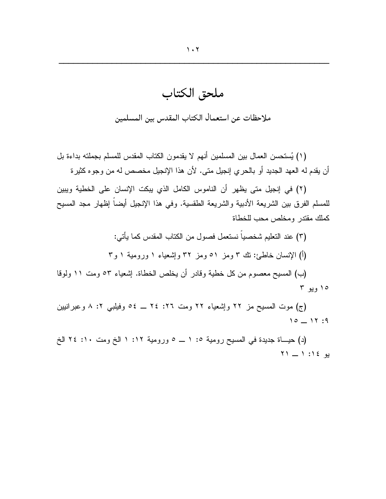ملحق الكتاب

ملاحظات عن استعمال الكتاب المقدس بين المسلمين

(١) يُستحسن العمال بين المسلمين أنهم لا يقدمون الكتاب المقدس للمسلم بجملته بداءة بل أن يقدم له العهد الجديد أو بالحري إنجيل متى. لأن هذا الإنجيل مخصص له من وجوه كثيرة

(٢) في إنجيل متى يظهر أن الناموس الكامل الذي يبكت الإنسان على الخطية ويبين للمسلم الفرق بين الشريعة الأدبية والشريعة الطقسية. وفي هذا الإنجيل أيضا إظهار مجد المسيح كملك مقتدر ومخلص محب للخطاة

> (٣) عند النعليم شخصياً نستعمل فصول من الكتاب المقدس كما يأتي: (أ) الإنسان خاطئ: نك ٣ ومز ٥١ ومز ٣٢ وإشعباء ١ ورومية ١ و٣

(ب) المسيح معصوم من كل خطية وقادر أن يخلص الخطاة. إشعياء ٥٣ ومت ١١ ولوقا ۱۰ ویو ۳

(ج) موت المسيح مز ٢٢ وإشعياء ٢٢ ومت ٢٦: ٢٤ \_ ٥٤ وفيلبي ٢: ٨ وعبرانيين  $10 - 17:9$ 

(د) حيساة جديدة في المسيح رومية ١: ١ ــ ٥ ورومية ١٢: ١ الخ ومت ١٠: ٢٤ الخ  $Y1 = 1$ :  $(2)$